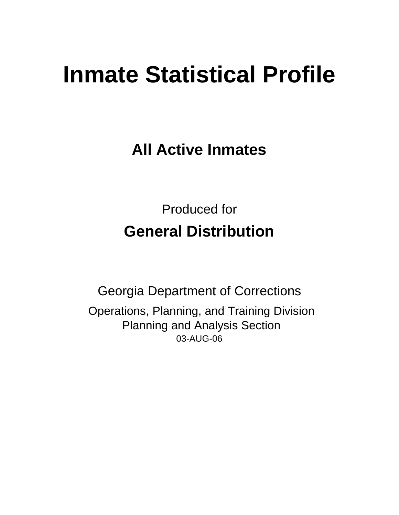# **Inmate Statistical Profile**

**All Active Inmates**

Produced for **General Distribution**

03-AUG-06 Georgia Department of Corrections Operations, Planning, and Training Division Planning and Analysis Section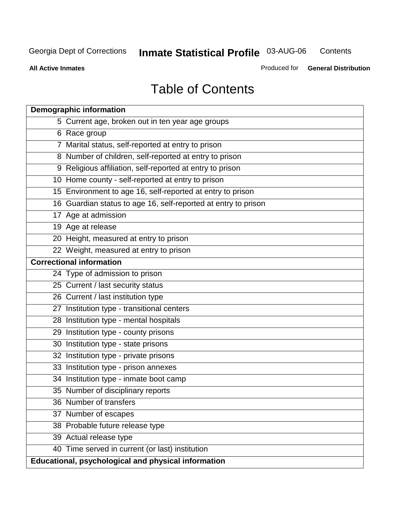**Contents** 

**All Active Inmates**

Produced for **General Distribution**

# Table of Contents

| <b>Demographic information</b>                                 |
|----------------------------------------------------------------|
| 5 Current age, broken out in ten year age groups               |
| 6 Race group                                                   |
| 7 Marital status, self-reported at entry to prison             |
| 8 Number of children, self-reported at entry to prison         |
| 9 Religious affiliation, self-reported at entry to prison      |
| 10 Home county - self-reported at entry to prison              |
| 15 Environment to age 16, self-reported at entry to prison     |
| 16 Guardian status to age 16, self-reported at entry to prison |
| 17 Age at admission                                            |
| 19 Age at release                                              |
| 20 Height, measured at entry to prison                         |
| 22 Weight, measured at entry to prison                         |
| <b>Correctional information</b>                                |
| 24 Type of admission to prison                                 |
| 25 Current / last security status                              |
| 26 Current / last institution type                             |
| 27 Institution type - transitional centers                     |
| 28 Institution type - mental hospitals                         |
| 29 Institution type - county prisons                           |
| 30 Institution type - state prisons                            |
| 32 Institution type - private prisons                          |
| 33 Institution type - prison annexes                           |
| 34 Institution type - inmate boot camp                         |
| 35 Number of disciplinary reports                              |
| 36 Number of transfers                                         |
| 37 Number of escapes                                           |
| 38 Probable future release type                                |
| 39 Actual release type                                         |
| 40 Time served in current (or last) institution                |
| Educational, psychological and physical information            |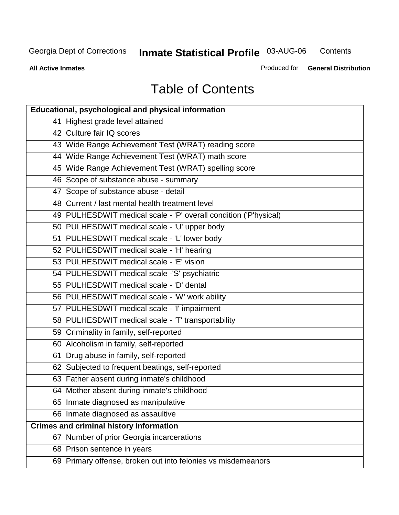**Contents** 

**All Active Inmates**

Produced for **General Distribution**

# Table of Contents

| <b>Educational, psychological and physical information</b>       |
|------------------------------------------------------------------|
| 41 Highest grade level attained                                  |
| 42 Culture fair IQ scores                                        |
| 43 Wide Range Achievement Test (WRAT) reading score              |
| 44 Wide Range Achievement Test (WRAT) math score                 |
| 45 Wide Range Achievement Test (WRAT) spelling score             |
| 46 Scope of substance abuse - summary                            |
| 47 Scope of substance abuse - detail                             |
| 48 Current / last mental health treatment level                  |
| 49 PULHESDWIT medical scale - 'P' overall condition ('P'hysical) |
| 50 PULHESDWIT medical scale - 'U' upper body                     |
| 51 PULHESDWIT medical scale - 'L' lower body                     |
| 52 PULHESDWIT medical scale - 'H' hearing                        |
| 53 PULHESDWIT medical scale - 'E' vision                         |
| 54 PULHESDWIT medical scale -'S' psychiatric                     |
| 55 PULHESDWIT medical scale - 'D' dental                         |
| 56 PULHESDWIT medical scale - 'W' work ability                   |
| 57 PULHESDWIT medical scale - 'I' impairment                     |
| 58 PULHESDWIT medical scale - 'T' transportability               |
| 59 Criminality in family, self-reported                          |
| 60 Alcoholism in family, self-reported                           |
| 61 Drug abuse in family, self-reported                           |
| 62 Subjected to frequent beatings, self-reported                 |
| 63 Father absent during inmate's childhood                       |
| 64 Mother absent during inmate's childhood                       |
| 65 Inmate diagnosed as manipulative                              |
| 66 Inmate diagnosed as assaultive                                |
| <b>Crimes and criminal history information</b>                   |
| 67 Number of prior Georgia incarcerations                        |
| 68 Prison sentence in years                                      |
| 69 Primary offense, broken out into felonies vs misdemeanors     |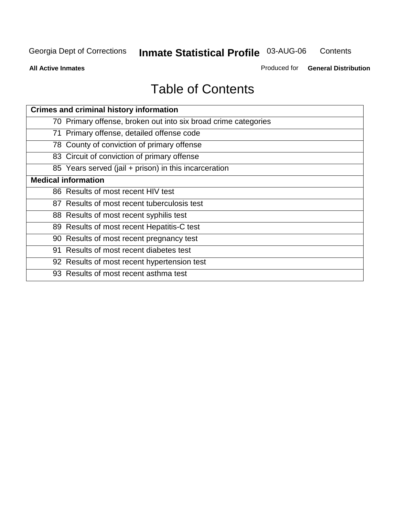**Contents** 

**All Active Inmates**

Produced for **General Distribution**

# Table of Contents

| <b>Crimes and criminal history information</b>                 |
|----------------------------------------------------------------|
| 70 Primary offense, broken out into six broad crime categories |
| 71 Primary offense, detailed offense code                      |
| 78 County of conviction of primary offense                     |
| 83 Circuit of conviction of primary offense                    |
| 85 Years served (jail + prison) in this incarceration          |
| <b>Medical information</b>                                     |
| 86 Results of most recent HIV test                             |
| 87 Results of most recent tuberculosis test                    |
| 88 Results of most recent syphilis test                        |
| 89 Results of most recent Hepatitis-C test                     |
| 90 Results of most recent pregnancy test                       |
| 91 Results of most recent diabetes test                        |
| 92 Results of most recent hypertension test                    |
| 93 Results of most recent asthma test                          |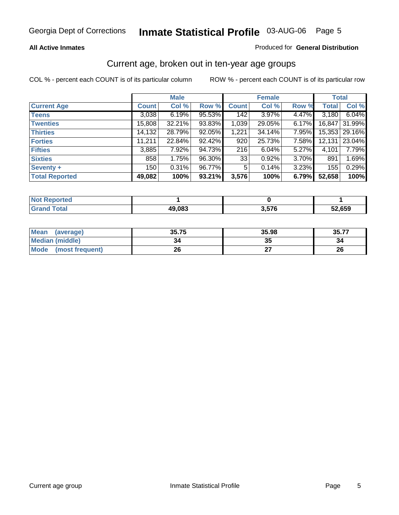#### **All Active Inmates**

#### Produced for **General Distribution**

#### Current age, broken out in ten-year age groups

|                       |              | <b>Male</b> |        |                | <b>Female</b> |          |              | <b>Total</b>  |
|-----------------------|--------------|-------------|--------|----------------|---------------|----------|--------------|---------------|
| <b>Current Age</b>    | <b>Count</b> | Col %       | Row %  | <b>Count</b>   | Col %         | Row %    | <b>Total</b> | Col %         |
| <b>Teens</b>          | 3,038        | 6.19%       | 95.53% | 142            | $3.97\%$      | 4.47%    | 3,180        | 6.04%         |
| <b>Twenties</b>       | 15,808       | 32.21%      | 93.83% | 1,039          | 29.05%        | $6.17\%$ | 16,847       | 31.99%        |
| <b>Thirties</b>       | 14,132       | 28.79%      | 92.05% | 1,221          | 34.14%        | 7.95%    |              | 15,353 29.16% |
| <b>Forties</b>        | 11,211       | 22.84%      | 92.42% | 920            | 25.73%        | 7.58%    | 12,131       | 23.04%        |
| <b>Fifties</b>        | 3,885        | 7.92%       | 94.73% | 216            | 6.04%         | 5.27%    | 4,101        | 7.79%         |
| <b>Sixties</b>        | 858          | 1.75%       | 96.30% | 33             | 0.92%         | 3.70%    | 891          | 1.69%         |
| Seventy +             | 150          | 0.31%       | 96.77% | 5 <sup>1</sup> | 0.14%         | 3.23%    | 155          | 0.29%         |
| <b>Total Reported</b> | 49,082       | 100%        | 93.21% | 3,576          | 100%          | 6.79%    | 52,658       | 100%          |

| <b>Not Reported</b> |        |     |        |
|---------------------|--------|-----|--------|
| <b>Total</b>        | 49,083 | 576 | 52,659 |

| <b>Mean</b><br>(average)       | 35.75 | 35.98 | 35.77 |
|--------------------------------|-------|-------|-------|
| Median (middle)                | 34    | w     |       |
| <b>Mode</b><br>(most frequent) | 26    |       | 26    |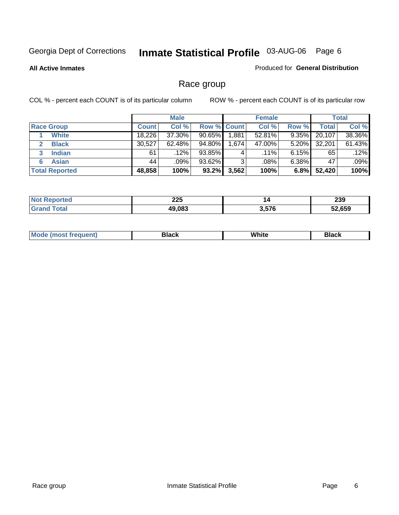**All Active Inmates**

#### Produced for **General Distribution**

### Race group

|                       |              | <b>Male</b> |             |         | <b>Female</b> |          |        | <b>Total</b> |
|-----------------------|--------------|-------------|-------------|---------|---------------|----------|--------|--------------|
| <b>Race Group</b>     | <b>Count</b> | Col %       | Row % Count |         | Col %         | Row %    | Total  | Col %        |
| <b>White</b>          | 18.226       | 37.30%      | 90.65%      | ا 881.ا | 52.81%        | 9.35%    | 20,107 | 38.36%       |
| <b>Black</b>          | 30,527       | $62.48\%$   | 94.80%      | 1,674   | 47.00%        | $5.20\%$ | 32,201 | 61.43%       |
| <b>Indian</b><br>3    | 61           | .12%        | 93.85%      | 4       | $.11\%$       | $6.15\%$ | 65     | .12%         |
| <b>Asian</b>          | 44           | .09%        | 93.62%      | 3       | .08%          | $6.38\%$ | 47     | .09%         |
| <b>Total Reported</b> | 48,858       | 100%        | 93.2%       | 3,562   | 100%          | 6.8%     | 52,420 | 100%         |

| 22F           | 14       | <b>000</b> |
|---------------|----------|------------|
| ZZJ           |          | 233        |
| 49.083<br>uuu | ,<br>ን/6 |            |

|  | $Mc$ | Black | White<br>$ -$ | 21904<br>DIACK |
|--|------|-------|---------------|----------------|
|--|------|-------|---------------|----------------|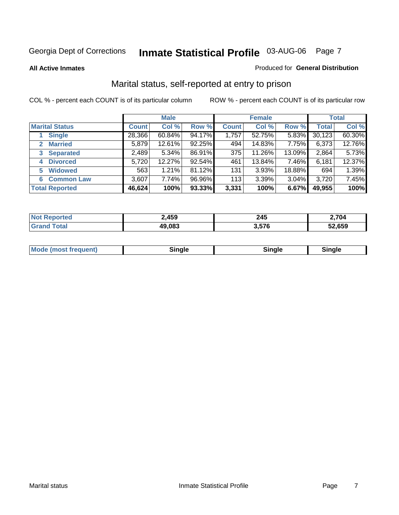#### **All Active Inmates**

#### Produced for **General Distribution**

### Marital status, self-reported at entry to prison

|                                |              | <b>Male</b> |        |              | <b>Female</b> |        |              | <b>Total</b> |
|--------------------------------|--------------|-------------|--------|--------------|---------------|--------|--------------|--------------|
| <b>Marital Status</b>          | <b>Count</b> | Col %       | Row %  | <b>Count</b> | Col %         | Row %  | <b>Total</b> | Col %        |
| <b>Single</b>                  | 28,366       | $60.84\%$   | 94.17% | 1,757        | 52.75%        | 5.83%  | 30,123       | 60.30%       |
| <b>Married</b><br>$\mathbf{2}$ | 5,879        | 12.61%      | 92.25% | 494          | 14.83%        | 7.75%  | 6,373        | 12.76%       |
| <b>Separated</b><br>3          | 2,489        | 5.34%       | 86.91% | 375          | 11.26%        | 13.09% | 2,864        | 5.73%        |
| <b>Divorced</b><br>4           | 5,720        | 12.27%      | 92.54% | 461          | 13.84%        | 7.46%  | 6,181        | 12.37%       |
| <b>Widowed</b><br>5            | 563          | 1.21%       | 81.12% | 131          | 3.93%         | 18.88% | 694          | 1.39%        |
| <b>Common Law</b><br>6         | 3,607        | 7.74%       | 96.96% | 113          | 3.39%         | 3.04%  | 3,720        | 7.45%        |
| <b>Total Reported</b>          | 46,624       | 100%        | 93.33% | 3,331        | 100%          | 6.67%  | 49,955       | 100%         |

| 2,459 | 245   | 2,704  |
|-------|-------|--------|
| 9,083 | 3.576 | 52.659 |

| <b>Mode (most frequent)</b><br>Sinale<br>≒ınale |
|-------------------------------------------------|
|-------------------------------------------------|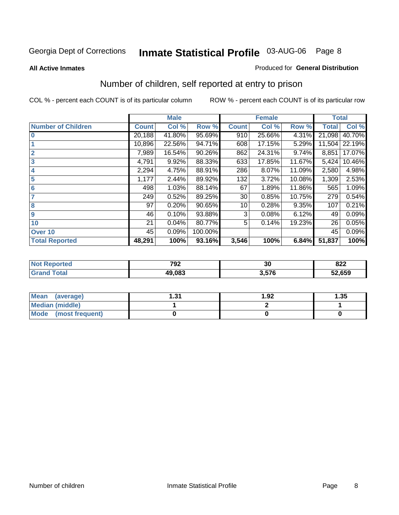#### **All Active Inmates**

#### Produced for **General Distribution**

### Number of children, self reported at entry to prison

|                           |              | <b>Male</b> |         |              | <b>Female</b> |        | <b>Total</b> |        |
|---------------------------|--------------|-------------|---------|--------------|---------------|--------|--------------|--------|
| <b>Number of Children</b> | <b>Count</b> | Col %       | Row %   | <b>Count</b> | Col %         | Row %  | <b>Total</b> | Col %  |
| $\bf{0}$                  | 20,188       | 41.80%      | 95.69%  | 910          | 25.66%        | 4.31%  | 21,098       | 40.70% |
|                           | 10,896       | 22.56%      | 94.71%  | 608          | 17.15%        | 5.29%  | 11,504       | 22.19% |
| $\overline{2}$            | 7,989        | 16.54%      | 90.26%  | 862          | 24.31%        | 9.74%  | 8,851        | 17.07% |
| 3                         | 4,791        | 9.92%       | 88.33%  | 633          | 17.85%        | 11.67% | 5,424        | 10.46% |
| 4                         | 2,294        | 4.75%       | 88.91%  | 286          | 8.07%         | 11.09% | 2,580        | 4.98%  |
| 5                         | 1,177        | 2.44%       | 89.92%  | 132          | 3.72%         | 10.08% | 1,309        | 2.53%  |
| $6\phantom{a}$            | 498          | 1.03%       | 88.14%  | 67           | 1.89%         | 11.86% | 565          | 1.09%  |
| 7                         | 249          | 0.52%       | 89.25%  | 30           | 0.85%         | 10.75% | 279          | 0.54%  |
| 8                         | 97           | 0.20%       | 90.65%  | 10           | 0.28%         | 9.35%  | 107          | 0.21%  |
| 9                         | 46           | 0.10%       | 93.88%  | 3            | 0.08%         | 6.12%  | 49           | 0.09%  |
| 10                        | 21           | 0.04%       | 80.77%  | 5            | 0.14%         | 19.23% | 26           | 0.05%  |
| Over 10                   | 45           | 0.09%       | 100.00% |              |               |        | 45           | 0.09%  |
| <b>Total Reported</b>     | 48,291       | 100%        | 93.16%  | 3,546        | 100%          | 6.84%  | 51,837       | 100%   |

| тес | 792<br>$\sim$ $\sim$ | $\overline{ }$<br>vu | ററ<br>0ZZ<br>$ -$ |
|-----|----------------------|----------------------|-------------------|
|     | 19.083               | --^<br>.             | 52,659            |

| <b>Mean</b><br>(average) | - 24<br>ا پ. | 1.92 | .35 |
|--------------------------|--------------|------|-----|
| <b>Median (middle)</b>   |              |      |     |
| Mode<br>(most frequent)  |              |      |     |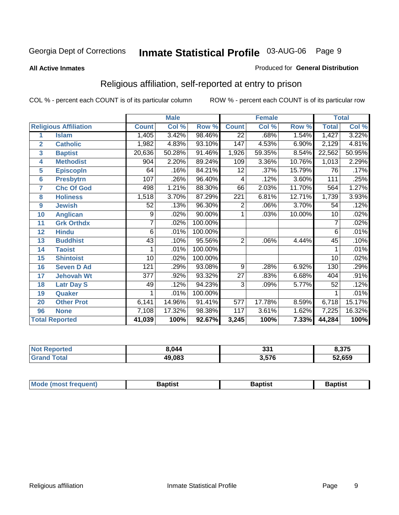#### **All Active Inmates**

#### Produced for **General Distribution**

### Religious affiliation, self-reported at entry to prison

|                  |                              |                 | <b>Male</b><br><b>Female</b> |         |                  |                           | <b>Total</b> |                 |        |
|------------------|------------------------------|-----------------|------------------------------|---------|------------------|---------------------------|--------------|-----------------|--------|
|                  | <b>Religious Affiliation</b> | <b>Count</b>    | Col %                        | Row %   | <b>Count</b>     | $\overline{\text{Col}}$ % | Row %        | <b>Total</b>    | Col %  |
| 1                | <b>Islam</b>                 | 1,405           | 3.42%                        | 98.46%  | $\overline{22}$  | .68%                      | 1.54%        | 1,427           | 3.22%  |
| $\overline{2}$   | <b>Catholic</b>              | 1,982           | 4.83%                        | 93.10%  | 147              | 4.53%                     | 6.90%        | 2,129           | 4.81%  |
| 3                | <b>Baptist</b>               | 20,636          | 50.28%                       | 91.46%  | 1,926            | 59.35%                    | 8.54%        | 22,562          | 50.95% |
| 4                | <b>Methodist</b>             | 904             | 2.20%                        | 89.24%  | 109              | 3.36%                     | 10.76%       | 1,013           | 2.29%  |
| 5                | <b>EpiscopIn</b>             | 64              | .16%                         | 84.21%  | 12               | .37%                      | 15.79%       | 76              | .17%   |
| 6                | <b>Presbytrn</b>             | 107             | .26%                         | 96.40%  | 4                | .12%                      | 3.60%        | 111             | .25%   |
| 7                | <b>Chc Of God</b>            | 498             | 1.21%                        | 88.30%  | 66               | 2.03%                     | 11.70%       | 564             | 1.27%  |
| 8                | <b>Holiness</b>              | 1,518           | 3.70%                        | 87.29%  | $\overline{221}$ | 6.81%                     | 12.71%       | 1,739           | 3.93%  |
| $\boldsymbol{9}$ | <b>Jewish</b>                | 52              | .13%                         | 96.30%  | 2                | .06%                      | 3.70%        | 54              | .12%   |
| 10               | <b>Anglican</b>              | 9               | .02%                         | 90.00%  | 1                | .03%                      | 10.00%       | 10              | .02%   |
| 11               | <b>Grk Orthdx</b>            | 7               | .02%                         | 100.00% |                  |                           |              | 7               | .02%   |
| 12               | <b>Hindu</b>                 | 6               | .01%                         | 100.00% |                  |                           |              | 6               | .01%   |
| 13               | <b>Buddhist</b>              | 43              | .10%                         | 95.56%  | $\overline{2}$   | .06%                      | 4.44%        | 45              | .10%   |
| 14               | <b>Taoist</b>                |                 | .01%                         | 100.00% |                  |                           |              |                 | .01%   |
| 15               | <b>Shintoist</b>             | $\overline{10}$ | .02%                         | 100.00% |                  |                           |              | $\overline{10}$ | .02%   |
| 16               | <b>Seven D Ad</b>            | 121             | .29%                         | 93.08%  | 9                | .28%                      | 6.92%        | 130             | .29%   |
| 17               | <b>Jehovah Wt</b>            | 377             | .92%                         | 93.32%  | 27               | .83%                      | 6.68%        | 404             | .91%   |
| 18               | <b>Latr Day S</b>            | 49              | .12%                         | 94.23%  | 3                | .09%                      | 5.77%        | 52              | .12%   |
| 19               | Quaker                       |                 | .01%                         | 100.00% |                  |                           |              |                 | .01%   |
| 20               | <b>Other Prot</b>            | 6,141           | 14.96%                       | 91.41%  | $\overline{577}$ | 17.78%                    | 8.59%        | 6,718           | 15.17% |
| 96               | <b>None</b>                  | 7,108           | 17.32%                       | 98.38%  | 117              | 3.61%                     | 1.62%        | 7,225           | 16.32% |
|                  | <b>Total Reported</b>        | 41,039          | 100%                         | 92.67%  | 3,245            | 100%                      | 7.33%        | 44,284          | 100%   |

| <b>Not Reported</b> | 8.044  | 331   | 8,375  |
|---------------------|--------|-------|--------|
| $\tau$ otar<br>Grar | 49,083 | 3,576 | 52,659 |

|  | Mode,<br>frequent)<br>umost 1 | 3aptist | Baptist<br>$  -$ | Baptist |
|--|-------------------------------|---------|------------------|---------|
|--|-------------------------------|---------|------------------|---------|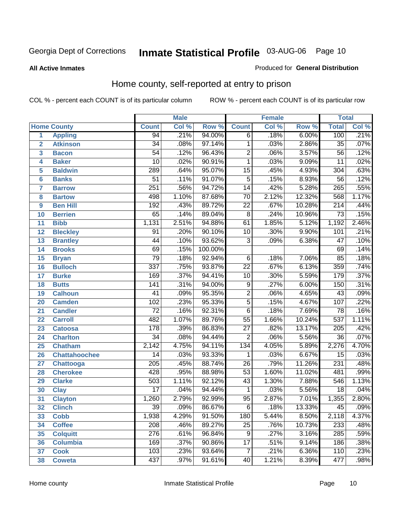#### **All Active Inmates**

#### Produced for **General Distribution**

### Home county, self-reported at entry to prison

|                 |                      | <b>Male</b>      |       |         | <b>Female</b>   |       |        | <b>Total</b>     |       |
|-----------------|----------------------|------------------|-------|---------|-----------------|-------|--------|------------------|-------|
|                 | <b>Home County</b>   | <b>Count</b>     | Col % | Row %   | <b>Count</b>    | Col % | Row %  | <b>Total</b>     | Col % |
| 1               | <b>Appling</b>       | 94               | .21%  | 94.00%  | $\overline{6}$  | .18%  | 6.00%  | 100              | .21%  |
| $\overline{2}$  | <b>Atkinson</b>      | $\overline{34}$  | .08%  | 97.14%  | 1               | .03%  | 2.86%  | $\overline{35}$  | .07%  |
| 3               | <b>Bacon</b>         | $\overline{54}$  | .12%  | 96.43%  | $\overline{2}$  | .06%  | 3.57%  | $\overline{56}$  | .12%  |
| 4               | <b>Baker</b>         | 10               | .02%  | 90.91%  | 1               | .03%  | 9.09%  | $\overline{11}$  | .02%  |
| 5               | <b>Baldwin</b>       | 289              | .64%  | 95.07%  | $\overline{15}$ | .45%  | 4.93%  | 304              | .63%  |
| $6\phantom{1}6$ | <b>Banks</b>         | $\overline{51}$  | .11%  | 91.07%  | $\overline{5}$  | .15%  | 8.93%  | $\overline{56}$  | .12%  |
| $\overline{7}$  | <b>Barrow</b>        | 251              | .56%  | 94.72%  | $\overline{14}$ | .42%  | 5.28%  | 265              | .55%  |
| 8               | <b>Bartow</b>        | 498              | 1.10% | 87.68%  | 70              | 2.12% | 12.32% | 568              | 1.17% |
| 9               | <b>Ben Hill</b>      | 192              | .43%  | 89.72%  | $\overline{22}$ | .67%  | 10.28% | $\overline{214}$ | .44%  |
| 10              | <b>Berrien</b>       | 65               | .14%  | 89.04%  | $\overline{8}$  | .24%  | 10.96% | $\overline{73}$  | .15%  |
| 11              | <b>Bibb</b>          | 1,131            | 2.51% | 94.88%  | 61              | 1.85% | 5.12%  | 1,192            | 2.46% |
| 12              | <b>Bleckley</b>      | $\overline{91}$  | .20%  | 90.10%  | 10              | .30%  | 9.90%  | 101              | .21%  |
| $\overline{13}$ | <b>Brantley</b>      | $\overline{44}$  | .10%  | 93.62%  | $\overline{3}$  | .09%  | 6.38%  | $\overline{47}$  | .10%  |
| 14              | <b>Brooks</b>        | 69               | .15%  | 100.00% |                 |       |        | 69               | .14%  |
| 15              | <b>Bryan</b>         | $\overline{79}$  | .18%  | 92.94%  | $\overline{6}$  | .18%  | 7.06%  | $\overline{85}$  | .18%  |
| 16              | <b>Bulloch</b>       | $\overline{337}$ | .75%  | 93.87%  | $\overline{22}$ | .67%  | 6.13%  | 359              | .74%  |
| $\overline{17}$ | <b>Burke</b>         | 169              | .37%  | 94.41%  | $\overline{10}$ | .30%  | 5.59%  | 179              | .37%  |
| 18              | <b>Butts</b>         | $\overline{141}$ | .31%  | 94.00%  | $\overline{9}$  | .27%  | 6.00%  | 150              | .31%  |
| 19              | <b>Calhoun</b>       | $\overline{41}$  | .09%  | 95.35%  | $\overline{2}$  | .06%  | 4.65%  | $\overline{43}$  | .09%  |
| 20              | <b>Camden</b>        | 102              | .23%  | 95.33%  | $\overline{5}$  | .15%  | 4.67%  | 107              | .22%  |
| 21              | <b>Candler</b>       | $\overline{72}$  | .16%  | 92.31%  | $\overline{6}$  | .18%  | 7.69%  | $\overline{78}$  | .16%  |
| 22              | <b>Carroll</b>       | 482              | 1.07% | 89.76%  | $\overline{55}$ | 1.66% | 10.24% | 537              | 1.11% |
| 23              | <b>Catoosa</b>       | 178              | .39%  | 86.83%  | $\overline{27}$ | .82%  | 13.17% | $\overline{205}$ | .42%  |
| 24              | <b>Charlton</b>      | $\overline{34}$  | .08%  | 94.44%  | $\overline{2}$  | .06%  | 5.56%  | $\overline{36}$  | .07%  |
| 25              | <b>Chatham</b>       | 2,142            | 4.75% | 94.11%  | 134             | 4.05% | 5.89%  | 2,276            | 4.70% |
| 26              | <b>Chattahoochee</b> | 14               | .03%  | 93.33%  | 1               | .03%  | 6.67%  | $\overline{15}$  | .03%  |
| 27              | Chattooga            | $\overline{205}$ | .45%  | 88.74%  | $\overline{26}$ | .79%  | 11.26% | 231              | .48%  |
| 28              | <b>Cherokee</b>      | 428              | .95%  | 88.98%  | $\overline{53}$ | 1.60% | 11.02% | 481              | .99%  |
| 29              | <b>Clarke</b>        | 503              | 1.11% | 92.12%  | $\overline{43}$ | 1.30% | 7.88%  | 546              | 1.13% |
| 30              | <b>Clay</b>          | $\overline{17}$  | .04%  | 94.44%  | 1               | .03%  | 5.56%  | $\overline{18}$  | .04%  |
| $\overline{31}$ | <b>Clayton</b>       | 1,260            | 2.79% | 92.99%  | 95              | 2.87% | 7.01%  | 1,355            | 2.80% |
| 32              | <b>Clinch</b>        | 39               | .09%  | 86.67%  | 6               | .18%  | 13.33% | 45               | .09%  |
| 33              | <b>Cobb</b>          | 1,938            | 4.29% | 91.50%  | 180             | 5.44% | 8.50%  | 2,118            | 4.37% |
| 34              | <b>Coffee</b>        | 208              | .46%  | 89.27%  | 25              | .76%  | 10.73% | 233              | .48%  |
| 35              | <b>Colquitt</b>      | $\overline{276}$ | .61%  | 96.84%  | $\overline{9}$  | .27%  | 3.16%  | 285              | .59%  |
| 36              | <b>Columbia</b>      | 169              | .37%  | 90.86%  | 17              | .51%  | 9.14%  | 186              | .38%  |
| 37              | <b>Cook</b>          | 103              | .23%  | 93.64%  | $\overline{7}$  | .21%  | 6.36%  | 110              | .23%  |
| 38              | <b>Coweta</b>        | 437              | .97%  | 91.61%  | 40              | 1.21% | 8.39%  | 477              | .98%  |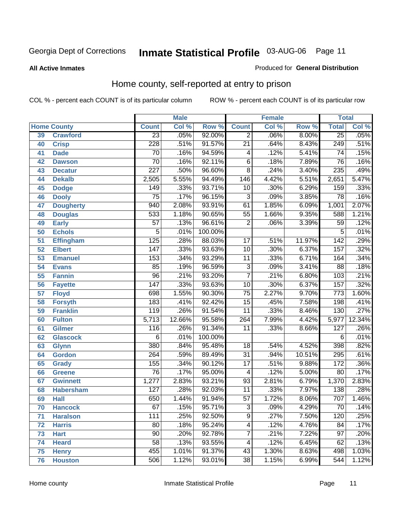#### **All Active Inmates**

#### Produced for **General Distribution**

### Home county, self-reported at entry to prison

|    |                    |                  | <b>Male</b> |         |                         | <b>Female</b> |        | <b>Total</b>     |        |
|----|--------------------|------------------|-------------|---------|-------------------------|---------------|--------|------------------|--------|
|    | <b>Home County</b> | <b>Count</b>     | Col %       | Row %   | <b>Count</b>            | Col %         | Row %  | <b>Total</b>     | Col %  |
| 39 | <b>Crawford</b>    | $\overline{23}$  | .05%        | 92.00%  | $\overline{2}$          | .06%          | 8.00%  | $\overline{25}$  | .05%   |
| 40 | <b>Crisp</b>       | $\overline{228}$ | .51%        | 91.57%  | $\overline{21}$         | .64%          | 8.43%  | 249              | .51%   |
| 41 | <b>Dade</b>        | $\overline{70}$  | .16%        | 94.59%  | $\overline{\mathbf{4}}$ | .12%          | 5.41%  | $\overline{74}$  | .15%   |
| 42 | <b>Dawson</b>      | $\overline{70}$  | .16%        | 92.11%  | $\overline{6}$          | .18%          | 7.89%  | $\overline{76}$  | .16%   |
| 43 | <b>Decatur</b>     | $\overline{227}$ | .50%        | 96.60%  | $\overline{8}$          | .24%          | 3.40%  | 235              | .49%   |
| 44 | <b>Dekalb</b>      | 2,505            | 5.55%       | 94.49%  | 146                     | 4.42%         | 5.51%  | 2,651            | 5.47%  |
| 45 | <b>Dodge</b>       | 149              | .33%        | 93.71%  | 10                      | .30%          | 6.29%  | 159              | .33%   |
| 46 | <b>Dooly</b>       | $\overline{75}$  | .17%        | 96.15%  | $\overline{3}$          | .09%          | 3.85%  | $\overline{78}$  | .16%   |
| 47 | <b>Dougherty</b>   | $\overline{940}$ | 2.08%       | 93.91%  | $\overline{61}$         | 1.85%         | 6.09%  | 1,001            | 2.07%  |
| 48 | <b>Douglas</b>     | 533              | 1.18%       | 90.65%  | $\overline{55}$         | 1.66%         | 9.35%  | 588              | 1.21%  |
| 49 | <b>Early</b>       | $\overline{57}$  | .13%        | 96.61%  | $\overline{2}$          | .06%          | 3.39%  | $\overline{59}$  | .12%   |
| 50 | <b>Echols</b>      | $\overline{5}$   | .01%        | 100.00% |                         |               |        | $\overline{5}$   | .01%   |
| 51 | <b>Effingham</b>   | $\overline{125}$ | .28%        | 88.03%  | $\overline{17}$         | .51%          | 11.97% | $\overline{142}$ | .29%   |
| 52 | <b>Elbert</b>      | 147              | .33%        | 93.63%  | $\overline{10}$         | .30%          | 6.37%  | 157              | .32%   |
| 53 | <b>Emanuel</b>     | 153              | .34%        | 93.29%  | $\overline{11}$         | .33%          | 6.71%  | 164              | .34%   |
| 54 | <b>Evans</b>       | $\overline{85}$  | .19%        | 96.59%  | $\overline{3}$          | .09%          | 3.41%  | $\overline{88}$  | .18%   |
| 55 | <b>Fannin</b>      | $\overline{96}$  | .21%        | 93.20%  | $\overline{7}$          | .21%          | 6.80%  | 103              | .21%   |
| 56 | <b>Fayette</b>     | $\overline{147}$ | .33%        | 93.63%  | $\overline{10}$         | .30%          | 6.37%  | 157              | .32%   |
| 57 | <b>Floyd</b>       | 698              | 1.55%       | 90.30%  | $\overline{75}$         | 2.27%         | 9.70%  | $\overline{773}$ | 1.60%  |
| 58 | <b>Forsyth</b>     | 183              | .41%        | 92.42%  | $\overline{15}$         | .45%          | 7.58%  | 198              | .41%   |
| 59 | <b>Franklin</b>    | $\overline{119}$ | .26%        | 91.54%  | $\overline{11}$         | .33%          | 8.46%  | 130              | .27%   |
| 60 | <b>Fulton</b>      | 5,713            | 12.66%      | 95.58%  | 264                     | 7.99%         | 4.42%  | 5,977            | 12.34% |
| 61 | <b>Gilmer</b>      | 116              | .26%        | 91.34%  | $\overline{11}$         | .33%          | 8.66%  | 127              | .26%   |
| 62 | <b>Glascock</b>    | 6                | .01%        | 100.00% |                         |               |        | $\overline{6}$   | .01%   |
| 63 | <b>Glynn</b>       | 380              | .84%        | 95.48%  | $\overline{18}$         | .54%          | 4.52%  | 398              | .82%   |
| 64 | <b>Gordon</b>      | $\overline{264}$ | .59%        | 89.49%  | $\overline{31}$         | .94%          | 10.51% | 295              | .61%   |
| 65 | <b>Grady</b>       | 155              | .34%        | 90.12%  | $\overline{17}$         | .51%          | 9.88%  | 172              | .36%   |
| 66 | <b>Greene</b>      | $\overline{76}$  | .17%        | 95.00%  | $\overline{\mathbf{4}}$ | .12%          | 5.00%  | $\overline{80}$  | .17%   |
| 67 | <b>Gwinnett</b>    | 1,277            | 2.83%       | 93.21%  | $\overline{93}$         | 2.81%         | 6.79%  | 1,370            | 2.83%  |
| 68 | <b>Habersham</b>   | 127              | .28%        | 92.03%  | $\overline{11}$         | .33%          | 7.97%  | 138              | .28%   |
| 69 | <b>Hall</b>        | 650              | 1.44%       | 91.94%  | $\overline{57}$         | 1.72%         | 8.06%  | 707              | 1.46%  |
| 70 | <b>Hancock</b>     | 67               | .15%        | 95.71%  | 3                       | .09%          | 4.29%  | 70               | .14%   |
| 71 | <b>Haralson</b>    | 111              | .25%        | 92.50%  | $\overline{9}$          | .27%          | 7.50%  | 120              | .25%   |
| 72 | <b>Harris</b>      | 80               | .18%        | 95.24%  | 4                       | .12%          | 4.76%  | 84               | .17%   |
| 73 | <b>Hart</b>        | $\overline{90}$  | .20%        | 92.78%  | 7                       | .21%          | 7.22%  | $\overline{97}$  | .20%   |
| 74 | <b>Heard</b>       | $\overline{58}$  | .13%        | 93.55%  | 4                       | .12%          | 6.45%  | 62               | .13%   |
| 75 | <b>Henry</b>       | 455              | 1.01%       | 91.37%  | 43                      | 1.30%         | 8.63%  | 498              | 1.03%  |
| 76 | <b>Houston</b>     | 506              | 1.12%       | 93.01%  | $\overline{38}$         | 1.15%         | 6.99%  | 544              | 1.12%  |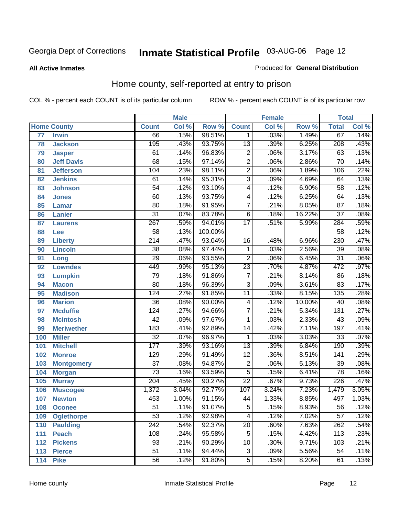#### **All Active Inmates**

#### Produced for **General Distribution**

### Home county, self-reported at entry to prison

|                 |                    | <b>Male</b>      |       |         | <b>Female</b>           |       |        | <b>Total</b>     |       |
|-----------------|--------------------|------------------|-------|---------|-------------------------|-------|--------|------------------|-------|
|                 | <b>Home County</b> | <b>Count</b>     | Col % | Row %   | <b>Count</b>            | Col % | Row %  | <b>Total</b>     | Col % |
| $\overline{77}$ | <b>Irwin</b>       | 66               | .15%  | 98.51%  | 1                       | .03%  | 1.49%  | 67               | .14%  |
| 78              | <b>Jackson</b>     | 195              | .43%  | 93.75%  | $\overline{13}$         | .39%  | 6.25%  | $\overline{208}$ | .43%  |
| 79              | <b>Jasper</b>      | 61               | .14%  | 96.83%  | $\overline{2}$          | .06%  | 3.17%  | 63               | .13%  |
| 80              | <b>Jeff Davis</b>  | 68               | .15%  | 97.14%  | $\overline{2}$          | .06%  | 2.86%  | $\overline{70}$  | .14%  |
| 81              | <b>Jefferson</b>   | 104              | .23%  | 98.11%  | $\overline{2}$          | .06%  | 1.89%  | 106              | .22%  |
| 82              | <b>Jenkins</b>     | 61               | .14%  | 95.31%  | $\overline{3}$          | .09%  | 4.69%  | 64               | .13%  |
| 83              | <b>Johnson</b>     | $\overline{54}$  | .12%  | 93.10%  | $\overline{4}$          | .12%  | 6.90%  | $\overline{58}$  | .12%  |
| 84              | <b>Jones</b>       | 60               | .13%  | 93.75%  | 4                       | .12%  | 6.25%  | 64               | .13%  |
| 85              | <b>Lamar</b>       | 80               | .18%  | 91.95%  | $\overline{7}$          | .21%  | 8.05%  | $\overline{87}$  | .18%  |
| 86              | <b>Lanier</b>      | $\overline{31}$  | .07%  | 83.78%  | $\overline{6}$          | .18%  | 16.22% | $\overline{37}$  | .08%  |
| 87              | <b>Laurens</b>     | $\overline{267}$ | .59%  | 94.01%  | $\overline{17}$         | .51%  | 5.99%  | 284              | .59%  |
| 88              | Lee                | $\overline{58}$  | .13%  | 100.00% |                         |       |        | $\overline{58}$  | .12%  |
| 89              | <b>Liberty</b>     | $\overline{214}$ | .47%  | 93.04%  | $\overline{16}$         | .48%  | 6.96%  | $\overline{230}$ | .47%  |
| 90              | <b>Lincoln</b>     | $\overline{38}$  | .08%  | 97.44%  | 1                       | .03%  | 2.56%  | $\overline{39}$  | .08%  |
| 91              | Long               | $\overline{29}$  | .06%  | 93.55%  | $\overline{2}$          | .06%  | 6.45%  | $\overline{31}$  | .06%  |
| 92              | <b>Lowndes</b>     | 449              | .99%  | 95.13%  | $\overline{23}$         | .70%  | 4.87%  | 472              | .97%  |
| 93              | <b>Lumpkin</b>     | $\overline{79}$  | .18%  | 91.86%  | $\overline{7}$          | .21%  | 8.14%  | $\overline{86}$  | .18%  |
| 94              | <b>Macon</b>       | $\overline{80}$  | .18%  | 96.39%  | $\overline{3}$          | .09%  | 3.61%  | $\overline{83}$  | .17%  |
| 95              | <b>Madison</b>     | $\overline{124}$ | .27%  | 91.85%  | $\overline{11}$         | .33%  | 8.15%  | $\overline{135}$ | .28%  |
| 96              | <b>Marion</b>      | $\overline{36}$  | .08%  | 90.00%  | $\overline{\mathbf{4}}$ | .12%  | 10.00% | 40               | .08%  |
| 97              | <b>Mcduffie</b>    | 124              | .27%  | 94.66%  | $\overline{7}$          | .21%  | 5.34%  | $\overline{131}$ | .27%  |
| 98              | <b>Mcintosh</b>    | $\overline{42}$  | .09%  | 97.67%  | $\mathbf{1}$            | .03%  | 2.33%  | $\overline{43}$  | .09%  |
| 99              | <b>Meriwether</b>  | $\overline{183}$ | .41%  | 92.89%  | $\overline{14}$         | .42%  | 7.11%  | 197              | .41%  |
| 100             | <b>Miller</b>      | $\overline{32}$  | .07%  | 96.97%  | 1                       | .03%  | 3.03%  | $\overline{33}$  | .07%  |
| 101             | <b>Mitchell</b>    | 177              | .39%  | 93.16%  | $\overline{13}$         | .39%  | 6.84%  | 190              | .39%  |
| 102             | <b>Monroe</b>      | 129              | .29%  | 91.49%  | $\overline{12}$         | .36%  | 8.51%  | 141              | .29%  |
| 103             | <b>Montgomery</b>  | $\overline{37}$  | .08%  | 94.87%  | $\overline{2}$          | .06%  | 5.13%  | $\overline{39}$  | .08%  |
| 104             | <b>Morgan</b>      | $\overline{73}$  | .16%  | 93.59%  | $\overline{5}$          | .15%  | 6.41%  | $\overline{78}$  | .16%  |
| 105             | <b>Murray</b>      | $\overline{204}$ | .45%  | 90.27%  | $\overline{22}$         | .67%  | 9.73%  | 226              | .47%  |
| 106             | <b>Muscogee</b>    | 1,372            | 3.04% | 92.77%  | 107                     | 3.24% | 7.23%  | 1,479            | 3.05% |
| 107             | <b>Newton</b>      | 453              | 1.00% | 91.15%  | $\overline{44}$         | 1.33% | 8.85%  | 497              | 1.03% |
| 108             | <b>Oconee</b>      | 51               | .11%  | 91.07%  | 5                       | .15%  | 8.93%  | 56               | .12%  |
| 109             | <b>Oglethorpe</b>  | $\overline{53}$  | .12%  | 92.98%  | 4                       | .12%  | 7.02%  | $\overline{57}$  | .12%  |
| 110             | <b>Paulding</b>    | $\overline{242}$ | .54%  | 92.37%  | $\overline{20}$         | .60%  | 7.63%  | 262              | .54%  |
| 111             | <b>Peach</b>       | 108              | .24%  | 95.58%  | 5                       | .15%  | 4.42%  | 113              | .23%  |
| 112             | <b>Pickens</b>     | $\overline{93}$  | .21%  | 90.29%  | 10                      | .30%  | 9.71%  | 103              | .21%  |
| 113             | <b>Pierce</b>      | $\overline{51}$  | .11%  | 94.44%  | $\overline{3}$          | .09%  | 5.56%  | $\overline{54}$  | .11%  |
| 114             | <b>Pike</b>        | $\overline{56}$  | .12%  | 91.80%  | $\overline{5}$          | .15%  | 8.20%  | 61               | .13%  |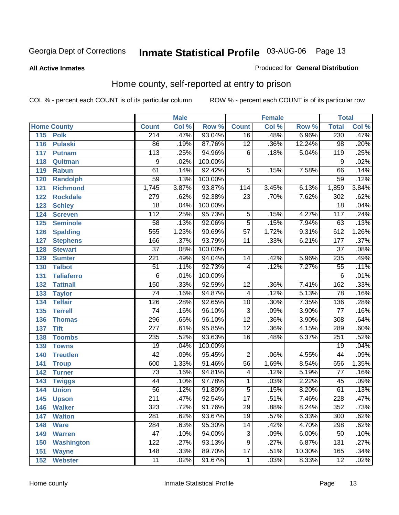#### **All Active Inmates**

#### Produced for **General Distribution**

### Home county, self-reported at entry to prison

|     | <b>Male</b>        |                  | Female |         |                 | <b>Total</b> |        |                  |       |
|-----|--------------------|------------------|--------|---------|-----------------|--------------|--------|------------------|-------|
|     | <b>Home County</b> | <b>Count</b>     | Col %  | Row %   | <b>Count</b>    | Col %        | Row %  | <b>Total</b>     | Col % |
| 115 | <b>Polk</b>        | 214              | .47%   | 93.04%  | $\overline{16}$ | .48%         | 6.96%  | 230              | .47%  |
| 116 | <b>Pulaski</b>     | 86               | .19%   | 87.76%  | $\overline{12}$ | .36%         | 12.24% | $\overline{98}$  | .20%  |
| 117 | <b>Putnam</b>      | 113              | .25%   | 94.96%  | 6               | .18%         | 5.04%  | 119              | .25%  |
| 118 | Quitman            | $\overline{9}$   | .02%   | 100.00% |                 |              |        | $\overline{9}$   | .02%  |
| 119 | <b>Rabun</b>       | 61               | .14%   | 92.42%  | 5               | .15%         | 7.58%  | 66               | .14%  |
| 120 | <b>Randolph</b>    | $\overline{59}$  | .13%   | 100.00% |                 |              |        | 59               | .12%  |
| 121 | <b>Richmond</b>    | 1,745            | 3.87%  | 93.87%  | 114             | 3.45%        | 6.13%  | 1,859            | 3.84% |
| 122 | <b>Rockdale</b>    | 279              | .62%   | 92.38%  | $\overline{23}$ | .70%         | 7.62%  | 302              | .62%  |
| 123 | <b>Schley</b>      | $\overline{18}$  | .04%   | 100.00% |                 |              |        | $\overline{18}$  | .04%  |
| 124 | <b>Screven</b>     | $\overline{112}$ | .25%   | 95.73%  | 5               | .15%         | 4.27%  | 117              | .24%  |
| 125 | <b>Seminole</b>    | $\overline{58}$  | .13%   | 92.06%  | $\overline{5}$  | .15%         | 7.94%  | 63               | .13%  |
| 126 | <b>Spalding</b>    | 555              | 1.23%  | 90.69%  | $\overline{57}$ | 1.72%        | 9.31%  | 612              | 1.26% |
| 127 | <b>Stephens</b>    | 166              | .37%   | 93.79%  | $\overline{11}$ | .33%         | 6.21%  | 177              | .37%  |
| 128 | <b>Stewart</b>     | $\overline{37}$  | .08%   | 100.00% |                 |              |        | $\overline{37}$  | .08%  |
| 129 | <b>Sumter</b>      | 221              | .49%   | 94.04%  | 14              | .42%         | 5.96%  | 235              | .49%  |
| 130 | <b>Talbot</b>      | $\overline{51}$  | .11%   | 92.73%  | 4               | .12%         | 7.27%  | $\overline{55}$  | .11%  |
| 131 | <b>Taliaferro</b>  | $\overline{6}$   | .01%   | 100.00% |                 |              |        | $\overline{6}$   | .01%  |
| 132 | <b>Tattnall</b>    | 150              | .33%   | 92.59%  | $\overline{12}$ | .36%         | 7.41%  | 162              | .33%  |
| 133 | <b>Taylor</b>      | $\overline{74}$  | .16%   | 94.87%  | 4               | .12%         | 5.13%  | $\overline{78}$  | .16%  |
| 134 | <b>Telfair</b>     | 126              | .28%   | 92.65%  | 10              | .30%         | 7.35%  | 136              | .28%  |
| 135 | <b>Terrell</b>     | $\overline{74}$  | .16%   | 96.10%  | $\overline{3}$  | .09%         | 3.90%  | $\overline{77}$  | .16%  |
| 136 | <b>Thomas</b>      | 296              | .66%   | 96.10%  | $\overline{12}$ | .36%         | 3.90%  | $\overline{308}$ | .64%  |
| 137 | <b>Tift</b>        | $\overline{277}$ | .61%   | 95.85%  | $\overline{12}$ | .36%         | 4.15%  | 289              | .60%  |
| 138 | <b>Toombs</b>      | 235              | .52%   | 93.63%  | 16              | .48%         | 6.37%  | 251              | .52%  |
| 139 | <b>Towns</b>       | $\overline{19}$  | .04%   | 100.00% |                 |              |        | $\overline{19}$  | .04%  |
| 140 | <b>Treutlen</b>    | $\overline{42}$  | .09%   | 95.45%  | $\overline{2}$  | .06%         | 4.55%  | $\overline{44}$  | .09%  |
| 141 | <b>Troup</b>       | 600              | 1.33%  | 91.46%  | $\overline{56}$ | 1.69%        | 8.54%  | 656              | 1.35% |
| 142 | <b>Turner</b>      | $\overline{73}$  | .16%   | 94.81%  | 4               | .12%         | 5.19%  | 77               | .16%  |
| 143 | <b>Twiggs</b>      | $\overline{44}$  | .10%   | 97.78%  | 1               | .03%         | 2.22%  | $\overline{45}$  | .09%  |
| 144 | <b>Union</b>       | $\overline{56}$  | .12%   | 91.80%  | $\overline{5}$  | .15%         | 8.20%  | 61               | .13%  |
| 145 | <b>Upson</b>       | $\overline{211}$ | .47%   | 92.54%  | $\overline{17}$ | .51%         | 7.46%  | 228              | .47%  |
| 146 | <b>Walker</b>      | 323              | .72%   | 91.76%  | 29              | .88%         | 8.24%  | 352              | .73%  |
| 147 | <b>Walton</b>      | 281              | .62%   | 93.67%  | $\overline{19}$ | .57%         | 6.33%  | 300              | .62%  |
| 148 | <b>Ware</b>        | 284              | .63%   | 95.30%  | 14              | .42%         | 4.70%  | 298              | .62%  |
| 149 | <b>Warren</b>      | $\overline{47}$  | .10%   | 94.00%  | 3               | .09%         | 6.00%  | 50               | .10%  |
| 150 | <b>Washington</b>  | 122              | .27%   | 93.13%  | 9               | .27%         | 6.87%  | 131              | .27%  |
| 151 | <b>Wayne</b>       | 148              | .33%   | 89.70%  | $\overline{17}$ | .51%         | 10.30% | 165              | .34%  |
| 152 | <b>Webster</b>     | 11               | .02%   | 91.67%  | 1               | .03%         | 8.33%  | $\overline{12}$  | .02%  |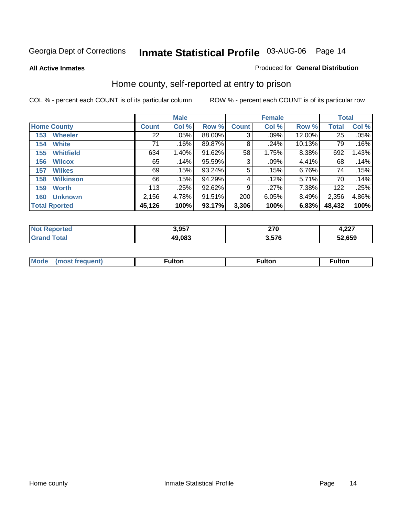#### **All Active Inmates**

#### Produced for **General Distribution**

### Home county, self-reported at entry to prison

|     |                      |              | <b>Male</b> |        |              | <b>Female</b> |        | <b>Total</b> |       |
|-----|----------------------|--------------|-------------|--------|--------------|---------------|--------|--------------|-------|
|     | <b>Home County</b>   | <b>Count</b> | Col %       | Row %  | <b>Count</b> | Col %         | Row %  | <b>Total</b> | Col % |
| 153 | <b>Wheeler</b>       | 22           | $.05\%$     | 88.00% | 3            | $.09\%$       | 12.00% | 25           | .05%  |
| 154 | <b>White</b>         | 71           | .16%        | 89.87% | 8            | .24%          | 10.13% | 79           | .16%  |
| 155 | <b>Whitfield</b>     | 634          | 1.40%       | 91.62% | 58           | 1.75%         | 8.38%  | 692          | 1.43% |
| 156 | <b>Wilcox</b>        | 65           | .14%        | 95.59% | 3            | $.09\%$       | 4.41%  | 68           | .14%  |
| 157 | <b>Wilkes</b>        | 69           | .15%        | 93.24% | 5            | .15%          | 6.76%  | 74           | .15%  |
| 158 | <b>Wilkinson</b>     | 66           | .15%        | 94.29% | 4            | .12%          | 5.71%  | 70           | .14%  |
| 159 | <b>Worth</b>         | 113          | .25%        | 92.62% | 9            | .27%          | 7.38%  | 122          | .25%  |
| 160 | <b>Unknown</b>       | 2,156        | 4.78%       | 91.51% | 200          | 6.05%         | 8.49%  | 2,356        | 4.86% |
|     | <b>Total Rported</b> | 45,126       | 100%        | 93.17% | 3,306        | 100%          | 6.83%  | 48,432       | 100%  |

| rted<br>ומשו      | 3,957  | 270<br>21 U<br>$\sim$ | דמה<br>4,ZZ . |
|-------------------|--------|-----------------------|---------------|
| <sup>-</sup> otal | 49,083 | 257C<br>J.J / O       | 52,659        |

| <b>Mode</b> | <b>ulton</b> | ⊺ulton | ultor |
|-------------|--------------|--------|-------|
|             |              |        |       |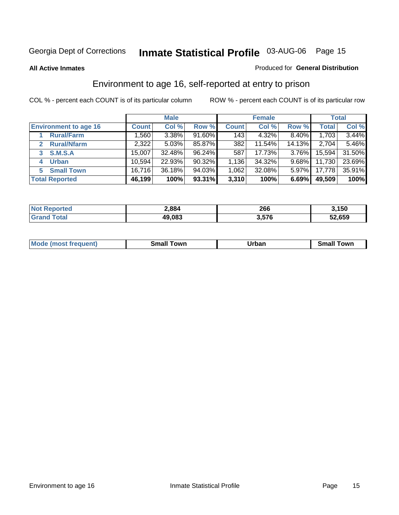#### **All Active Inmates**

#### Produced for **General Distribution**

### Environment to age 16, self-reported at entry to prison

|                              | <b>Male</b>  |        |           | <b>Female</b> |        |          | <b>Total</b> |        |
|------------------------------|--------------|--------|-----------|---------------|--------|----------|--------------|--------|
| <b>Environment to age 16</b> | <b>Count</b> | Col %  | Row %     | <b>Count</b>  | Col %  | Row %    | <b>Total</b> | Col %  |
| <b>Rural/Farm</b>            | ا 560. ا     | 3.38%  | $91.60\%$ | 143           | 4.32%  | 8.40%    | 1,703        | 3.44%  |
| <b>Rural/Nfarm</b>           | 2,322        | 5.03%  | 85.87%    | 382           | 11.54% | 14.13%   | 2,704        | 5.46%  |
| <b>S.M.S.A</b><br>3          | 15,007       | 32.48% | 96.24%    | 587           | 17.73% | $3.76\%$ | 15,594       | 31.50% |
| <b>Urban</b><br>4            | 10,594       | 22.93% | 90.32%    | 1,136         | 34.32% | $9.68\%$ | 11,730       | 23.69% |
| <b>Small Town</b><br>5.      | 16,716       | 36.18% | 94.03%    | 1,062         | 32.08% | $5.97\%$ | 17,778       | 35.91% |
| <b>Total Reported</b>        | 46,199       | 100%   | 93.31%    | 3,310         | 100%   | 6.69%    | 49,509       | 100%   |

| <b>Not Reported</b> | 2,884  | 266   | 3,150  |
|---------------------|--------|-------|--------|
| <b>Grand Total</b>  | 49,083 | 3,576 | 52,659 |

| <b>Mo</b> | own | <b>Irhar</b><br>_____ | $.0W^r$ |
|-----------|-----|-----------------------|---------|
|           |     |                       |         |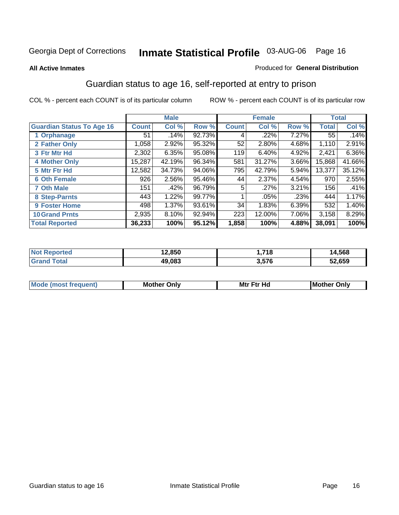#### **All Active Inmates**

#### Produced for **General Distribution**

### Guardian status to age 16, self-reported at entry to prison

|                                  | <b>Male</b>  |        | <b>Female</b> |              |        | <b>Total</b> |              |        |
|----------------------------------|--------------|--------|---------------|--------------|--------|--------------|--------------|--------|
| <b>Guardian Status To Age 16</b> | <b>Count</b> | Col %  | Row %         | <b>Count</b> | Col %  | Row %        | <b>Total</b> | Col %  |
| 1 Orphanage                      | 51           | .14%   | 92.73%        | 4            | .22%   | 7.27%        | 55           | .14%   |
| 2 Father Only                    | 1,058        | 2.92%  | 95.32%        | 52           | 2.80%  | 4.68%        | 1,110        | 2.91%  |
| 3 Ftr Mtr Hd                     | 2,302        | 6.35%  | 95.08%        | 119          | 6.40%  | 4.92%        | 2,421        | 6.36%  |
| <b>4 Mother Only</b>             | 15,287       | 42.19% | 96.34%        | 581          | 31.27% | 3.66%        | 15,868       | 41.66% |
| 5 Mtr Ftr Hd                     | 12,582       | 34.73% | 94.06%        | 795          | 42.79% | 5.94%        | 13,377       | 35.12% |
| <b>6 Oth Female</b>              | 926          | 2.56%  | 95.46%        | 44           | 2.37%  | 4.54%        | 970          | 2.55%  |
| <b>7 Oth Male</b>                | 151          | .42%   | 96.79%        | 5            | .27%   | 3.21%        | 156          | .41%   |
| 8 Step-Parnts                    | 443          | 1.22%  | 99.77%        |              | .05%   | .23%         | 444          | 1.17%  |
| 9 Foster Home                    | 498          | 1.37%  | 93.61%        | 34           | 1.83%  | 6.39%        | 532          | 1.40%  |
| <b>10 Grand Prnts</b>            | 2,935        | 8.10%  | 92.94%        | 223          | 12.00% | 7.06%        | 3,158        | 8.29%  |
| <b>Total Reported</b>            | 36,233       | 100%   | 95.12%        | 1,858        | 100%   | 4.88%        | 38,091       | 100%   |

| <b>Not Reported</b> | 12,850 | 718,  | 14,568 |
|---------------------|--------|-------|--------|
| Grand Total         | 49,083 | 3,576 | 52,659 |

| <b>Mou</b> | <b>Mother</b><br>Onlv | Hд<br>Mtr Ftr | Only<br>lMoth |
|------------|-----------------------|---------------|---------------|
|            |                       |               |               |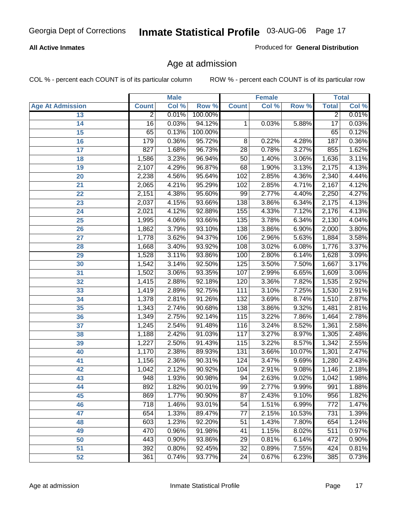#### **All Active Inmates**

Produced for **General Distribution**

### Age at admission

|                         | <b>Male</b>     |       | <b>Female</b> |                 |       | <b>Total</b> |                 |       |
|-------------------------|-----------------|-------|---------------|-----------------|-------|--------------|-----------------|-------|
| <b>Age At Admission</b> | <b>Count</b>    | Col % | Row %         | <b>Count</b>    | Col % | Row %        | <b>Total</b>    | Col % |
| 13                      | $\overline{2}$  | 0.01% | 100.00%       |                 |       |              | $\overline{2}$  | 0.01% |
| 14                      | $\overline{16}$ | 0.03% | 94.12%        | 1               | 0.03% | 5.88%        | $\overline{17}$ | 0.03% |
| $\overline{15}$         | 65              | 0.13% | 100.00%       |                 |       |              | 65              | 0.12% |
| 16                      | 179             | 0.36% | 95.72%        | 8               | 0.22% | 4.28%        | 187             | 0.36% |
| $\overline{17}$         | 827             | 1.68% | 96.73%        | $\overline{28}$ | 0.78% | 3.27%        | 855             | 1.62% |
| 18                      | 1,586           | 3.23% | 96.94%        | $\overline{50}$ | 1.40% | 3.06%        | 1,636           | 3.11% |
| 19                      | 2,107           | 4.29% | 96.87%        | 68              | 1.90% | 3.13%        | 2,175           | 4.13% |
| 20                      | 2,238           | 4.56% | 95.64%        | 102             | 2.85% | 4.36%        | 2,340           | 4.44% |
| 21                      | 2,065           | 4.21% | 95.29%        | 102             | 2.85% | 4.71%        | 2,167           | 4.12% |
| 22                      | 2,151           | 4.38% | 95.60%        | 99              | 2.77% | 4.40%        | 2,250           | 4.27% |
| 23                      | 2,037           | 4.15% | 93.66%        | 138             | 3.86% | 6.34%        | 2,175           | 4.13% |
| 24                      | 2,021           | 4.12% | 92.88%        | 155             | 4.33% | 7.12%        | 2,176           | 4.13% |
| $\overline{25}$         | 1,995           | 4.06% | 93.66%        | 135             | 3.78% | 6.34%        | 2,130           | 4.04% |
| 26                      | 1,862           | 3.79% | 93.10%        | 138             | 3.86% | 6.90%        | 2,000           | 3.80% |
| 27                      | 1,778           | 3.62% | 94.37%        | 106             | 2.96% | 5.63%        | 1,884           | 3.58% |
| 28                      | 1,668           | 3.40% | 93.92%        | 108             | 3.02% | 6.08%        | 1,776           | 3.37% |
| 29                      | 1,528           | 3.11% | 93.86%        | 100             | 2.80% | 6.14%        | 1,628           | 3.09% |
| 30                      | 1,542           | 3.14% | 92.50%        | 125             | 3.50% | 7.50%        | 1,667           | 3.17% |
| 31                      | 1,502           | 3.06% | 93.35%        | 107             | 2.99% | 6.65%        | 1,609           | 3.06% |
| 32                      | 1,415           | 2.88% | 92.18%        | 120             | 3.36% | 7.82%        | 1,535           | 2.92% |
| 33                      | 1,419           | 2.89% | 92.75%        | 111             | 3.10% | 7.25%        | 1,530           | 2.91% |
| 34                      | 1,378           | 2.81% | 91.26%        | 132             | 3.69% | 8.74%        | 1,510           | 2.87% |
| 35                      | 1,343           | 2.74% | 90.68%        | 138             | 3.86% | 9.32%        | 1,481           | 2.81% |
| 36                      | 1,349           | 2.75% | 92.14%        | 115             | 3.22% | 7.86%        | 1,464           | 2.78% |
| 37                      | 1,245           | 2.54% | 91.48%        | 116             | 3.24% | 8.52%        | 1,361           | 2.58% |
| 38                      | 1,188           | 2.42% | 91.03%        | 117             | 3.27% | 8.97%        | 1,305           | 2.48% |
| 39                      | 1,227           | 2.50% | 91.43%        | 115             | 3.22% | 8.57%        | 1,342           | 2.55% |
| 40                      | 1,170           | 2.38% | 89.93%        | 131             | 3.66% | 10.07%       | 1,301           | 2.47% |
| 41                      | 1,156           | 2.36% | 90.31%        | 124             | 3.47% | 9.69%        | 1,280           | 2.43% |
| 42                      | 1,042           | 2.12% | 90.92%        | 104             | 2.91% | 9.08%        | 1,146           | 2.18% |
| 43                      | 948             | 1.93% | 90.98%        | 94              | 2.63% | 9.02%        | 1,042           | 1.98% |
| 44                      | 892             | 1.82% | 90.01%        | 99              | 2.77% | $9.99\%$     | 991             | 1.88% |
| 45                      | 869             | 1.77% | 90.90%        | 87              | 2.43% | 9.10%        | 956             | 1.82% |
| 46                      | 718             | 1.46% | 93.01%        | 54              | 1.51% | 6.99%        | 772             | 1.47% |
| 47                      | 654             | 1.33% | 89.47%        | 77              | 2.15% | 10.53%       | 731             | 1.39% |
| 48                      | 603             | 1.23% | 92.20%        | 51              | 1.43% | 7.80%        | 654             | 1.24% |
| 49                      | 470             | 0.96% | 91.98%        | 41              | 1.15% | 8.02%        | 511             | 0.97% |
| 50                      | 443             | 0.90% | 93.86%        | 29              | 0.81% | 6.14%        | 472             | 0.90% |
| 51                      | 392             | 0.80% | 92.45%        | $\overline{32}$ | 0.89% | 7.55%        | 424             | 0.81% |
| 52                      | 361             | 0.74% | 93.77%        | 24              | 0.67% | 6.23%        | 385             | 0.73% |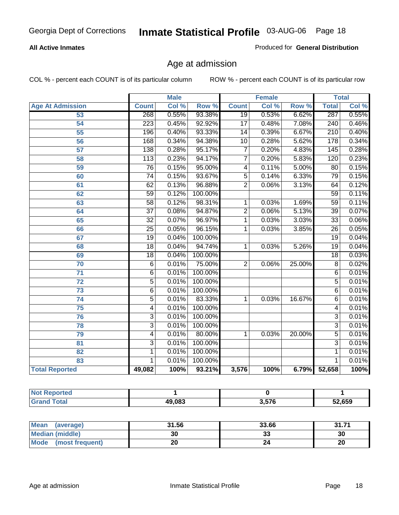#### **All Active Inmates**

Produced for **General Distribution**

### Age at admission

|                         | <b>Male</b>      |       | <b>Female</b> |                 |       | <b>Total</b> |                  |       |
|-------------------------|------------------|-------|---------------|-----------------|-------|--------------|------------------|-------|
| <b>Age At Admission</b> | <b>Count</b>     | Col % | Row %         | <b>Count</b>    | Col % | Row %        | <b>Total</b>     | Col % |
| 53                      | 268              | 0.55% | 93.38%        | $\overline{19}$ | 0.53% | 6.62%        | 287              | 0.55% |
| $\overline{54}$         | $\overline{223}$ | 0.45% | 92.92%        | $\overline{17}$ | 0.48% | 7.08%        | $\overline{240}$ | 0.46% |
| $\overline{55}$         | 196              | 0.40% | 93.33%        | $\overline{14}$ | 0.39% | 6.67%        | $\overline{210}$ | 0.40% |
| $\overline{56}$         | 168              | 0.34% | 94.38%        | $\overline{10}$ | 0.28% | 5.62%        | 178              | 0.34% |
| 57                      | 138              | 0.28% | 95.17%        | 7               | 0.20% | 4.83%        | 145              | 0.28% |
| 58                      | $\overline{113}$ | 0.23% | 94.17%        | $\overline{7}$  | 0.20% | 5.83%        | 120              | 0.23% |
| 59                      | 76               | 0.15% | 95.00%        | 4               | 0.11% | 5.00%        | 80               | 0.15% |
| 60                      | $\overline{74}$  | 0.15% | 93.67%        | $\overline{5}$  | 0.14% | 6.33%        | 79               | 0.15% |
| 61                      | $\overline{62}$  | 0.13% | 96.88%        | $\overline{2}$  | 0.06% | 3.13%        | 64               | 0.12% |
| 62                      | $\overline{59}$  | 0.12% | 100.00%       |                 |       |              | $\overline{59}$  | 0.11% |
| 63                      | $\overline{58}$  | 0.12% | 98.31%        | 1               | 0.03% | 1.69%        | $\overline{59}$  | 0.11% |
| 64                      | $\overline{37}$  | 0.08% | 94.87%        | $\overline{2}$  | 0.06% | 5.13%        | $\overline{39}$  | 0.07% |
| 65                      | $\overline{32}$  | 0.07% | 96.97%        | $\overline{1}$  | 0.03% | 3.03%        | $\overline{33}$  | 0.06% |
| 66                      | $\overline{25}$  | 0.05% | 96.15%        | 1               | 0.03% | 3.85%        | $\overline{26}$  | 0.05% |
| 67                      | $\overline{19}$  | 0.04% | 100.00%       |                 |       |              | $\overline{19}$  | 0.04% |
| 68                      | 18               | 0.04% | 94.74%        | 1               | 0.03% | 5.26%        | $\overline{19}$  | 0.04% |
| 69                      | $\overline{18}$  | 0.04% | 100.00%       |                 |       |              | $\overline{18}$  | 0.03% |
| $\overline{70}$         | $\overline{6}$   | 0.01% | 75.00%        | $\overline{2}$  | 0.06% | 25.00%       | $\overline{8}$   | 0.02% |
| $\overline{71}$         | $\overline{6}$   | 0.01% | 100.00%       |                 |       |              | $\overline{6}$   | 0.01% |
| $\overline{72}$         | $\overline{5}$   | 0.01% | 100.00%       |                 |       |              | $\overline{5}$   | 0.01% |
| $\overline{73}$         | $\overline{6}$   | 0.01% | 100.00%       |                 |       |              | $\overline{6}$   | 0.01% |
| $\overline{74}$         | $\overline{5}$   | 0.01% | 83.33%        | 1               | 0.03% | 16.67%       | $\overline{6}$   | 0.01% |
| $\overline{75}$         | $\overline{4}$   | 0.01% | 100.00%       |                 |       |              | $\overline{4}$   | 0.01% |
| 76                      | $\overline{3}$   | 0.01% | 100.00%       |                 |       |              | $\overline{3}$   | 0.01% |
| 78                      | $\overline{3}$   | 0.01% | 100.00%       |                 |       |              | $\overline{3}$   | 0.01% |
| 79                      | 4                | 0.01% | 80.00%        | 1               | 0.03% | 20.00%       | $\overline{5}$   | 0.01% |
| 81                      | $\overline{3}$   | 0.01% | 100.00%       |                 |       |              | $\overline{3}$   | 0.01% |
| $\overline{82}$         | $\mathbf{1}$     | 0.01% | 100.00%       |                 |       |              | 1                | 0.01% |
| 83                      | 1                | 0.01% | 100.00%       |                 |       |              | 1                | 0.01% |
| <b>Total Reported</b>   | 49,082           | 100%  | 93.21%        | 3,576           | 100%  | 6.79%        | 52,658           | 100%  |

| ported<br><b>NOT</b><br>ner |        |       |        |
|-----------------------------|--------|-------|--------|
| ⊺otai                       | 49,083 | 3,576 | 52,659 |

| Mean (average)       | 31.56 | 33.66    | 24, 74<br>31.7T |
|----------------------|-------|----------|-----------------|
| Median (middle)      | 30    | n.<br>33 | 30              |
| Mode (most frequent) | 20    |          | 20              |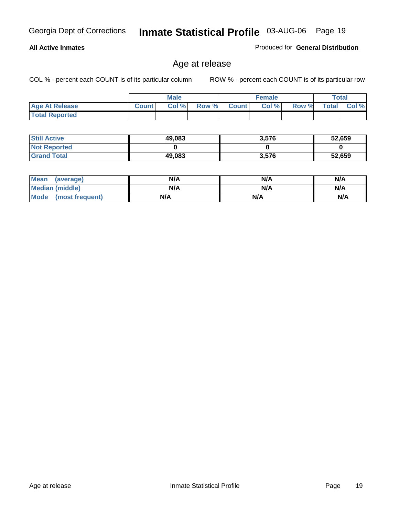#### **All Active Inmates**

Produced for **General Distribution**

### Age at release

|                       | <b>Male</b>  |      | <b>Female</b> |              |       | <b>Total</b> |              |       |
|-----------------------|--------------|------|---------------|--------------|-------|--------------|--------------|-------|
| <b>Age At Release</b> | <b>Count</b> | Col% | Row %         | <b>Count</b> | Col % | Row %        | <b>Total</b> | Col % |
| <b>Total Reported</b> |              |      |               |              |       |              |              |       |

| <b>Still Active</b> | 49,083 | 3,576 | 52,659 |
|---------------------|--------|-------|--------|
| <b>Not Reported</b> |        |       |        |
| <b>Grand Total</b>  | 49,083 | 3,576 | 52,659 |

| Mean (average)       | N/A | N/A | N/A |
|----------------------|-----|-----|-----|
| Median (middle)      | N/A | N/A | N/A |
| Mode (most frequent) | N/A | N/A | N/A |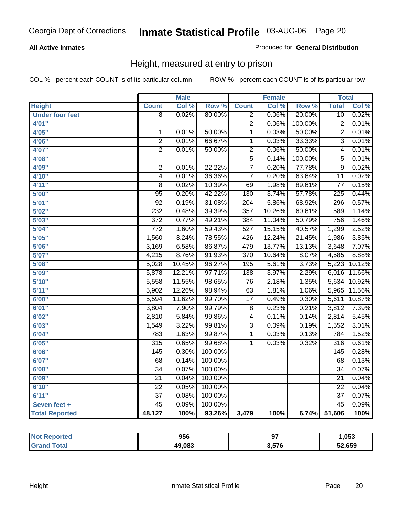#### **All Active Inmates**

Produced for **General Distribution**

### Height, measured at entry to prison

|                        |                  | <b>Male</b> |                  |                         | <b>Female</b> |         | <b>Total</b>     |        |
|------------------------|------------------|-------------|------------------|-------------------------|---------------|---------|------------------|--------|
| <b>Height</b>          | <b>Count</b>     | Col %       | Row <sup>%</sup> | <b>Count</b>            | Col %         | Row %   | <b>Total</b>     | Col %  |
| <b>Under four feet</b> | $\overline{8}$   | 0.02%       | 80.00%           | $\overline{2}$          | 0.06%         | 20.00%  | 10               | 0.02%  |
| 4'01"                  |                  |             |                  | $\overline{2}$          | 0.06%         | 100.00% | $\overline{2}$   | 0.01%  |
| 4'05"                  | $\mathbf{1}$     | 0.01%       | 50.00%           | $\overline{1}$          | 0.03%         | 50.00%  | $\overline{2}$   | 0.01%  |
| 4'06"                  | $\overline{2}$   | 0.01%       | 66.67%           | 1                       | 0.03%         | 33.33%  | $\overline{3}$   | 0.01%  |
| 4'07"                  | $\overline{2}$   | 0.01%       | 50.00%           | $\overline{2}$          | 0.06%         | 50.00%  | 4                | 0.01%  |
| 4'08"                  |                  |             |                  | $\overline{5}$          | 0.14%         | 100.00% | 5                | 0.01%  |
| 4'09"                  | $\overline{c}$   | 0.01%       | 22.22%           | $\overline{7}$          | 0.20%         | 77.78%  | $\overline{9}$   | 0.02%  |
| 4'10"                  | 4                | 0.01%       | 36.36%           | $\overline{7}$          | 0.20%         | 63.64%  | 11               | 0.02%  |
| 4'11''                 | $\overline{8}$   | 0.02%       | 10.39%           | 69                      | 1.98%         | 89.61%  | $\overline{77}$  | 0.15%  |
| 5'00''                 | $\overline{95}$  | 0.20%       | 42.22%           | $\overline{130}$        | 3.74%         | 57.78%  | $\overline{225}$ | 0.44%  |
| 5'01''                 | $\overline{92}$  | 0.19%       | 31.08%           | $\overline{204}$        | 5.86%         | 68.92%  | 296              | 0.57%  |
| 5'02''                 | 232              | 0.48%       | 39.39%           | $\overline{357}$        | 10.26%        | 60.61%  | 589              | 1.14%  |
| 5'03''                 | $\overline{372}$ | 0.77%       | 49.21%           | 384                     | 11.04%        | 50.79%  | 756              | 1.46%  |
| 5'04''                 | $\overline{772}$ | 1.60%       | 59.43%           | $\overline{527}$        | 15.15%        | 40.57%  | 1,299            | 2.52%  |
| 5'05''                 | 1,560            | 3.24%       | 78.55%           | 426                     | 12.24%        | 21.45%  | 1,986            | 3.85%  |
| 5'06''                 | 3,169            | 6.58%       | 86.87%           | 479                     | 13.77%        | 13.13%  | 3,648            | 7.07%  |
| 5'07''                 | 4,215            | 8.76%       | 91.93%           | 370                     | 10.64%        | 8.07%   | 4,585            | 8.88%  |
| 5'08''                 | 5,028            | 10.45%      | 96.27%           | 195                     | 5.61%         | 3.73%   | 5,223            | 10.12% |
| 5'09''                 | 5,878            | 12.21%      | 97.71%           | 138                     | 3.97%         | 2.29%   | 6,016            | 11.66% |
| 5'10''                 | 5,558            | 11.55%      | 98.65%           | $\overline{76}$         | 2.18%         | 1.35%   | 5,634            | 10.92% |
| 5'11''                 | 5,902            | 12.26%      | 98.94%           | 63                      | 1.81%         | 1.06%   | 5,965            | 11.56% |
| 6'00''                 | 5,594            | 11.62%      | 99.70%           | $\overline{17}$         | 0.49%         | 0.30%   | 5,611            | 10.87% |
| 6'01''                 | 3,804            | 7.90%       | 99.79%           | 8                       | 0.23%         | 0.21%   | 3,812            | 7.39%  |
| 6'02''                 | 2,810            | 5.84%       | 99.86%           | $\overline{\mathbf{4}}$ | 0.11%         | 0.14%   | 2,814            | 5.45%  |
| 6'03''                 | 1,549            | 3.22%       | 99.81%           | $\overline{3}$          | 0.09%         | 0.19%   | 1,552            | 3.01%  |
| 6'04''                 | 783              | 1.63%       | 99.87%           | $\overline{1}$          | 0.03%         | 0.13%   | 784              | 1.52%  |
| 6'05''                 | $\overline{315}$ | 0.65%       | 99.68%           | 1                       | 0.03%         | 0.32%   | $\overline{316}$ | 0.61%  |
| 6'06''                 | $\overline{145}$ | 0.30%       | 100.00%          |                         |               |         | 145              | 0.28%  |
| 6'07''                 | 68               | 0.14%       | 100.00%          |                         |               |         | 68               | 0.13%  |
| 6'08''                 | $\overline{34}$  | 0.07%       | 100.00%          |                         |               |         | $\overline{34}$  | 0.07%  |
| 6'09''                 | $\overline{21}$  | 0.04%       | 100.00%          |                         |               |         | $\overline{21}$  | 0.04%  |
| 6'10''                 | $\overline{22}$  | 0.05%       | 100.00%          |                         |               |         | $\overline{22}$  | 0.04%  |
| 6'11''                 | $\overline{37}$  | 0.08%       | 100.00%          |                         |               |         | $\overline{37}$  | 0.07%  |
| Seven feet +           | $\overline{45}$  | 0.09%       | 100.00%          |                         |               |         | $\overline{45}$  | 0.09%  |
| <b>Total Reported</b>  | 48,127           | 100%        | 93.26%           | 3,479                   | 100%          | 6.74%   | 51,606           | 100%   |

| <b>Reported</b><br>' NOT | 956    | ~-    | ,053   |
|--------------------------|--------|-------|--------|
| <b>Total</b><br>. Grar   | 49,083 | 3,576 | 52,659 |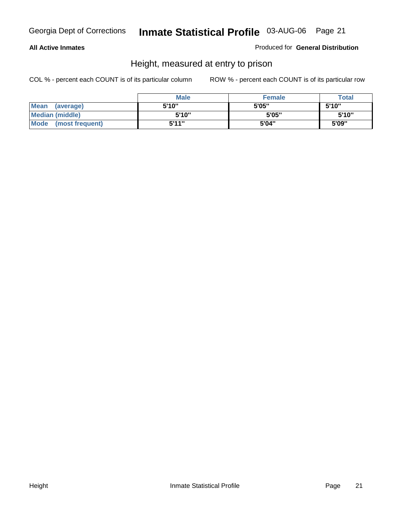#### **All Active Inmates**

Produced for **General Distribution**

### Height, measured at entry to prison

|                        | <b>Male</b> | <b>Female</b> | <b>Total</b> |
|------------------------|-------------|---------------|--------------|
| Mean (average)         | 5'10"       | 5'05"         | 5'10''       |
| <b>Median (middle)</b> | 5'10''      | 5'05"         | 5'10''       |
| Mode (most frequent)   | 5'11"       | 5'04"         | 5'09"        |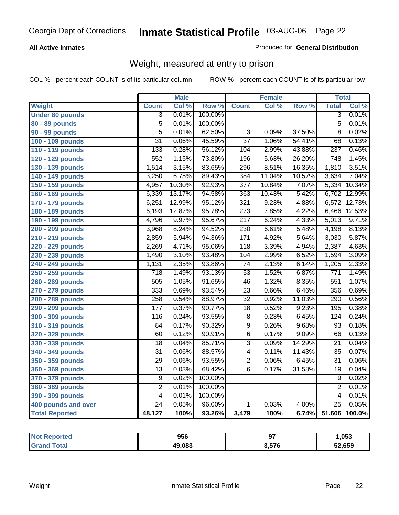#### **All Active Inmates**

#### Produced for **General Distribution**

### Weight, measured at entry to prison

|                        |                  | <b>Male</b> |         |                  | <b>Female</b> |        | <b>Total</b>     |        |
|------------------------|------------------|-------------|---------|------------------|---------------|--------|------------------|--------|
| Weight                 | <b>Count</b>     | Col %       | Row %   | <b>Count</b>     | Col %         | Row %  | <b>Total</b>     | Col %  |
| <b>Under 80 pounds</b> | $\overline{3}$   | 0.01%       | 100.00% |                  |               |        | $\overline{3}$   | 0.01%  |
| 80 - 89 pounds         | $\overline{5}$   | 0.01%       | 100.00% |                  |               |        | $\overline{5}$   | 0.01%  |
| 90 - 99 pounds         | $\overline{5}$   | 0.01%       | 62.50%  | $\overline{3}$   | 0.09%         | 37.50% | $\overline{8}$   | 0.02%  |
| 100 - 109 pounds       | $\overline{31}$  | 0.06%       | 45.59%  | $\overline{37}$  | 1.06%         | 54.41% | 68               | 0.13%  |
| 110 - 119 pounds       | $\overline{133}$ | 0.28%       | 56.12%  | 104              | 2.99%         | 43.88% | 237              | 0.46%  |
| 120 - 129 pounds       | 552              | 1.15%       | 73.80%  | 196              | 5.63%         | 26.20% | 748              | 1.45%  |
| 130 - 139 pounds       | 1,514            | 3.15%       | 83.65%  | 296              | 8.51%         | 16.35% | 1,810            | 3.51%  |
| 140 - 149 pounds       | 3,250            | 6.75%       | 89.43%  | 384              | 11.04%        | 10.57% | 3,634            | 7.04%  |
| 150 - 159 pounds       | 4,957            | 10.30%      | 92.93%  | $\overline{377}$ | 10.84%        | 7.07%  | 5,334            | 10.34% |
| 160 - 169 pounds       | 6,339            | 13.17%      | 94.58%  | $\overline{363}$ | 10.43%        | 5.42%  | 6,702            | 12.99% |
| 170 - 179 pounds       | 6,251            | 12.99%      | 95.12%  | 321              | 9.23%         | 4.88%  | 6,572            | 12.73% |
| 180 - 189 pounds       | 6,193            | 12.87%      | 95.78%  | $\overline{273}$ | 7.85%         | 4.22%  | 6,466            | 12.53% |
| 190 - 199 pounds       | 4,796            | 9.97%       | 95.67%  | $\overline{217}$ | 6.24%         | 4.33%  | 5,013            | 9.71%  |
| 200 - 209 pounds       | 3,968            | 8.24%       | 94.52%  | 230              | 6.61%         | 5.48%  | 4,198            | 8.13%  |
| 210 - 219 pounds       | 2,859            | 5.94%       | 94.36%  | 171              | 4.92%         | 5.64%  | 3,030            | 5.87%  |
| 220 - 229 pounds       | 2,269            | 4.71%       | 95.06%  | $\overline{118}$ | 3.39%         | 4.94%  | 2,387            | 4.63%  |
| 230 - 239 pounds       | 1,490            | 3.10%       | 93.48%  | 104              | 2.99%         | 6.52%  | 1,594            | 3.09%  |
| 240 - 249 pounds       | 1,131            | 2.35%       | 93.86%  | $\overline{74}$  | 2.13%         | 6.14%  | 1,205            | 2.33%  |
| 250 - 259 pounds       | $\overline{718}$ | 1.49%       | 93.13%  | $\overline{53}$  | 1.52%         | 6.87%  | $\overline{771}$ | 1.49%  |
| 260 - 269 pounds       | $\overline{505}$ | 1.05%       | 91.65%  | 46               | 1.32%         | 8.35%  | $\overline{551}$ | 1.07%  |
| 270 - 279 pounds       | 333              | 0.69%       | 93.54%  | $\overline{23}$  | 0.66%         | 6.46%  | 356              | 0.69%  |
| 280 - 289 pounds       | 258              | 0.54%       | 88.97%  | $\overline{32}$  | 0.92%         | 11.03% | 290              | 0.56%  |
| 290 - 299 pounds       | 177              | 0.37%       | 90.77%  | $\overline{18}$  | 0.52%         | 9.23%  | 195              | 0.38%  |
| 300 - 309 pounds       | 116              | 0.24%       | 93.55%  | $\overline{8}$   | 0.23%         | 6.45%  | 124              | 0.24%  |
| 310 - 319 pounds       | 84               | 0.17%       | 90.32%  | $\overline{9}$   | 0.26%         | 9.68%  | $\overline{93}$  | 0.18%  |
| 320 - 329 pounds       | 60               | 0.12%       | 90.91%  | $\overline{6}$   | 0.17%         | 9.09%  | 66               | 0.13%  |
| 330 - 339 pounds       | 18               | 0.04%       | 85.71%  | $\overline{3}$   | 0.09%         | 14.29% | $\overline{21}$  | 0.04%  |
| 340 - 349 pounds       | $\overline{31}$  | 0.06%       | 88.57%  | $\overline{4}$   | 0.11%         | 11.43% | $\overline{35}$  | 0.07%  |
| 350 - 359 pounds       | $\overline{29}$  | 0.06%       | 93.55%  | $\overline{2}$   | 0.06%         | 6.45%  | $\overline{31}$  | 0.06%  |
| 360 - 369 pounds       | $\overline{13}$  | 0.03%       | 68.42%  | $\overline{6}$   | 0.17%         | 31.58% | $\overline{19}$  | 0.04%  |
| 370 - 379 pounds       | $\overline{9}$   | 0.02%       | 100.00% |                  |               |        | 9                | 0.02%  |
| 380 - 389 pounds       | $\overline{2}$   | 0.01%       | 100.00% |                  |               |        | $\overline{2}$   | 0.01%  |
| 390 - 399 pounds       | $\overline{4}$   | 0.01%       | 100.00% |                  |               |        | 4                | 0.01%  |
| 400 pounds and over    | $\overline{24}$  | 0.05%       | 96.00%  | $\mathbf{1}$     | 0.03%         | 4.00%  | $\overline{25}$  | 0.05%  |
| <b>Total Reported</b>  | 48,127           | 100%        | 93.26%  | 3,479            | 100%          | 6.74%  | 51,606           | 100.0% |

| <b>Not</b><br><b>Reported</b> | 956    | -21             | ,053   |
|-------------------------------|--------|-----------------|--------|
| <b>Total</b>                  | 49.083 | E7C<br>- J.J/ L | 52,659 |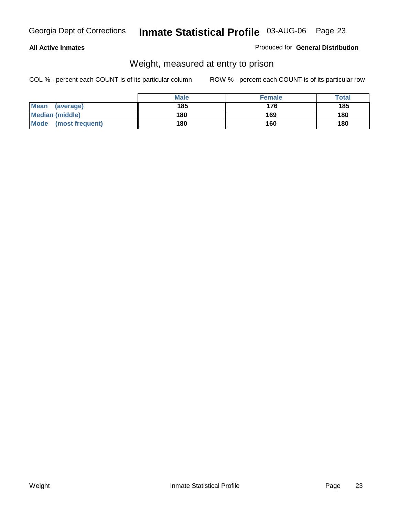#### **All Active Inmates**

#### Produced for **General Distribution**

### Weight, measured at entry to prison

|                          | <b>Male</b> | <b>Female</b> | Total |
|--------------------------|-------------|---------------|-------|
| <b>Mean</b><br>(average) | 185         | 176           | 185   |
| <b>Median (middle)</b>   | 180         | 169           | 180   |
| Mode<br>(most frequent)  | 180         | 160           | 180   |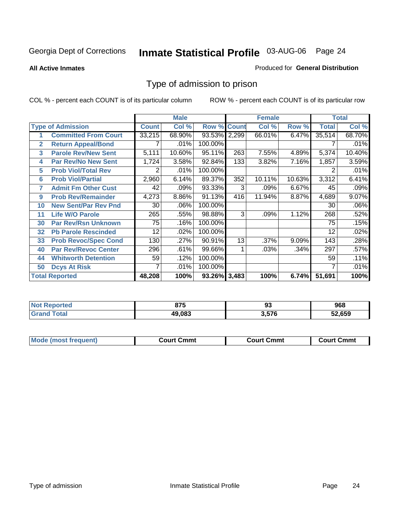#### **All Active Inmates**

#### Produced for **General Distribution**

### Type of admission to prison

|                |                             |              | <b>Male</b> |                    |     | <b>Female</b> |        |              | <b>Total</b> |
|----------------|-----------------------------|--------------|-------------|--------------------|-----|---------------|--------|--------------|--------------|
|                | <b>Type of Admission</b>    | <b>Count</b> | Col %       | <b>Row % Count</b> |     | Col %         | Row %  | <b>Total</b> | Col %        |
| 1              | <b>Committed From Court</b> | 33,215       | 68.90%      | 93.53% 2,299       |     | 66.01%        | 6.47%  | 35,514       | 68.70%       |
| $\overline{2}$ | <b>Return Appeal/Bond</b>   |              | .01%        | 100.00%            |     |               |        |              | .01%         |
| 3              | <b>Parole Rev/New Sent</b>  | 5,111        | 10.60%      | 95.11%             | 263 | 7.55%         | 4.89%  | 5,374        | 10.40%       |
| 4              | <b>Par Rev/No New Sent</b>  | 1,724        | 3.58%       | 92.84%             | 133 | 3.82%         | 7.16%  | 1,857        | 3.59%        |
| 5              | <b>Prob Viol/Total Rev</b>  | 2            | .01%        | 100.00%            |     |               |        |              | .01%         |
| 6              | <b>Prob Viol/Partial</b>    | 2,960        | 6.14%       | 89.37%             | 352 | 10.11%        | 10.63% | 3,312        | 6.41%        |
| 7              | <b>Admit Fm Other Cust</b>  | 42           | .09%        | 93.33%             | 3   | .09%          | 6.67%  | 45           | .09%         |
| 9              | <b>Prob Rev/Remainder</b>   | 4,273        | 8.86%       | 91.13%             | 416 | 11.94%        | 8.87%  | 4,689        | 9.07%        |
| 10             | <b>New Sent/Par Rev Pnd</b> | 30           | .06%        | 100.00%            |     |               |        | 30           | .06%         |
| 11             | <b>Life W/O Parole</b>      | 265          | .55%        | 98.88%             | 3   | .09%          | 1.12%  | 268          | .52%         |
| 30             | <b>Par Rev/Rsn Unknown</b>  | 75           | .16%        | 100.00%            |     |               |        | 75           | .15%         |
| 32             | <b>Pb Parole Rescinded</b>  | 12           | .02%        | 100.00%            |     |               |        | 12           | .02%         |
| 33             | <b>Prob Revoc/Spec Cond</b> | 130          | .27%        | 90.91%             | 13  | .37%          | 9.09%  | 143          | .28%         |
| 40             | <b>Par Rev/Revoc Center</b> | 296          | .61%        | 99.66%             |     | .03%          | .34%   | 297          | .57%         |
| 44             | <b>Whitworth Detention</b>  | 59           | .12%        | 100.00%            |     |               |        | 59           | .11%         |
| 50             | <b>Dcys At Risk</b>         | 7            | .01%        | 100.00%            |     |               |        |              | .01%         |
|                | <b>Total Reported</b>       | 48,208       | 100%        | 93.26% 3,483       |     | 100%          | 6.74%  | 51,691       | 100%         |

| Reported<br><b>NOT</b> | 87F<br>U I J | ื้งง  | 968    |
|------------------------|--------------|-------|--------|
| ota<br>Gr              | 49.083       | 3.576 | 52.659 |

| Mo<br>Cmmt<br>Cmmt<br>Court Cmmt<br>:nurt<br>∵∩urt เ<br>most trea |  |  |
|-------------------------------------------------------------------|--|--|
|                                                                   |  |  |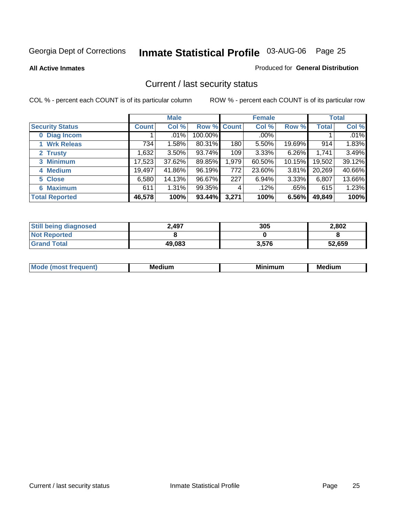**All Active Inmates**

#### Produced for **General Distribution**

### Current / last security status

|                        |              | <b>Male</b> |             |       | <b>Female</b> |          |              | <b>Total</b> |
|------------------------|--------------|-------------|-------------|-------|---------------|----------|--------------|--------------|
| <b>Security Status</b> | <b>Count</b> | Col %       | Row % Count |       | Col %         | Row %    | <b>Total</b> | Col %        |
| 0 Diag Incom           |              | .01%        | 100.00%     |       | $.00\%$       |          |              | .01%         |
| 1 Wrk Releas           | 734          | 1.58%       | 80.31%      | 180   | 5.50%         | 19.69%   | 914          | 1.83%        |
| 2 Trusty               | ,632         | $3.50\%$    | 93.74%      | 109   | 3.33%         | 6.26%    | 1,741        | 3.49%        |
| 3 Minimum              | 17,523       | 37.62%      | 89.85%      | 1,979 | 60.50%        | 10.15%   | 19,502       | 39.12%       |
| 4 Medium               | 19,497       | 41.86%      | 96.19%      | 772   | 23.60%        | $3.81\%$ | 20,269       | 40.66%       |
| 5 Close                | 6,580        | 14.13%      | 96.67%      | 227   | 6.94%         | 3.33%    | 6,807        | 13.66%       |
| <b>6 Maximum</b>       | 611          | 1.31%       | 99.35%      | 4     | .12%          | .65%     | 615          | 1.23%        |
| <b>Total Reported</b>  | 46,578       | 100%        | 93.44%      | 3,271 | 100%          | 6.56%    | 49,849       | 100%         |

| <b>Still being diagnosed</b> | 2,497  | 305   | 2,802  |
|------------------------------|--------|-------|--------|
| <b>Not Reported</b>          |        |       |        |
| <b>Grand Total</b>           | 49,083 | 3,576 | 52,659 |

| $M_{\Omega}$<br>יחב | M۵<br>dium | <b>BAL.</b><br>num | Mer<br>dium |
|---------------------|------------|--------------------|-------------|
|                     |            |                    |             |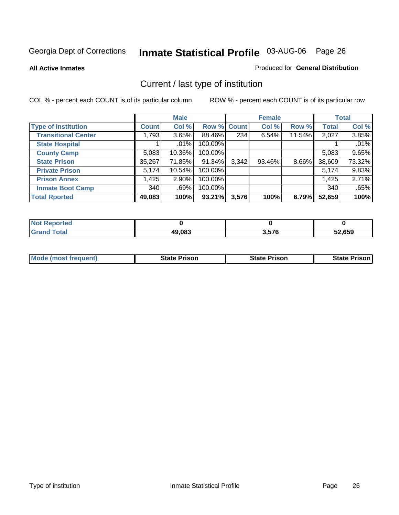**All Active Inmates**

#### Produced for **General Distribution**

### Current / last type of institution

|                            |              | <b>Male</b> |             |       | <b>Female</b> |        |              | <b>Total</b> |
|----------------------------|--------------|-------------|-------------|-------|---------------|--------|--------------|--------------|
| <b>Type of Institution</b> | <b>Count</b> | Col %       | Row % Count |       | Col %         | Row %  | <b>Total</b> | Col %        |
| <b>Transitional Center</b> | 1,793        | 3.65%       | 88.46%      | 234   | 6.54%         | 11.54% | 2,027        | 3.85%        |
| <b>State Hospital</b>      |              | $.01\%$     | 100.00%     |       |               |        |              | .01%         |
| <b>County Camp</b>         | 5,083        | 10.36%      | 100.00%     |       |               |        | 5,083        | 9.65%        |
| <b>State Prison</b>        | 35,267       | 71.85%      | 91.34%      | 3,342 | 93.46%        | 8.66%  | 38,609       | 73.32%       |
| <b>Private Prison</b>      | 5,174        | 10.54%      | 100.00%     |       |               |        | 5,174        | 9.83%        |
| <b>Prison Annex</b>        | 1,425        | $2.90\%$    | 100.00%     |       |               |        | 1,425        | 2.71%        |
| <b>Inmate Boot Camp</b>    | 340          | .69%        | 100.00%     |       |               |        | 340          | .65%         |
| <b>Total Rported</b>       | 49,083       | 100%        | 93.21%      | 3,576 | 100%          | 6.79%  | 52,659       | 100%         |

| τeα         |        |       |        |
|-------------|--------|-------|--------|
| <b>otal</b> | 49,083 | 3.576 | 52,659 |

| <b>Mode (most frequent)</b> | <b>State Prison</b> | <b>State Prison</b> | State Prison |
|-----------------------------|---------------------|---------------------|--------------|
|                             |                     |                     |              |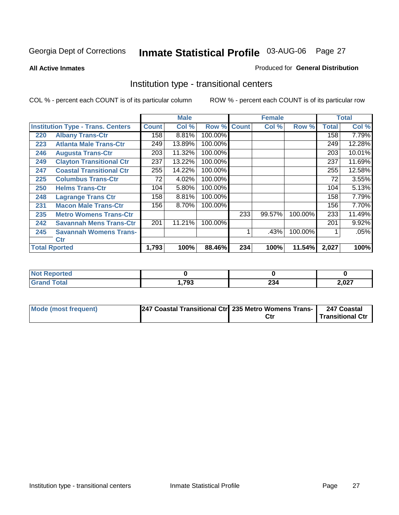**All Active Inmates**

#### Produced for **General Distribution**

### Institution type - transitional centers

|     |                                          |              | <b>Male</b> |         | <b>Female</b> |        | <b>Total</b> |              |        |
|-----|------------------------------------------|--------------|-------------|---------|---------------|--------|--------------|--------------|--------|
|     | <b>Institution Type - Trans. Centers</b> | <b>Count</b> | Col %       | Row %   | <b>Count</b>  | Col %  | Row %        | <b>Total</b> | Col %  |
| 220 | <b>Albany Trans-Ctr</b>                  | 158          | 8.81%       | 100.00% |               |        |              | 158          | 7.79%  |
| 223 | <b>Atlanta Male Trans-Ctr</b>            | 249          | 13.89%      | 100.00% |               |        |              | 249          | 12.28% |
| 246 | <b>Augusta Trans-Ctr</b>                 | 203          | 11.32%      | 100.00% |               |        |              | 203          | 10.01% |
| 249 | <b>Clayton Transitional Ctr</b>          | 237          | 13.22%      | 100.00% |               |        |              | 237          | 11.69% |
| 247 | <b>Coastal Transitional Ctr</b>          | 255          | 14.22%      | 100.00% |               |        |              | 255          | 12.58% |
| 225 | <b>Columbus Trans-Ctr</b>                | 72           | 4.02%       | 100.00% |               |        |              | 72           | 3.55%  |
| 250 | <b>Helms Trans-Ctr</b>                   | 104          | 5.80%       | 100.00% |               |        |              | 104          | 5.13%  |
| 248 | <b>Lagrange Trans Ctr</b>                | 158          | 8.81%       | 100.00% |               |        |              | 158          | 7.79%  |
| 231 | <b>Macon Male Trans-Ctr</b>              | 156          | 8.70%       | 100.00% |               |        |              | 156          | 7.70%  |
| 235 | <b>Metro Womens Trans-Ctr</b>            |              |             |         | 233           | 99.57% | 100.00%      | 233          | 11.49% |
| 242 | <b>Savannah Mens Trans-Ctr</b>           | 201          | 11.21%      | 100.00% |               |        |              | 201          | 9.92%  |
| 245 | <b>Savannah Womens Trans-</b>            |              |             |         |               | .43%   | 100.00%      |              | .05%   |
|     | Ctr                                      |              |             |         |               |        |              |              |        |
|     | <b>Total Rported</b>                     | 1,793        | 100%        | 88.46%  | 234           | 100%   | 11.54%       | 2,027        | 100%   |

| Reported<br>NOI             |       |        |        |
|-----------------------------|-------|--------|--------|
| <b>Total</b>                | .,793 | $\sim$ | דרח כ  |
| $\mathbf{v}$ . $\mathbf{u}$ |       | 204    | Z,UZ I |

| Mode (most frequent) | 247 Coastal Transitional Ctr 235 Metro Womens Trans- | 247 Coastal      |
|----------------------|------------------------------------------------------|------------------|
|                      |                                                      | Transitional Ctr |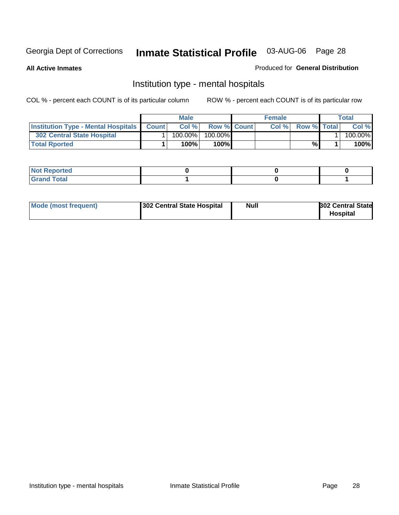**All Active Inmates**

#### Produced for **General Distribution**

### Institution type - mental hospitals

|                                                  | <b>Male</b> |            |                    | <b>Female</b> |      |                    | Total |         |
|--------------------------------------------------|-------------|------------|--------------------|---------------|------|--------------------|-------|---------|
| <b>Institution Type - Mental Hospitals Count</b> |             | Col%       | <b>Row % Count</b> |               | Col% | <b>Row % Total</b> |       | Col %   |
| <b>302 Central State Hospital</b>                |             | $100.00\%$ | 100.00%            |               |      |                    |       | 100.00% |
| <b>Total Rported</b>                             |             | 100%       | 100%               |               |      | %                  |       | 100%    |

| Not Reported |  |  |
|--------------|--|--|
| <b>otal</b>  |  |  |

| Mode (most frequent)<br>302 Central State Hospital | Null | <b>302 Central State</b><br><b>Hospital</b> |
|----------------------------------------------------|------|---------------------------------------------|
|----------------------------------------------------|------|---------------------------------------------|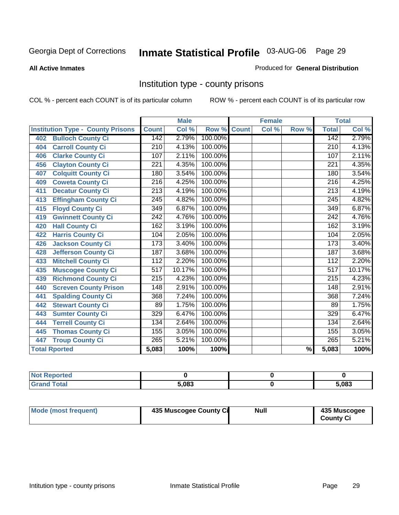#### **All Active Inmates**

#### Produced for **General Distribution**

### Institution type - county prisons

|                                          |                  | <b>Male</b> |         |              | <b>Female</b>             |                          |                  | <b>Total</b> |
|------------------------------------------|------------------|-------------|---------|--------------|---------------------------|--------------------------|------------------|--------------|
| <b>Institution Type - County Prisons</b> | <b>Count</b>     | Col %       | Row %   | <b>Count</b> | $\overline{\text{Col}}$ % | Row %                    | <b>Total</b>     | Col %        |
| <b>Bulloch County Ci</b><br>402          | 142              | 2.79%       | 100.00% |              |                           |                          | 142              | 2.79%        |
| <b>Carroll County Ci</b><br>404          | $\overline{210}$ | 4.13%       | 100.00% |              |                           |                          | $\overline{210}$ | 4.13%        |
| <b>Clarke County Ci</b><br>406           | 107              | 2.11%       | 100.00% |              |                           |                          | 107              | 2.11%        |
| <b>Clayton County Ci</b><br>456          | 221              | 4.35%       | 100.00% |              |                           |                          | 221              | 4.35%        |
| <b>Colquitt County Ci</b><br>407         | 180              | 3.54%       | 100.00% |              |                           |                          | 180              | 3.54%        |
| <b>Coweta County Ci</b><br>409           | $\overline{216}$ | 4.25%       | 100.00% |              |                           |                          | $\overline{216}$ | 4.25%        |
| <b>Decatur County Ci</b><br>411          | 213              | 4.19%       | 100.00% |              |                           |                          | 213              | 4.19%        |
| <b>Effingham County Ci</b><br>413        | 245              | 4.82%       | 100.00% |              |                           |                          | 245              | 4.82%        |
| <b>Floyd County Ci</b><br>415            | $\overline{349}$ | 6.87%       | 100.00% |              |                           |                          | 349              | 6.87%        |
| <b>Gwinnett County Ci</b><br>419         | $\overline{242}$ | 4.76%       | 100.00% |              |                           |                          | 242              | 4.76%        |
| <b>Hall County Ci</b><br>420             | 162              | 3.19%       | 100.00% |              |                           |                          | 162              | 3.19%        |
| <b>Harris County Ci</b><br>422           | 104              | 2.05%       | 100.00% |              |                           |                          | 104              | 2.05%        |
| <b>Jackson County Ci</b><br>426          | 173              | 3.40%       | 100.00% |              |                           |                          | 173              | 3.40%        |
| <b>Jefferson County Ci</b><br>428        | 187              | 3.68%       | 100.00% |              |                           |                          | 187              | 3.68%        |
| <b>Mitchell County Ci</b><br>433         | 112              | 2.20%       | 100.00% |              |                           |                          | 112              | 2.20%        |
| <b>Muscogee County Ci</b><br>435         | 517              | 10.17%      | 100.00% |              |                           |                          | 517              | 10.17%       |
| <b>Richmond County Ci</b><br>439         | $\overline{215}$ | 4.23%       | 100.00% |              |                           |                          | $\overline{215}$ | 4.23%        |
| <b>Screven County Prison</b><br>440      | 148              | 2.91%       | 100.00% |              |                           |                          | 148              | 2.91%        |
| <b>Spalding County Ci</b><br>441         | 368              | 7.24%       | 100.00% |              |                           |                          | 368              | 7.24%        |
| <b>Stewart County Ci</b><br>442          | 89               | 1.75%       | 100.00% |              |                           |                          | 89               | 1.75%        |
| <b>Sumter County Ci</b><br>443           | 329              | 6.47%       | 100.00% |              |                           |                          | 329              | 6.47%        |
| <b>Terrell County Ci</b><br>444          | 134              | 2.64%       | 100.00% |              |                           |                          | 134              | 2.64%        |
| <b>Thomas County Ci</b><br>445           | 155              | 3.05%       | 100.00% |              |                           |                          | 155              | 3.05%        |
| <b>Troup County Ci</b><br>447            | $\overline{265}$ | 5.21%       | 100.00% |              |                           |                          | 265              | 5.21%        |
| <b>Total Rported</b>                     | 5,083            | 100%        | 100%    |              |                           | $\overline{\frac{9}{6}}$ | 5,083            | 100%         |

| τeα |       |       |
|-----|-------|-------|
|     | 5.083 | 5,083 |

| Mode (most frequent) | 435 Muscogee County Ci | <b>Null</b> | 435 Muscogee     |
|----------------------|------------------------|-------------|------------------|
|                      |                        |             | <b>County Ci</b> |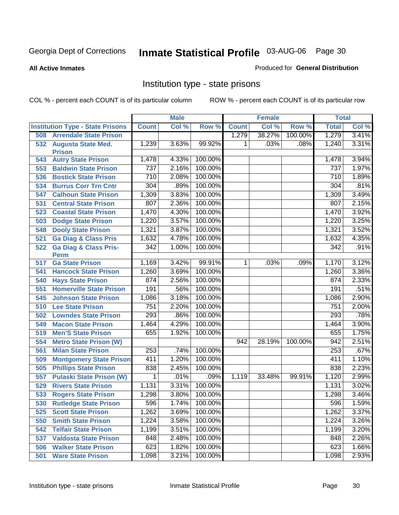#### **All Active Inmates**

#### Produced for **General Distribution**

### Institution type - state prisons

|     |                                            |              | <b>Male</b> |         |              | <b>Female</b> |         | <b>Total</b> |       |
|-----|--------------------------------------------|--------------|-------------|---------|--------------|---------------|---------|--------------|-------|
|     | <b>Institution Type - State Prisons</b>    | <b>Count</b> | Col %       | Row %   | <b>Count</b> | Col %         | Row %   | <b>Total</b> | Col % |
| 508 | <b>Arrendale State Prison</b>              |              |             |         | 1,279        | 38.27%        | 100.00% | 1,279        | 3.41% |
| 532 | <b>Augusta State Med.</b><br><b>Prison</b> | 1,239        | 3.63%       | 99.92%  | 1            | .03%          | .08%    | 1,240        | 3.31% |
| 543 | <b>Autry State Prison</b>                  | 1,478        | 4.33%       | 100.00% |              |               |         | 1,478        | 3.94% |
| 553 | <b>Baldwin State Prison</b>                | 737          | 2.16%       | 100.00% |              |               |         | 737          | 1.97% |
| 536 | <b>Bostick State Prison</b>                | 710          | 2.08%       | 100.00% |              |               |         | 710          | 1.89% |
| 534 | <b>Burrus Corr Trn Cntr</b>                | 304          | .89%        | 100.00% |              |               |         | 304          | .81%  |
| 547 | <b>Calhoun State Prison</b>                | 1,309        | 3.83%       | 100.00% |              |               |         | 1,309        | 3.49% |
| 531 | <b>Central State Prison</b>                | 807          | 2.36%       | 100.00% |              |               |         | 807          | 2.15% |
| 523 | <b>Coastal State Prison</b>                | 1,470        | 4.30%       | 100.00% |              |               |         | 1,470        | 3.92% |
| 503 | <b>Dodge State Prison</b>                  | 1,220        | 3.57%       | 100.00% |              |               |         | 1,220        | 3.25% |
| 548 | <b>Dooly State Prison</b>                  | 1,321        | 3.87%       | 100.00% |              |               |         | 1,321        | 3.52% |
| 521 | <b>Ga Diag &amp; Class Pris</b>            | 1,632        | 4.78%       | 100.00% |              |               |         | 1,632        | 4.35% |
| 522 | <b>Ga Diag &amp; Class Pris-</b>           | 342          | 1.00%       | 100.00% |              |               |         | 342          | .91%  |
|     | <b>Perm</b>                                |              |             |         |              |               |         |              |       |
| 517 | <b>Ga State Prison</b>                     | 1,169        | 3.42%       | 99.91%  | 1.           | .03%          | .09%    | 1,170        | 3.12% |
| 541 | <b>Hancock State Prison</b>                | 1,260        | 3.69%       | 100.00% |              |               |         | 1,260        | 3.36% |
| 540 | <b>Hays State Prison</b>                   | 874          | 2.56%       | 100.00% |              |               |         | 874          | 2.33% |
| 551 | <b>Homerville State Prison</b>             | 191          | .56%        | 100.00% |              |               |         | 191          | .51%  |
| 545 | <b>Johnson State Prison</b>                | 1,086        | 3.18%       | 100.00% |              |               |         | 1,086        | 2.90% |
| 510 | <b>Lee State Prison</b>                    | 751          | 2.20%       | 100.00% |              |               |         | 751          | 2.00% |
| 502 | <b>Lowndes State Prison</b>                | 293          | .86%        | 100.00% |              |               |         | 293          | .78%  |
| 549 | <b>Macon State Prison</b>                  | 1,464        | 4.29%       | 100.00% |              |               |         | 1,464        | 3.90% |
| 519 | <b>Men'S State Prison</b>                  | 655          | 1.92%       | 100.00% |              |               |         | 655          | 1.75% |
| 554 | <b>Metro State Prison (W)</b>              |              |             |         | 942          | 28.19%        | 100.00% | 942          | 2.51% |
| 561 | <b>Milan State Prison</b>                  | 253          | .74%        | 100.00% |              |               |         | 253          | .67%  |
| 509 | <b>Montgomery State Prison</b>             | 411          | 1.20%       | 100.00% |              |               |         | 411          | 1.10% |
| 505 | <b>Phillips State Prison</b>               | 838          | 2.45%       | 100.00% |              |               |         | 838          | 2.23% |
| 557 | <b>Pulaski State Prison (W)</b>            | 1            | .01%        | .09%    | 1,119        | 33.48%        | 99.91%  | 1,120        | 2.99% |
| 529 | <b>Rivers State Prison</b>                 | 1,131        | 3.31%       | 100.00% |              |               |         | 1,131        | 3.02% |
| 533 | <b>Rogers State Prison</b>                 | 1,298        | 3.80%       | 100.00% |              |               |         | 1,298        | 3.46% |
| 530 | <b>Rutledge State Prison</b>               | 596          | 1.74%       | 100.00% |              |               |         | 596          | 1.59% |
| 525 | <b>Scott State Prison</b>                  | 1,262        | 3.69%       | 100.00% |              |               |         | 1,262        | 3.37% |
| 550 | <b>Smith State Prison</b>                  | 1,224        | 3.58%       | 100.00% |              |               |         | 1,224        | 3.26% |
| 542 | <b>Telfair State Prison</b>                | 1,199        | 3.51%       | 100.00% |              |               |         | 1,199        | 3.20% |
| 537 | <b>Valdosta State Prison</b>               | 848          | 2.48%       | 100.00% |              |               |         | 848          | 2.26% |
| 506 | <b>Walker State Prison</b>                 | 623          | 1.82%       | 100.00% |              |               |         | 623          | 1.66% |
| 501 | <b>Ware State Prison</b>                   | 1,098        | 3.21%       | 100.00% |              |               |         | 1,098        | 2.93% |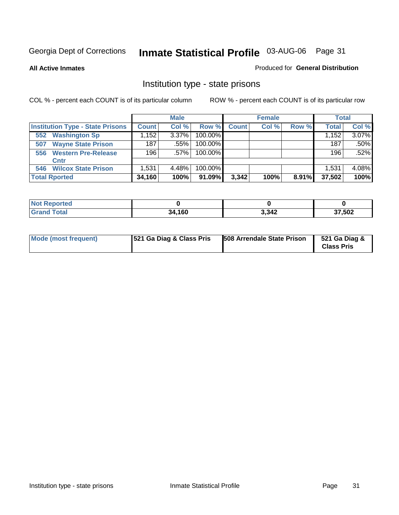**All Active Inmates**

#### Produced for **General Distribution**

### Institution type - state prisons

|                                         |              | <b>Male</b> |            |              | <b>Female</b> |       | <b>Total</b> |          |
|-----------------------------------------|--------------|-------------|------------|--------------|---------------|-------|--------------|----------|
| <b>Institution Type - State Prisons</b> | <b>Count</b> | Col %       | Row %      | <b>Count</b> | Col %         | Row % | <b>Total</b> | Col %    |
| <b>Washington Sp</b><br>552             | .152         | 3.37%       | $100.00\%$ |              |               |       | 1,152        | $3.07\%$ |
| <b>Wayne State Prison</b><br>507        | 187          | .55%        | 100.00%    |              |               |       | 187          | .50%     |
| <b>Western Pre-Release</b><br>556       | 196          | $.57\%$     | 100.00%    |              |               |       | 196          | .52%     |
| Cntr                                    |              |             |            |              |               |       |              |          |
| <b>Wilcox State Prison</b><br>546       | 1,531        | 4.48%       | 100.00%    |              |               |       | 1.531        | 4.08%    |
| <b>Total Rported</b>                    | 34,160       | 100%        | 91.09%     | 3,342        | 100%          | 8.91% | 37,502       | 100%     |

| N<br>u tet.<br>. |        |       |            |
|------------------|--------|-------|------------|
|                  | 34,160 | 3,342 | 37,502<br> |

| Mode (most frequent) | <b>521 Ga Diag &amp; Class Pris</b> | 508 Arrendale State Prison | 521 Ga Diag &<br><b>Class Pris</b> |
|----------------------|-------------------------------------|----------------------------|------------------------------------|
|----------------------|-------------------------------------|----------------------------|------------------------------------|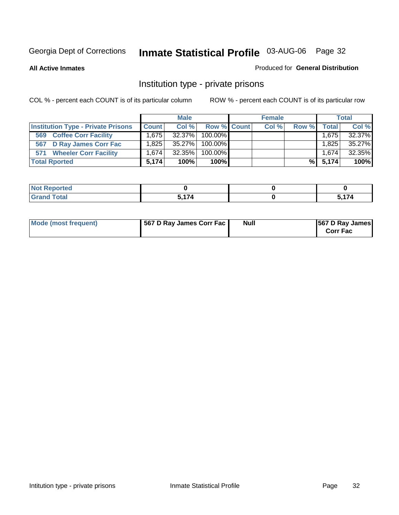#### **All Active Inmates**

#### Produced for **General Distribution**

### Institution type - private prisons

|                                           |              | <b>Male</b> |             | <b>Female</b> |       |              | <b>Total</b> |
|-------------------------------------------|--------------|-------------|-------------|---------------|-------|--------------|--------------|
| <b>Institution Type - Private Prisons</b> | <b>Count</b> | Col %       | Row % Count | Col %         | Row % | <b>Total</b> | Col %        |
| <b>Coffee Corr Facility</b><br>569        | 1.675        | 32.37%      | 100.00%     |               |       | 1,675        | 32.37%       |
| 567 D Ray James Corr Fac                  | ا 825. ا     | 35.27%      | 100.00%     |               |       | 1,825        | 35.27%       |
| <b>Wheeler Corr Facility</b><br>571       | 1.674 l      | 32.35%      | 100.00%     |               |       | 1.674        | 32.35%       |
| <b>Total Rported</b>                      | 5.174        | 100%        | 100%        |               | %     | 5.174        | 100%         |

| Reported<br>NOT     |      |               |
|---------------------|------|---------------|
| <b>Total</b><br>--- | 5174 | $\rightarrow$ |

| Mode (most frequent) | 567 D Ray James Corr Fac | <b>Null</b> | <b>567 D Ray James</b><br><b>Corr Fac</b> |
|----------------------|--------------------------|-------------|-------------------------------------------|
|----------------------|--------------------------|-------------|-------------------------------------------|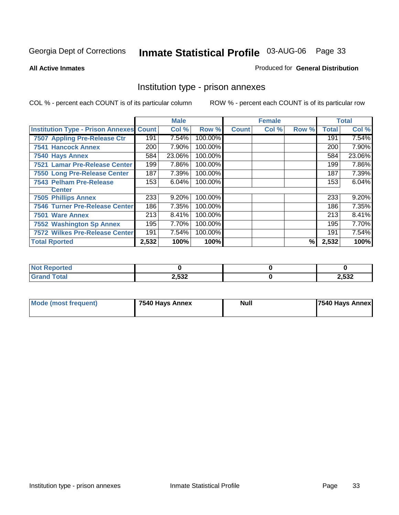#### **All Active Inmates**

#### Produced for **General Distribution**

### Institution type - prison annexes

|                                                |       | <b>Male</b> |         |              | <b>Female</b> |       |              | <b>Total</b> |
|------------------------------------------------|-------|-------------|---------|--------------|---------------|-------|--------------|--------------|
| <b>Institution Type - Prison Annexes Count</b> |       | Col %       | Row %   | <b>Count</b> | Col %         | Row % | <b>Total</b> | Col %        |
| 7507 Appling Pre-Release Ctr                   | 191   | 7.54%       | 100.00% |              |               |       | 191          | 7.54%        |
| <b>7541 Hancock Annex</b>                      | 200   | 7.90%       | 100.00% |              |               |       | 200          | 7.90%        |
| 7540 Hays Annex                                | 584   | 23.06%      | 100.00% |              |               |       | 584          | 23.06%       |
| 7521 Lamar Pre-Release Center                  | 199   | 7.86%       | 100.00% |              |               |       | 199          | 7.86%        |
| 7550 Long Pre-Release Center                   | 187   | 7.39%       | 100.00% |              |               |       | 187          | 7.39%        |
| <b>7543 Pelham Pre-Release</b>                 | 153   | 6.04%       | 100.00% |              |               |       | 153          | 6.04%        |
| <b>Center</b>                                  |       |             |         |              |               |       |              |              |
| <b>7505 Phillips Annex</b>                     | 233   | 9.20%       | 100.00% |              |               |       | 233          | 9.20%        |
| <b>7546 Turner Pre-Release Center</b>          | 186   | 7.35%       | 100.00% |              |               |       | 186          | 7.35%        |
| 7501 Ware Annex                                | 213   | 8.41%       | 100.00% |              |               |       | 213          | 8.41%        |
| <b>7552 Washington Sp Annex</b>                | 195   | 7.70%       | 100.00% |              |               |       | 195          | 7.70%        |
| <b>7572 Wilkes Pre-Release Center</b>          | 191   | 7.54%       | 100.00% |              |               |       | 191          | 7.54%        |
| <b>Total Rported</b>                           | 2,532 | 100%        | 100%    |              |               | %     | 2,532        | 100%         |

| <b>Not Reported</b>   |                |       |
|-----------------------|----------------|-------|
| <b>Total</b><br>Grand | つ につつ<br>2,33Z | 2,532 |

| Mode (most frequent) | 7540 Hays Annex | <b>Null</b> | 7540 Hays Annex |
|----------------------|-----------------|-------------|-----------------|
|----------------------|-----------------|-------------|-----------------|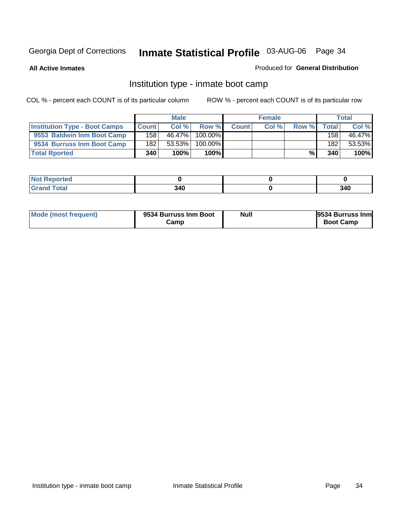**All Active Inmates**

#### Produced for **General Distribution**

### Institution type - inmate boot camp

|                                      |              | <b>Male</b> |         |              | <b>Female</b> |       |                  | <b>Total</b> |
|--------------------------------------|--------------|-------------|---------|--------------|---------------|-------|------------------|--------------|
| <b>Institution Type - Boot Camps</b> | <b>Count</b> | Col%        | Row %   | <b>Count</b> | Col %         | Row % | Totall           | Col %        |
| 9553 Baldwin Inm Boot Camp           | 158          | 46.47%      | 100.00% |              |               |       | 158 <sub>1</sub> | 46.47%       |
| 9534 Burruss Inm Boot Camp           | 182          | 53.53%      | 100.00% |              |               |       | 182              | 53.53%       |
| <b>Total Rported</b>                 | 340          | 100%        | 100%    |              |               | %     | 340              | 100%         |

| тео      |     |     |
|----------|-----|-----|
| int<br>- | 340 | 340 |

| <b>Mode (most frequent)</b> | 9534 Burruss Inm Boot<br>Camr | <b>Null</b> | 9534 Burruss Inm<br><b>Boot Camp</b> |
|-----------------------------|-------------------------------|-------------|--------------------------------------|
|-----------------------------|-------------------------------|-------------|--------------------------------------|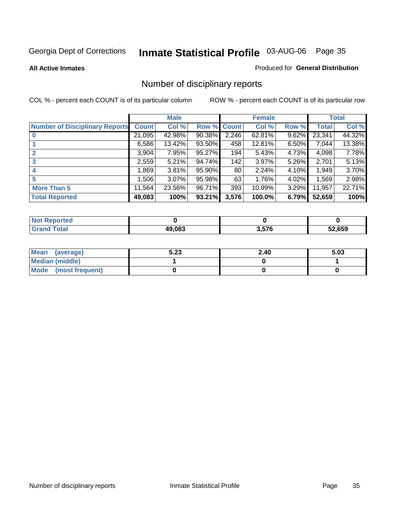**All Active Inmates**

#### Produced for **General Distribution**

### Number of disciplinary reports

|                                       |              | <b>Male</b> |        |              | <b>Female</b> |          |              | <b>Total</b> |
|---------------------------------------|--------------|-------------|--------|--------------|---------------|----------|--------------|--------------|
| <b>Number of Disciplinary Reports</b> | <b>Count</b> | Col %       | Row %  | <b>Count</b> | Col %         | Row %    | <b>Total</b> | Col %        |
|                                       | 21,095       | 42.98%      | 90.38% | 2,246        | $62.81\%$     | 9.62%    | 23,341       | 44.32%       |
|                                       | 6,586        | $13.42\%$   | 93.50% | 458          | 12.81%        | $6.50\%$ | 7,044        | 13.38%       |
| 2                                     | 3,904        | 7.95%       | 95.27% | 194          | 5.43%         | 4.73%    | 4,098        | 7.78%        |
| 3                                     | 2,559        | 5.21%       | 94.74% | 142          | 3.97%         | 5.26%    | 2,701        | 5.13%        |
|                                       | .869         | 3.81%       | 95.90% | 80           | 2.24%         | 4.10%    | 1,949        | 3.70%        |
| 5                                     | ,506         | $3.07\%$    | 95.98% | 63           | 1.76%         | 4.02%    | 1,569        | 2.98%        |
| <b>More Than 5</b>                    | 11,564       | 23.56%      | 96.71% | 393          | 10.99%        | 3.29%    | 11,957       | 22.71%       |
| <b>Total Reported</b>                 | 49,083       | 100%        | 93.21% | 3,576        | 100.0%        | 6.79%    | 52,659       | 100%         |

| orted<br>NO  |        |       |        |
|--------------|--------|-------|--------|
| <b>Total</b> | 49.083 | . 576 | 52.659 |

| Mean (average)       | 5.23 | 2.40 | 5.03 |
|----------------------|------|------|------|
| Median (middle)      |      |      |      |
| Mode (most frequent) |      |      |      |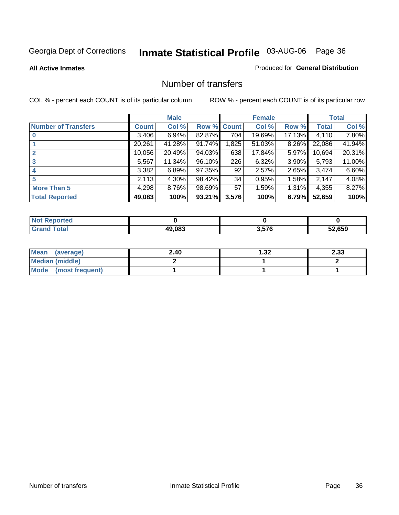**All Active Inmates**

#### Produced for **General Distribution**

#### Number of transfers

|                            |         | <b>Male</b> |        |                  | <b>Female</b> |          |              | <b>Total</b> |
|----------------------------|---------|-------------|--------|------------------|---------------|----------|--------------|--------------|
| <b>Number of Transfers</b> | Count l | Col %       | Row %  | <b>Count</b>     | Col %         | Row %    | <b>Total</b> | Col %        |
|                            | 3,406   | 6.94%       | 82.87% | $\overline{704}$ | 19.69%        | 17.13%   | 4,110        | 7.80%        |
|                            | 20,261  | 41.28%      | 91.74% | 1,825            | 51.03%        | $8.26\%$ | 22,086       | 41.94%       |
|                            | 10,056  | 20.49%      | 94.03% | 638              | 17.84%        | $5.97\%$ | 10,694       | 20.31%       |
| 3                          | 5,567   | 11.34%      | 96.10% | 226              | 6.32%         | 3.90%    | 5,793        | 11.00%       |
|                            | 3,382   | 6.89%       | 97.35% | 92               | 2.57%         | $2.65\%$ | 3,474        | 6.60%        |
| 5                          | 2,113   | $4.30\%$    | 98.42% | 34               | 0.95%         | 1.58%    | 2,147        | 4.08%        |
| <b>More Than 5</b>         | 4,298   | 8.76%       | 98.69% | 57               | 1.59%         | $1.31\%$ | 4,355        | 8.27%        |
| <b>Total Reported</b>      | 49,083  | 100%        | 93.21% | 3,576            | 100%          | 6.79%    | 52,659       | 100%         |

| N                       |        |       |        |
|-------------------------|--------|-------|--------|
| $\sim$ $\sim$<br>______ | 10.002 | 3.57f | EN CEN |

| Mean (average)       | 2.40 | 32. ا | 2.33 |
|----------------------|------|-------|------|
| Median (middle)      |      |       |      |
| Mode (most frequent) |      |       |      |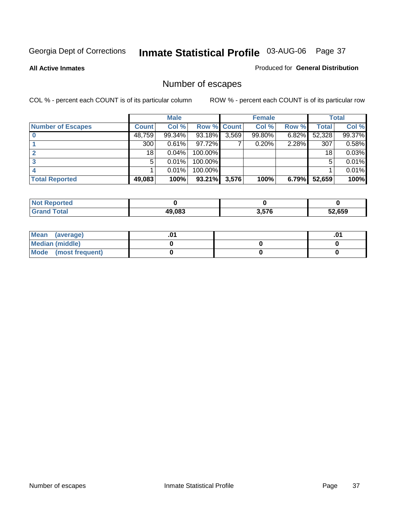**All Active Inmates**

#### Produced for **General Distribution**

# Number of escapes

|                          |              | <b>Male</b> |                    |       | <b>Female</b> |          |        | <b>Total</b> |
|--------------------------|--------------|-------------|--------------------|-------|---------------|----------|--------|--------------|
| <b>Number of Escapes</b> | <b>Count</b> | Col %       | <b>Row % Count</b> |       | Col %         | Row %    | Total  | Col %        |
|                          | 48,759       | 99.34%      | 93.18%             | 3,569 | 99.80%        | $6.82\%$ | 52,328 | 99.37%       |
|                          | 300          | 0.61%       | 97.72%             |       | 0.20%         | 2.28%    | 307    | 0.58%        |
|                          | 18           | 0.04%       | 100.00%            |       |               |          | 18     | 0.03%        |
|                          | 5            | 0.01%       | 100.00%            |       |               |          | 5      | 0.01%        |
|                          |              | 0.01%       | $100.00\%$         |       |               |          |        | 0.01%        |
| <b>Total Reported</b>    | 49,083       | 100%        | 93.21%             | 3,576 | 100%          | 6.79%    | 52,659 | 100%         |

| Reported          |        |      |        |
|-------------------|--------|------|--------|
| T <sub>ofol</sub> | 49.083 | 257C | 52.659 |

| Mean (average)       |  | ו ש. |
|----------------------|--|------|
| Median (middle)      |  |      |
| Mode (most frequent) |  |      |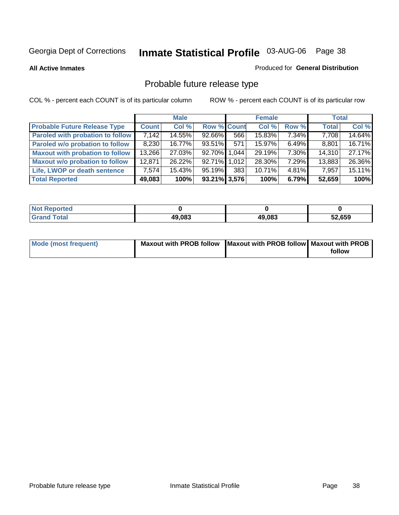**All Active Inmates**

#### Produced for **General Distribution**

# Probable future release type

|                                         |              | <b>Male</b> |                    |     | <b>Female</b> |          | <b>Total</b> |        |
|-----------------------------------------|--------------|-------------|--------------------|-----|---------------|----------|--------------|--------|
| <b>Probable Future Release Type</b>     | <b>Count</b> | Col %       | <b>Row % Count</b> |     | Col %         | Row %    | <b>Total</b> | Col %  |
| <b>Paroled with probation to follow</b> | 7,142        | 14.55%      | $92.66\%$          | 566 | 15.83%        | $7.34\%$ | 7,708        | 14.64% |
| Paroled w/o probation to follow         | 8,230        | 16.77%      | 93.51%             | 571 | $15.97\%$     | $6.49\%$ | 8,801        | 16.71% |
| <b>Maxout with probation to follow</b>  | 13,266       | 27.03%      | 92.70% 1.044       |     | 29.19%        | 7.30%    | 14,310       | 27.17% |
| <b>Maxout w/o probation to follow</b>   | 12,871       | 26.22%      | 92.71% 1.012       |     | 28.30%        | 7.29%    | 13,883       | 26.36% |
| Life, LWOP or death sentence            | 7,574        | 15.43%      | 95.19%             | 383 | 10.71%        | $4.81\%$ | 7,957        | 15.11% |
| <b>Total Reported</b>                   | 49,083       | 100%        | 93.21% 3,576       |     | 100%          | 6.79%    | 52,659       | 100%   |

| <b>Not</b><br>Reported |        |        |        |
|------------------------|--------|--------|--------|
| Total<br><b>Grand</b>  | 49,083 | 49,083 | 52,659 |

| Mode (most frequent) | Maxout with PROB follow   Maxout with PROB follow   Maxout with PROB |        |
|----------------------|----------------------------------------------------------------------|--------|
|                      |                                                                      | follow |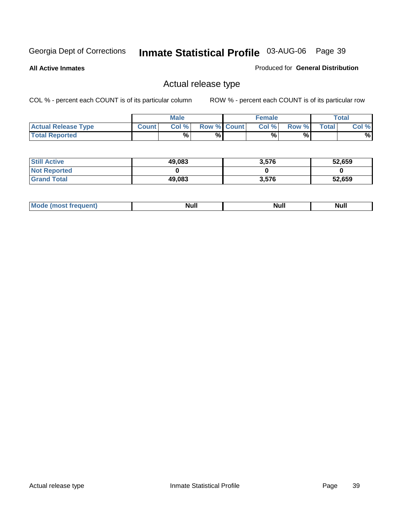**All Active Inmates**

#### Produced for **General Distribution**

### Actual release type

|                            |              | <b>Male</b> |                    | <b>Female</b> |       |       | Total |
|----------------------------|--------------|-------------|--------------------|---------------|-------|-------|-------|
| <b>Actual Release Type</b> | <b>Count</b> | Col %       | <b>Row % Count</b> | Col %1        | Row % | Total | Col % |
| <b>Total Reported</b>      |              | %           | %                  | %             | %     |       | %     |

| <b>Still Active</b> | 49,083 | 3,576 | 52,659 |
|---------------------|--------|-------|--------|
| <b>Not Reported</b> |        |       |        |
| <b>Grand Total</b>  | 49,083 | 3,576 | 52,659 |

| M<br>_____<br>_____ | NI | Null | $\cdots$ |
|---------------------|----|------|----------|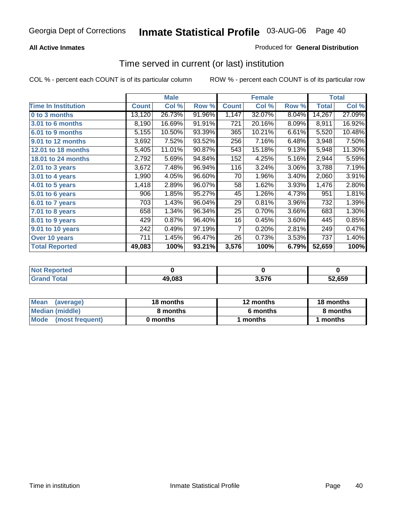### **All Active Inmates**

### Produced for **General Distribution**

### Time served in current (or last) institution

|                            |              | <b>Male</b> |        |                | <b>Female</b> |       |              | <b>Total</b> |
|----------------------------|--------------|-------------|--------|----------------|---------------|-------|--------------|--------------|
| <b>Time In Institution</b> | <b>Count</b> | Col %       | Row %  | <b>Count</b>   | Col %         | Row % | <b>Total</b> | Col %        |
| 0 to 3 months              | 13,120       | 26.73%      | 91.96% | 1,147          | 32.07%        | 8.04% | 14,267       | 27.09%       |
| 3.01 to 6 months           | 8,190        | 16.69%      | 91.91% | 721            | 20.16%        | 8.09% | 8,911        | 16.92%       |
| 6.01 to 9 months           | 5,155        | 10.50%      | 93.39% | 365            | 10.21%        | 6.61% | 5,520        | 10.48%       |
| 9.01 to 12 months          | 3,692        | 7.52%       | 93.52% | 256            | 7.16%         | 6.48% | 3,948        | 7.50%        |
| 12.01 to 18 months         | 5,405        | 11.01%      | 90.87% | 543            | 15.18%        | 9.13% | 5,948        | 11.30%       |
| <b>18.01 to 24 months</b>  | 2,792        | 5.69%       | 94.84% | 152            | 4.25%         | 5.16% | 2,944        | 5.59%        |
| 2.01 to 3 years            | 3,672        | 7.48%       | 96.94% | 116            | 3.24%         | 3.06% | 3,788        | 7.19%        |
| 3.01 to 4 years            | 1,990        | 4.05%       | 96.60% | 70             | 1.96%         | 3.40% | 2,060        | 3.91%        |
| 4.01 to 5 years            | 1,418        | 2.89%       | 96.07% | 58             | 1.62%         | 3.93% | 1,476        | 2.80%        |
| 5.01 to 6 years            | 906          | 1.85%       | 95.27% | 45             | 1.26%         | 4.73% | 951          | 1.81%        |
| 6.01 to 7 years            | 703          | 1.43%       | 96.04% | 29             | 0.81%         | 3.96% | 732          | 1.39%        |
| 7.01 to 8 years            | 658          | 1.34%       | 96.34% | 25             | 0.70%         | 3.66% | 683          | 1.30%        |
| 8.01 to 9 years            | 429          | 0.87%       | 96.40% | 16             | 0.45%         | 3.60% | 445          | 0.85%        |
| 9.01 to 10 years           | 242          | 0.49%       | 97.19% | $\overline{7}$ | 0.20%         | 2.81% | 249          | 0.47%        |
| Over 10 years              | 711          | 1.45%       | 96.47% | 26             | 0.73%         | 3.53% | 737          | 1.40%        |
| <b>Total Reported</b>      | 49,083       | 100%        | 93.21% | 3,576          | 100%          | 6.79% | 52,659       | 100%         |

| <b>NOT</b><br>orteo |        |            |        |
|---------------------|--------|------------|--------|
| `ofa⊾               | 49,083 | <b>E76</b> | 52.659 |

| Mean<br>(average)       | 18 months | 12 months | 18 months |  |  |
|-------------------------|-----------|-----------|-----------|--|--|
| Median (middle)         | 8 months  | 6 months  | 8 months  |  |  |
| Mode<br>(most frequent) | 0 months  | 1 months  | months    |  |  |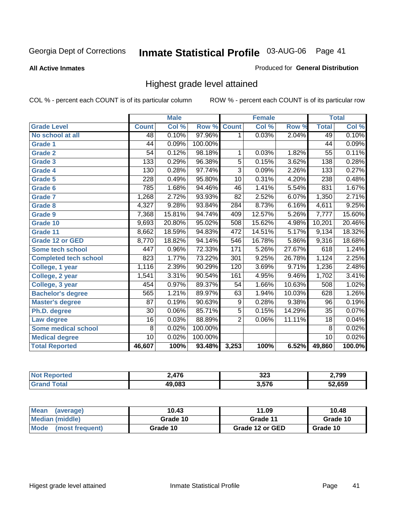**All Active Inmates**

#### Produced for **General Distribution**

### Highest grade level attained

|                              |                 | <b>Male</b> |         |                  | <b>Female</b> |        |                 | <b>Total</b> |
|------------------------------|-----------------|-------------|---------|------------------|---------------|--------|-----------------|--------------|
| <b>Grade Level</b>           | <b>Count</b>    | Col %       | Row %   | <b>Count</b>     | Col %         | Row %  | <b>Total</b>    | Col %        |
| No school at all             | 48              | 0.10%       | 97.96%  | 1                | 0.03%         | 2.04%  | 49              | 0.10%        |
| Grade 1                      | 44              | 0.09%       | 100.00% |                  |               |        | $\overline{44}$ | 0.09%        |
| <b>Grade 2</b>               | $\overline{54}$ | 0.12%       | 98.18%  | 1                | 0.03%         | 1.82%  | $\overline{55}$ | 0.11%        |
| <b>Grade 3</b>               | 133             | 0.29%       | 96.38%  | 5                | 0.15%         | 3.62%  | 138             | 0.28%        |
| Grade 4                      | 130             | 0.28%       | 97.74%  | $\overline{3}$   | 0.09%         | 2.26%  | 133             | 0.27%        |
| Grade 5                      | 228             | 0.49%       | 95.80%  | 10               | 0.31%         | 4.20%  | 238             | 0.48%        |
| Grade 6                      | 785             | 1.68%       | 94.46%  | 46               | 1.41%         | 5.54%  | 831             | 1.67%        |
| <b>Grade 7</b>               | 1,268           | 2.72%       | 93.93%  | 82               | 2.52%         | 6.07%  | 1,350           | 2.71%        |
| <b>Grade 8</b>               | 4,327           | 9.28%       | 93.84%  | 284              | 8.73%         | 6.16%  | 4,611           | 9.25%        |
| Grade 9                      | 7,368           | 15.81%      | 94.74%  | 409              | 12.57%        | 5.26%  | 7,777           | 15.60%       |
| Grade 10                     | 9,693           | 20.80%      | 95.02%  | 508              | 15.62%        | 4.98%  | 10,201          | 20.46%       |
| Grade 11                     | 8,662           | 18.59%      | 94.83%  | 472              | 14.51%        | 5.17%  | 9,134           | 18.32%       |
| <b>Grade 12 or GED</b>       | 8,770           | 18.82%      | 94.14%  | $\overline{546}$ | 16.78%        | 5.86%  | 9,316           | 18.68%       |
| <b>Some tech school</b>      | 447             | 0.96%       | 72.33%  | 171              | 5.26%         | 27.67% | 618             | 1.24%        |
| <b>Completed tech school</b> | 823             | 1.77%       | 73.22%  | 301              | 9.25%         | 26.78% | 1,124           | 2.25%        |
| College, 1 year              | 1,116           | 2.39%       | 90.29%  | 120              | 3.69%         | 9.71%  | 1,236           | 2.48%        |
| College, 2 year              | 1,541           | 3.31%       | 90.54%  | 161              | 4.95%         | 9.46%  | 1,702           | 3.41%        |
| College, 3 year              | 454             | 0.97%       | 89.37%  | $\overline{54}$  | 1.66%         | 10.63% | 508             | 1.02%        |
| <b>Bachelor's degree</b>     | 565             | 1.21%       | 89.97%  | 63               | 1.94%         | 10.03% | 628             | 1.26%        |
| <b>Master's degree</b>       | 87              | 0.19%       | 90.63%  | 9                | 0.28%         | 9.38%  | 96              | 0.19%        |
| Ph.D. degree                 | 30              | 0.06%       | 85.71%  | $\overline{5}$   | 0.15%         | 14.29% | $\overline{35}$ | 0.07%        |
| Law degree                   | $\overline{16}$ | 0.03%       | 88.89%  | $\overline{2}$   | 0.06%         | 11.11% | $\overline{18}$ | 0.04%        |
| <b>Some medical school</b>   | 8               | 0.02%       | 100.00% |                  |               |        | 8               | 0.02%        |
| <b>Medical degree</b>        | $\overline{10}$ | 0.02%       | 100.00% |                  |               |        | 10              | 0.02%        |
| <b>Total Reported</b>        | 46,607          | 100%        | 93.48%  | 3,253            | 100%          | 6.52%  | 49,860          | 100.0%       |

| ATF    | つつつ<br>د∠د<br>- - | 2,799  |
|--------|-------------------|--------|
| 19.083 | 57c               | 52 650 |

| <b>Mean</b><br>(average)       | 10.43    | 11.09           | 10.48    |
|--------------------------------|----------|-----------------|----------|
| Median (middle)                | Grade 10 | Grade 11        | Grade 10 |
| <b>Mode</b><br>(most frequent) | Grade 10 | Grade 12 or GED | Grade 10 |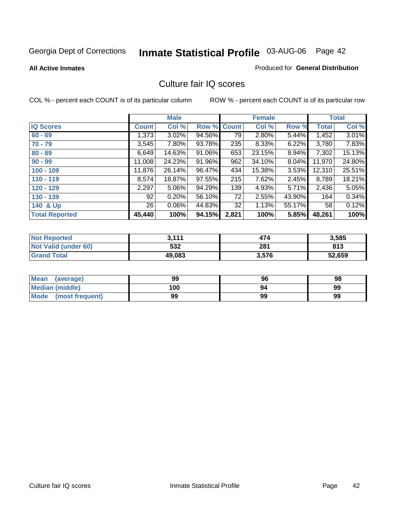**All Active Inmates**

#### Produced for **General Distribution**

### Culture fair IQ scores

|                       |              | <b>Male</b> |        |              | <b>Female</b> |          |              | <b>Total</b> |
|-----------------------|--------------|-------------|--------|--------------|---------------|----------|--------------|--------------|
| <b>IQ Scores</b>      | <b>Count</b> | Col %       | Row %  | <b>Count</b> | Col %         | Row %    | <b>Total</b> | Col %        |
| $60 - 69$             | 1,373        | 3.02%       | 94.56% | 79           | 2.80%         | 5.44%    | 1,452        | 3.01%        |
| $70 - 79$             | 3,545        | 7.80%       | 93.78% | 235          | 8.33%         | 6.22%    | 3,780        | 7.83%        |
| $80 - 89$             | 6,649        | 14.63%      | 91.06% | 653          | 23.15%        | 8.94%    | 7,302        | 15.13%       |
| $90 - 99$             | 11,008       | 24.23%      | 91.96% | 962          | 34.10%        | $8.04\%$ | 11,970       | 24.80%       |
| $100 - 109$           | 11,876       | 26.14%      | 96.47% | 434          | 15.38%        | 3.53%    | 12,310       | 25.51%       |
| $110 - 119$           | 8,574        | 18.87%      | 97.55% | 215          | 7.62%         | 2.45%    | 8,789        | 18.21%       |
| $120 - 129$           | 2,297        | 5.06%       | 94.29% | 139          | 4.93%         | 5.71%    | 2,436        | 5.05%        |
| $130 - 139$           | 92           | 0.20%       | 56.10% | 72           | 2.55%         | 43.90%   | 164          | 0.34%        |
| 140 & Up              | 26           | 0.06%       | 44.83% | 32           | 1.13%         | 55.17%   | 58           | 0.12%        |
| <b>Total Reported</b> | 45,440       | 100%        | 94.15% | 2,821        | 100%          | 5.85%    | 48,261       | 100%         |

| <b>Not Reported</b>  | 3,111  | 474   | 3,585  |
|----------------------|--------|-------|--------|
| Not Valid (under 60) | 532    | 281   | 813    |
| <b>Grand Total</b>   | 49,083 | 3,576 | 52,659 |

| <b>Mean</b><br>(average) | 99  | 96 | 98 |
|--------------------------|-----|----|----|
| Median (middle)          | 100 | 94 | 99 |
| Mode (most frequent)     | 99  | 99 | 99 |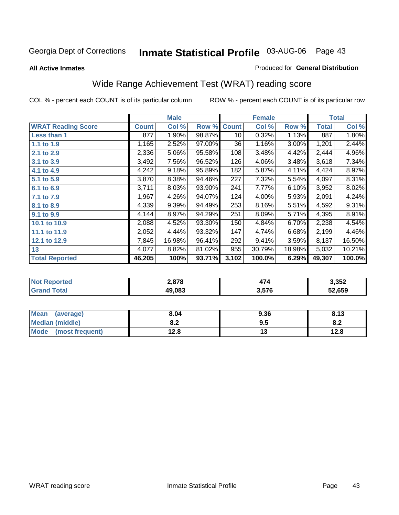#### **All Active Inmates**

#### Produced for **General Distribution**

# Wide Range Achievement Test (WRAT) reading score

|                           |              | <b>Male</b> |        |              | <b>Female</b> |          |              | <b>Total</b> |
|---------------------------|--------------|-------------|--------|--------------|---------------|----------|--------------|--------------|
| <b>WRAT Reading Score</b> | <b>Count</b> | Col %       | Row %  | <b>Count</b> | Col %         | Row %    | <b>Total</b> | Col %        |
| <b>Less than 1</b>        | 877          | 1.90%       | 98.87% | 10           | 0.32%         | 1.13%    | 887          | 1.80%        |
| 1.1 to 1.9                | 1,165        | 2.52%       | 97.00% | 36           | 1.16%         | $3.00\%$ | 1,201        | 2.44%        |
| 2.1 to 2.9                | 2,336        | 5.06%       | 95.58% | 108          | 3.48%         | 4.42%    | 2,444        | 4.96%        |
| 3.1 to 3.9                | 3,492        | 7.56%       | 96.52% | 126          | 4.06%         | 3.48%    | 3,618        | 7.34%        |
| 4.1 to 4.9                | 4,242        | 9.18%       | 95.89% | 182          | 5.87%         | 4.11%    | 4,424        | 8.97%        |
| 5.1 to 5.9                | 3,870        | 8.38%       | 94.46% | 227          | 7.32%         | 5.54%    | 4,097        | 8.31%        |
| 6.1 to 6.9                | 3,711        | 8.03%       | 93.90% | 241          | 7.77%         | 6.10%    | 3,952        | 8.02%        |
| 7.1 to 7.9                | 1,967        | 4.26%       | 94.07% | 124          | 4.00%         | 5.93%    | 2,091        | 4.24%        |
| 8.1 to 8.9                | 4,339        | 9.39%       | 94.49% | 253          | 8.16%         | 5.51%    | 4,592        | 9.31%        |
| 9.1 to 9.9                | 4,144        | 8.97%       | 94.29% | 251          | 8.09%         | 5.71%    | 4,395        | 8.91%        |
| 10.1 to 10.9              | 2,088        | 4.52%       | 93.30% | 150          | 4.84%         | 6.70%    | 2,238        | 4.54%        |
| 11.1 to 11.9              | 2,052        | 4.44%       | 93.32% | 147          | 4.74%         | 6.68%    | 2,199        | 4.46%        |
| 12.1 to 12.9              | 7,845        | 16.98%      | 96.41% | 292          | 9.41%         | 3.59%    | 8,137        | 16.50%       |
| 13                        | 4,077        | 8.82%       | 81.02% | 955          | 30.79%        | 18.98%   | 5,032        | 10.21%       |
| <b>Total Reported</b>     | 46,205       | 100%        | 93.71% | 3,102        | 100.0%        | 6.29%    | 49,307       | 100.0%       |

| חבזת | 2,878  | $\rightarrow$ | 3,352  |
|------|--------|---------------|--------|
|      | 19.083 | 576<br>ט וט ט | 52.659 |

| <b>Mean</b><br>(average)       | 8.04       | 9.36 | 912<br>0. I J |
|--------------------------------|------------|------|---------------|
| <b>Median (middle)</b>         | י ה<br>0.Z | 9.5  | o.z           |
| <b>Mode</b><br>(most frequent) | 12.8       | . .  | 12.8          |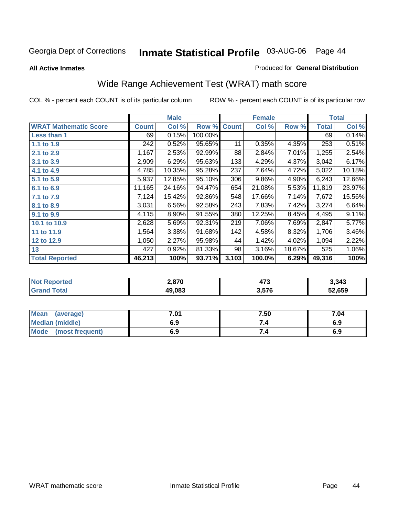#### **All Active Inmates**

#### Produced for **General Distribution**

# Wide Range Achievement Test (WRAT) math score

|                              |              | <b>Male</b> |         |              | <b>Female</b> |        |              | <b>Total</b> |
|------------------------------|--------------|-------------|---------|--------------|---------------|--------|--------------|--------------|
| <b>WRAT Mathematic Score</b> | <b>Count</b> | Col %       | Row %   | <b>Count</b> | Col %         | Row %  | <b>Total</b> | Col %        |
| Less than 1                  | 69           | 0.15%       | 100.00% |              |               |        | 69           | 0.14%        |
| 1.1 to 1.9                   | 242          | 0.52%       | 95.65%  | 11           | 0.35%         | 4.35%  | 253          | 0.51%        |
| 2.1 to 2.9                   | 1,167        | 2.53%       | 92.99%  | 88           | 2.84%         | 7.01%  | 1,255        | 2.54%        |
| 3.1 to 3.9                   | 2,909        | 6.29%       | 95.63%  | 133          | 4.29%         | 4.37%  | 3,042        | 6.17%        |
| 4.1 to 4.9                   | 4,785        | 10.35%      | 95.28%  | 237          | 7.64%         | 4.72%  | 5,022        | 10.18%       |
| 5.1 to 5.9                   | 5,937        | 12.85%      | 95.10%  | 306          | 9.86%         | 4.90%  | 6,243        | 12.66%       |
| 6.1 to 6.9                   | 11,165       | 24.16%      | 94.47%  | 654          | 21.08%        | 5.53%  | 11,819       | 23.97%       |
| 7.1 to 7.9                   | 7,124        | 15.42%      | 92.86%  | 548          | 17.66%        | 7.14%  | 7,672        | 15.56%       |
| 8.1 to 8.9                   | 3,031        | 6.56%       | 92.58%  | 243          | 7.83%         | 7.42%  | 3,274        | 6.64%        |
| 9.1 to 9.9                   | 4,115        | 8.90%       | 91.55%  | 380          | 12.25%        | 8.45%  | 4,495        | 9.11%        |
| 10.1 to 10.9                 | 2,628        | 5.69%       | 92.31%  | 219          | 7.06%         | 7.69%  | 2,847        | 5.77%        |
| 11 to 11.9                   | 1,564        | 3.38%       | 91.68%  | 142          | 4.58%         | 8.32%  | 1,706        | 3.46%        |
| 12 to 12.9                   | 1,050        | 2.27%       | 95.98%  | 44           | 1.42%         | 4.02%  | 1,094        | 2.22%        |
| 13                           | 427          | $0.92\%$    | 81.33%  | 98           | 3.16%         | 18.67% | 525          | 1.06%        |
| <b>Total Reported</b>        | 46,213       | 100%        | 93.71%  | 3,103        | 100.0%        | 6.29%  | 49,316       | 100%         |

| <b>Reported</b><br><b>NO</b> | 2,870  | ידי<br>473 | 3,343  |
|------------------------------|--------|------------|--------|
| <b>otal</b>                  | 49.083 | 3,576      | 52,659 |

| Mean<br>(average)              | 7.01 | 7.50 | 7.04 |
|--------------------------------|------|------|------|
| <b>Median (middle)</b>         | 6.9  |      | 6.9  |
| <b>Mode</b><br>(most frequent) | 6.9  | 7.4  | 6.9  |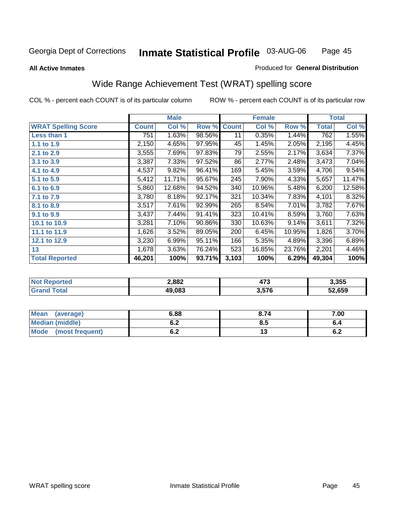**All Active Inmates**

#### Produced for **General Distribution**

### Wide Range Achievement Test (WRAT) spelling score

|                            |              | <b>Male</b> |        |              | <b>Female</b> |        |              | <b>Total</b> |
|----------------------------|--------------|-------------|--------|--------------|---------------|--------|--------------|--------------|
| <b>WRAT Spelling Score</b> | <b>Count</b> | Col %       | Row %  | <b>Count</b> | Col %         | Row %  | <b>Total</b> | Col %        |
| Less than 1                | 751          | 1.63%       | 98.56% | 11           | 0.35%         | 1.44%  | 762          | 1.55%        |
| 1.1 to 1.9                 | 2,150        | 4.65%       | 97.95% | 45           | 1.45%         | 2.05%  | 2,195        | 4.45%        |
| 2.1 to 2.9                 | 3,555        | 7.69%       | 97.83% | 79           | 2.55%         | 2.17%  | 3,634        | 7.37%        |
| 3.1 to 3.9                 | 3,387        | 7.33%       | 97.52% | 86           | 2.77%         | 2.48%  | 3,473        | 7.04%        |
| 4.1 to 4.9                 | 4,537        | 9.82%       | 96.41% | 169          | 5.45%         | 3.59%  | 4,706        | 9.54%        |
| 5.1 to 5.9                 | 5,412        | 11.71%      | 95.67% | 245          | 7.90%         | 4.33%  | 5,657        | 11.47%       |
| 6.1 to 6.9                 | 5,860        | 12.68%      | 94.52% | 340          | 10.96%        | 5.48%  | 6,200        | 12.58%       |
| 7.1 to 7.9                 | 3,780        | 8.18%       | 92.17% | 321          | 10.34%        | 7.83%  | 4,101        | 8.32%        |
| 8.1 to 8.9                 | 3,517        | 7.61%       | 92.99% | 265          | 8.54%         | 7.01%  | 3,782        | 7.67%        |
| 9.1 to 9.9                 | 3,437        | 7.44%       | 91.41% | 323          | 10.41%        | 8.59%  | 3,760        | 7.63%        |
| 10.1 to 10.9               | 3,281        | 7.10%       | 90.86% | 330          | 10.63%        | 9.14%  | 3,611        | 7.32%        |
| 11.1 to 11.9               | 1,626        | 3.52%       | 89.05% | 200          | 6.45%         | 10.95% | 1,826        | 3.70%        |
| 12.1 to 12.9               | 3,230        | 6.99%       | 95.11% | 166          | 5.35%         | 4.89%  | 3,396        | 6.89%        |
| 13                         | 1,678        | 3.63%       | 76.24% | 523          | 16.85%        | 23.76% | 2,201        | 4.46%        |
| <b>Total Reported</b>      | 46,201       | 100%        | 93.71% | 3,103        | 100%          | 6.29%  | 49,304       | 100%         |

|            | 2,882  | י ל<br>л<br>41 J | 3,355  |
|------------|--------|------------------|--------|
| <b>ota</b> | 49.083 | 3,576            | 52.659 |

| <b>Mean</b><br>(average)       | 6.88               | 8.74 | 7.00       |
|--------------------------------|--------------------|------|------------|
| <b>Median (middle)</b>         | <u>. . </u><br>0.Z | ტ.J  | o.4        |
| <b>Mode</b><br>(most frequent) | . .<br>U.Z         | יי   | . .<br>0.Z |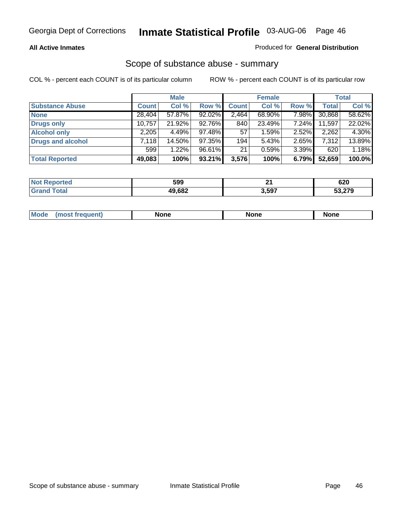#### **All Active Inmates**

#### Produced for **General Distribution**

### Scope of substance abuse - summary

|                          |              | <b>Male</b> |        |              | <b>Female</b> |       |              | <b>Total</b> |
|--------------------------|--------------|-------------|--------|--------------|---------------|-------|--------------|--------------|
| <b>Substance Abuse</b>   | <b>Count</b> | Col %       | Row %  | <b>Count</b> | Col %         | Row % | <b>Total</b> | Col %        |
| <b>None</b>              | 28,404       | 57.87%      | 92.02% | 2,464        | 68.90%        | 7.98% | 30,868       | 58.62%       |
| <b>Drugs only</b>        | 10,757       | 21.92%      | 92.76% | 840          | 23.49%        | 7.24% | 11,597       | 22.02%       |
| <b>Alcohol only</b>      | 2,205        | 4.49%       | 97.48% | 57           | 1.59%         | 2.52% | 2,262        | 4.30%        |
| <b>Drugs and alcohol</b> | 7,118        | 14.50%      | 97.35% | 194          | 5.43%         | 2.65% | 7,312        | 13.89%       |
|                          | 599          | 1.22%       | 96.61% | 21           | 0.59%         | 3.39% | 620          | 1.18%        |
| <b>Total Reported</b>    | 49,083       | 100%        | 93.21% | 3,576        | 100%          | 6.79% | 52,659       | 100.0%       |

| ted:  | 599    | п.    | 620    |
|-------|--------|-------|--------|
| ™ota⊾ | 49,682 | 3,597 | 53,279 |

|                 |             | - --  |      |
|-----------------|-------------|-------|------|
| $^{\prime}$ Mo. | <b>None</b> | one . | None |
|                 |             |       |      |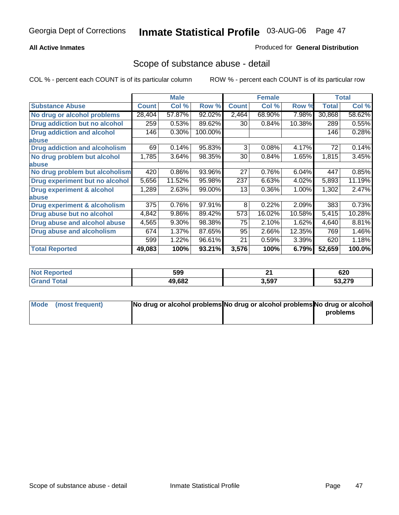### **All Active Inmates**

### Produced for **General Distribution**

### Scope of substance abuse - detail

|                                         |              | <b>Male</b> |         |              | <b>Female</b> |        |              | <b>Total</b> |
|-----------------------------------------|--------------|-------------|---------|--------------|---------------|--------|--------------|--------------|
| <b>Substance Abuse</b>                  | <b>Count</b> | Col %       | Row %   | <b>Count</b> | Col %         | Row %  | <b>Total</b> | Col %        |
| No drug or alcohol problems             | 28,404       | 57.87%      | 92.02%  | 2,464        | 68.90%        | 7.98%  | 30,868       | 58.62%       |
| <b>Drug addiction but no alcohol</b>    | 259          | 0.53%       | 89.62%  | 30           | 0.84%         | 10.38% | 289          | 0.55%        |
| <b>Drug addiction and alcohol</b>       | 146          | 0.30%       | 100.00% |              |               |        | 146          | 0.28%        |
| abuse                                   |              |             |         |              |               |        |              |              |
| <b>Drug addiction and alcoholism</b>    | 69           | 0.14%       | 95.83%  | 3            | 0.08%         | 4.17%  | 72           | 0.14%        |
| No drug problem but alcohol             | 1,785        | 3.64%       | 98.35%  | 30           | 0.84%         | 1.65%  | 1,815        | 3.45%        |
| abuse                                   |              |             |         |              |               |        |              |              |
| No drug problem but alcoholism          | 420          | 0.86%       | 93.96%  | 27           | 0.76%         | 6.04%  | 447          | 0.85%        |
| Drug experiment but no alcohol          | 5,656        | 11.52%      | 95.98%  | 237          | 6.63%         | 4.02%  | 5,893        | 11.19%       |
| <b>Drug experiment &amp; alcohol</b>    | 1,289        | 2.63%       | 99.00%  | 13           | 0.36%         | 1.00%  | 1,302        | 2.47%        |
| abuse                                   |              |             |         |              |               |        |              |              |
| <b>Drug experiment &amp; alcoholism</b> | 375          | 0.76%       | 97.91%  | 8            | 0.22%         | 2.09%  | 383          | 0.73%        |
| Drug abuse but no alcohol               | 4,842        | 9.86%       | 89.42%  | 573          | 16.02%        | 10.58% | 5,415        | 10.28%       |
| Drug abuse and alcohol abuse            | 4,565        | 9.30%       | 98.38%  | 75           | 2.10%         | 1.62%  | 4,640        | 8.81%        |
| <b>Drug abuse and alcoholism</b>        | 674          | 1.37%       | 87.65%  | 95           | 2.66%         | 12.35% | 769          | 1.46%        |
|                                         | 599          | 1.22%       | 96.61%  | 21           | 0.59%         | 3.39%  | 620          | 1.18%        |
| <b>Total Reported</b>                   | 49,083       | 100%        | 93.21%  | 3,576        | 100%          | 6.79%  | 52,659       | 100.0%       |

| æ | 599    | $\sim$<br>- -<br>$ -$ | 620                              |
|---|--------|-----------------------|----------------------------------|
|   | 49,682 | 3,597                 | $F^{\alpha}$ $\alpha \pi \alpha$ |

| Mode (most frequent) | No drug or alcohol problems No drug or alcohol problems No drug or alcohol |          |
|----------------------|----------------------------------------------------------------------------|----------|
|                      |                                                                            | problems |
|                      |                                                                            |          |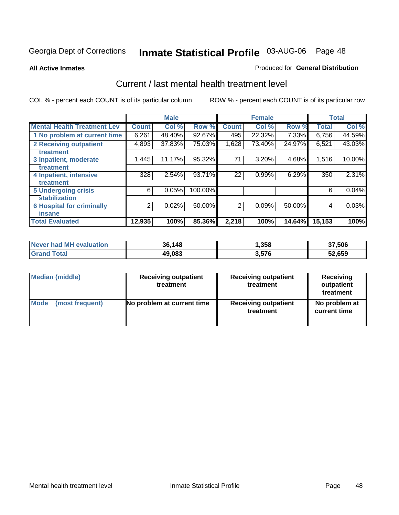#### **All Active Inmates**

#### Produced for **General Distribution**

### Current / last mental health treatment level

|                                    |              | <b>Male</b> |         |              | <b>Female</b> |        |              | <b>Total</b> |
|------------------------------------|--------------|-------------|---------|--------------|---------------|--------|--------------|--------------|
| <b>Mental Health Treatment Lev</b> | <b>Count</b> | Col %       | Row %   | <b>Count</b> | Col%          | Row %  | <b>Total</b> | Col%         |
| 1 No problem at current time       | 6,261        | 48.40%      | 92.67%  | 495          | 22.32%        | 7.33%  | 6,756        | 44.59%       |
| <b>2 Receiving outpatient</b>      | 4,893        | 37.83%      | 75.03%  | 1,628        | 73.40%        | 24.97% | 6,521        | 43.03%       |
| treatment                          |              |             |         |              |               |        |              |              |
| 3 Inpatient, moderate              | 1,445        | 11.17%      | 95.32%  | 71           | 3.20%         | 4.68%  | 1,516        | 10.00%       |
| treatment                          |              |             |         |              |               |        |              |              |
| 4 Inpatient, intensive             | 328          | 2.54%       | 93.71%  | 22           | 0.99%         | 6.29%  | 350          | 2.31%        |
| treatment                          |              |             |         |              |               |        |              |              |
| <b>5 Undergoing crisis</b>         | 6            | 0.05%       | 100.00% |              |               |        | 6            | 0.04%        |
| stabilization                      |              |             |         |              |               |        |              |              |
| <b>6 Hospital for criminally</b>   | 2            | 0.02%       | 50.00%  | 2            | 0.09%         | 50.00% | 4            | 0.03%        |
| insane                             |              |             |         |              |               |        |              |              |
| <b>Total Evaluated</b>             | 12,935       | 100%        | 85.36%  | 2,218        | 100%          | 14.64% | 15,153       | 100%         |

| Never had MH evaluation       | 36,148 | 358, ا | 37,506 |
|-------------------------------|--------|--------|--------|
| <b>Total</b><br><b>⊺Grand</b> | 49,083 | 3,576  | 52,659 |

| Median (middle) | <b>Receiving outpatient</b><br>treatment | <b>Receiving outpatient</b><br>treatment | <b>Receiving</b><br>outpatient<br>treatment |  |
|-----------------|------------------------------------------|------------------------------------------|---------------------------------------------|--|
| Mode            | No problem at current time               | <b>Receiving outpatient</b>              | No problem at                               |  |
| (most frequent) |                                          | treatment                                | current time                                |  |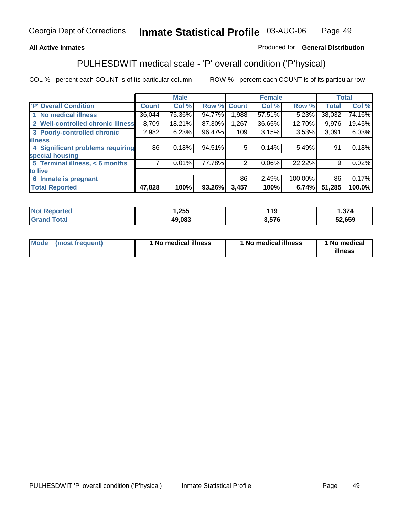### **All Active Inmates**

### Produced for **General Distribution**

### PULHESDWIT medical scale - 'P' overall condition ('P'hysical)

|                                   |              | <b>Male</b> |        |              | <b>Female</b> |         |              | <b>Total</b> |
|-----------------------------------|--------------|-------------|--------|--------------|---------------|---------|--------------|--------------|
| 'P' Overall Condition             | <b>Count</b> | Col %       | Row %  | <b>Count</b> | Col %         | Row %   | <b>Total</b> | Col %        |
| 1 No medical illness              | 36,044       | 75.36%      | 94.77% | 0.988        | 57.51%        | 5.23%   | 38,032       | 74.16%       |
| 2 Well-controlled chronic illness | 8,709        | 18.21%      | 87.30% | 1,267        | 36.65%        | 12.70%  | 9,976        | 19.45%       |
| 3 Poorly-controlled chronic       | 2,982        | 6.23%       | 96.47% | 109          | 3.15%         | 3.53%   | 3,091        | 6.03%        |
| <b>illness</b>                    |              |             |        |              |               |         |              |              |
| 4 Significant problems requiring  | 86           | 0.18%       | 94.51% | 5            | 0.14%         | 5.49%   | 91           | 0.18%        |
| special housing                   |              |             |        |              |               |         |              |              |
| 5 Terminal illness, < 6 months    | 7            | 0.01%       | 77.78% | 2            | 0.06%         | 22.22%  | 9            | 0.02%        |
| to live                           |              |             |        |              |               |         |              |              |
| Inmate is pregnant<br>6           |              |             |        | 86           | 2.49%         | 100.00% | 86           | 0.17%        |
| <b>Total Reported</b>             | 47,828       | 100%        | 93.26% | 3,457        | 100%          | 6.74%   | 51,285       | 100.0%       |

| <b>Not Reported</b> | 1,255  | 119   | 1,374  |
|---------------------|--------|-------|--------|
| <b>Grand Total</b>  | 49,083 | 3,576 | 52,659 |

| Mode (most frequent) | 1 No medical illness | 1 No medical illness | 1 No medical |
|----------------------|----------------------|----------------------|--------------|
|                      |                      |                      | illness      |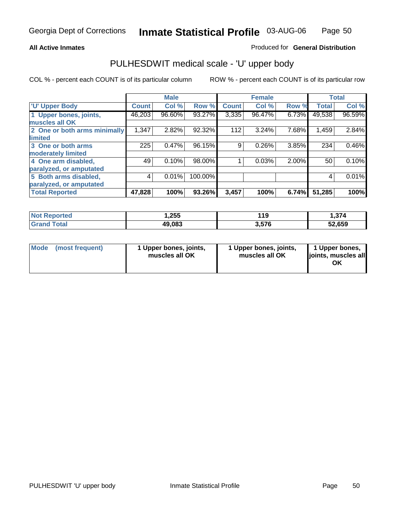### **All Active Inmates**

### Produced for **General Distribution**

# PULHESDWIT medical scale - 'U' upper body

|                              |              | <b>Male</b> |         |              | <b>Female</b> |       |              | <b>Total</b> |
|------------------------------|--------------|-------------|---------|--------------|---------------|-------|--------------|--------------|
| <b>U' Upper Body</b>         | <b>Count</b> | Col %       | Row %   | <b>Count</b> | Col %         | Row % | <b>Total</b> | Col %        |
| 1 Upper bones, joints,       | 46,203       | 96.60%      | 93.27%  | 3,335        | 96.47%        | 6.73% | 49,538       | 96.59%       |
| muscles all OK               |              |             |         |              |               |       |              |              |
| 2 One or both arms minimally | 1,347        | 2.82%       | 92.32%  | 112          | 3.24%         | 7.68% | 1,459        | 2.84%        |
| limited                      |              |             |         |              |               |       |              |              |
| 3 One or both arms           | 225          | 0.47%       | 96.15%  | 9            | 0.26%         | 3.85% | 234          | 0.46%        |
| moderately limited           |              |             |         |              |               |       |              |              |
| 4 One arm disabled,          | 49           | 0.10%       | 98.00%  |              | 0.03%         | 2.00% | 50           | 0.10%        |
| paralyzed, or amputated      |              |             |         |              |               |       |              |              |
| 5 Both arms disabled,        | 4            | 0.01%       | 100.00% |              |               |       | 4            | 0.01%        |
| paralyzed, or amputated      |              |             |         |              |               |       |              |              |
| <b>Total Reported</b>        | 47,828       | 100%        | 93.26%  | 3,457        | 100%          | 6.74% | 51,285       | 100%         |

| <b>Not</b><br><b>orted</b> | . 255, ، | 19    | 374. ا |
|----------------------------|----------|-------|--------|
| $T$ otol $T$               | 49,083   | 576,د | 52.659 |

| <b>Mode</b> | (most frequent) | 1 Upper bones, joints,<br>muscles all OK | 1 Upper bones, joints,<br>muscles all OK | 1 Upper bones,<br>joints, muscles all<br>ΟK |
|-------------|-----------------|------------------------------------------|------------------------------------------|---------------------------------------------|
|-------------|-----------------|------------------------------------------|------------------------------------------|---------------------------------------------|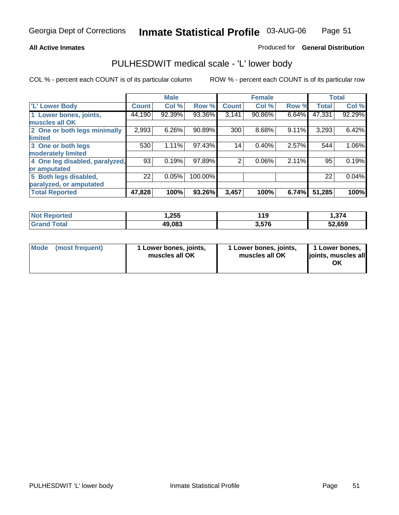#### **All Active Inmates**

#### Produced for **General Distribution**

### PULHESDWIT medical scale - 'L' lower body

|                                |              | <b>Male</b> |         |              | <b>Female</b> |       |              | <b>Total</b> |
|--------------------------------|--------------|-------------|---------|--------------|---------------|-------|--------------|--------------|
| 'L' Lower Body                 | <b>Count</b> | Col %       | Row %   | <b>Count</b> | Col %         | Row % | <b>Total</b> | Col %        |
| 1 Lower bones, joints,         | 44,190       | 92.39%      | 93.36%  | 3,141        | 90.86%        | 6.64% | 47,331       | 92.29%       |
| muscles all OK                 |              |             |         |              |               |       |              |              |
| 2 One or both legs minimally   | 2,993        | 6.26%       | 90.89%  | 300          | 8.68%         | 9.11% | 3,293        | 6.42%        |
| limited                        |              |             |         |              |               |       |              |              |
| 3 One or both legs             | 530          | 1.11%       | 97.43%  | 14           | 0.40%         | 2.57% | 544          | 1.06%        |
| moderately limited             |              |             |         |              |               |       |              |              |
| 4 One leg disabled, paralyzed, | 93           | 0.19%       | 97.89%  | 2            | 0.06%         | 2.11% | 95           | 0.19%        |
| or amputated                   |              |             |         |              |               |       |              |              |
| 5 Both legs disabled,          | 22           | 0.05%       | 100.00% |              |               |       | 22           | 0.04%        |
| paralyzed, or amputated        |              |             |         |              |               |       |              |              |
| <b>Total Reported</b>          | 47,828       | 100%        | 93.26%  | 3,457        | 100%          | 6.74% | 51,285       | 100%         |

| <b>Not Reported</b> | 1,255  | 119   | 1,374  |
|---------------------|--------|-------|--------|
| $\tau$ otal         | 49,083 | 3.576 | 52,659 |

| Mode | (most frequent) | 1 Lower bones, joints,<br>muscles all OK | 1 Lower bones, joints,<br>muscles all OK | 1 Lower bones,<br>joints, muscles all<br>OK |
|------|-----------------|------------------------------------------|------------------------------------------|---------------------------------------------|
|------|-----------------|------------------------------------------|------------------------------------------|---------------------------------------------|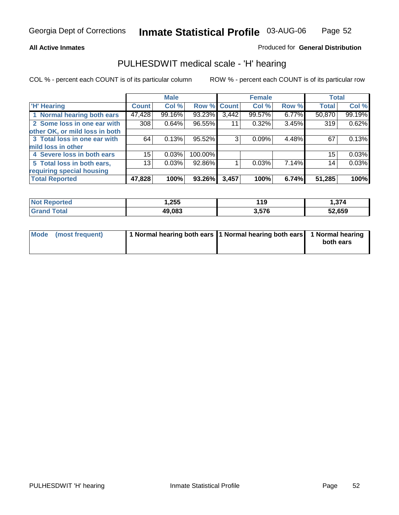#### **All Active Inmates**

#### Produced for **General Distribution**

### PULHESDWIT medical scale - 'H' hearing

|                                |        | <b>Male</b> |             |       | <b>Female</b> |       | <b>Total</b> |        |
|--------------------------------|--------|-------------|-------------|-------|---------------|-------|--------------|--------|
| <b>H'</b> Hearing              | Count  | Col %       | Row % Count |       | Col %         | Row % | <b>Total</b> | Col %  |
| 1 Normal hearing both ears     | 47,428 | 99.16%      | 93.23%      | 3,442 | 99.57%        | 6.77% | 50,870       | 99.19% |
| 2 Some loss in one ear with    | 308    | 0.64%       | 96.55%      | 11    | 0.32%         | 3.45% | 319          | 0.62%  |
| other OK, or mild loss in both |        |             |             |       |               |       |              |        |
| 3 Total loss in one ear with   | 64     | 0.13%       | 95.52%      | 3     | 0.09%         | 4.48% | 67           | 0.13%  |
| mild loss in other             |        |             |             |       |               |       |              |        |
| 4 Severe loss in both ears     | 15     | 0.03%       | 100.00%     |       |               |       | 15           | 0.03%  |
| 5 Total loss in both ears,     | 13     | 0.03%       | 92.86%      |       | 0.03%         | 7.14% | 14           | 0.03%  |
| requiring special housing      |        |             |             |       |               |       |              |        |
| <b>Total Reported</b>          | 47,828 | 100%        | 93.26%      | 3,457 | 100%          | 6.74% | 51,285       | 100%   |

| r refo | ,255   | 119                  | 271<br>. . 314 |
|--------|--------|----------------------|----------------|
|        | 49.083 | <b>676</b><br>יי ויי | .659<br>JŁ     |

| Mode (most frequent) | 1 Normal hearing both ears 11 Normal hearing both ears 1 Normal hearing |           |
|----------------------|-------------------------------------------------------------------------|-----------|
|                      |                                                                         | both ears |
|                      |                                                                         |           |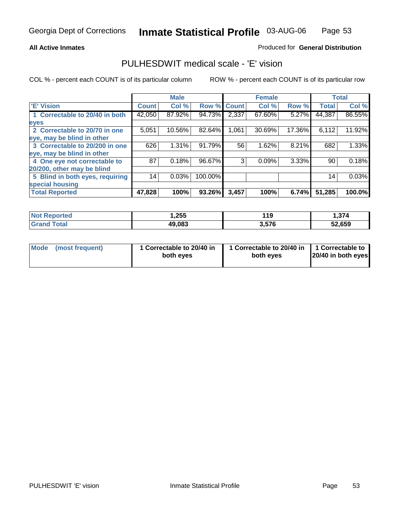#### **All Active Inmates**

### Produced for **General Distribution**

### PULHESDWIT medical scale - 'E' vision

|                                 |              | <b>Male</b> |                    |       | <b>Female</b> |        |              | <b>Total</b> |
|---------------------------------|--------------|-------------|--------------------|-------|---------------|--------|--------------|--------------|
| 'E' Vision                      | <b>Count</b> | Col %       | <b>Row % Count</b> |       | Col %         | Row %  | <b>Total</b> | Col %        |
| 1 Correctable to 20/40 in both  | 42,050       | 87.92%      | 94.73%             | 2,337 | 67.60%        | 5.27%  | 44,387       | 86.55%       |
| eyes                            |              |             |                    |       |               |        |              |              |
| 2 Correctable to 20/70 in one   | 5,051        | 10.56%      | 82.64%             | 1,061 | 30.69%        | 17.36% | 6,112        | 11.92%       |
| eye, may be blind in other      |              |             |                    |       |               |        |              |              |
| 3 Correctable to 20/200 in one  | 626          | $1.31\%$    | 91.79%             | 56    | 1.62%         | 8.21%  | 682          | 1.33%        |
| eye, may be blind in other      |              |             |                    |       |               |        |              |              |
| 4 One eye not correctable to    | 87           | 0.18%       | 96.67%             | 3     | 0.09%         | 3.33%  | 90           | 0.18%        |
| 20/200, other may be blind      |              |             |                    |       |               |        |              |              |
| 5 Blind in both eyes, requiring | 14           | 0.03%       | 100.00%            |       |               |        | 14           | 0.03%        |
| special housing                 |              |             |                    |       |               |        |              |              |
| <b>Total Reported</b>           | 47,828       | 100%        | 93.26%             | 3,457 | 100%          | 6.74%  | 51,285       | 100.0%       |

| <b>Not Reported</b> | 255, ا | 440<br>- 15 | - 274<br>- 314 |
|---------------------|--------|-------------|----------------|
| Гоtа<br>.Grar       | 49,083 | 3,576       | 52,659         |

| Mode | (most frequent) | 1 Correctable to 20/40 in<br>both eves | 1 Correctable to 20/40 in   1 Correctable to<br>both eves | 20/40 in both eyes |
|------|-----------------|----------------------------------------|-----------------------------------------------------------|--------------------|
|      |                 |                                        |                                                           |                    |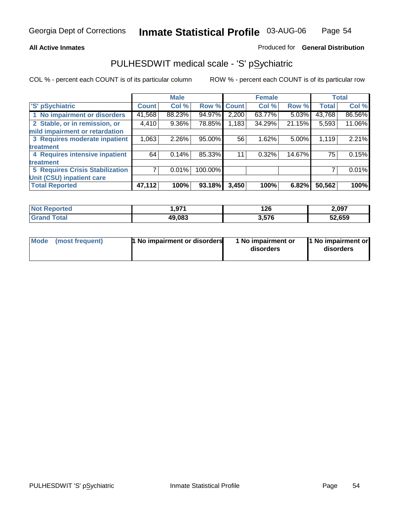#### **All Active Inmates**

#### Produced for **General Distribution**

### PULHESDWIT medical scale - 'S' pSychiatric

|                                        |              | <b>Male</b> |         |              | <b>Female</b> |        |              | <b>Total</b> |
|----------------------------------------|--------------|-------------|---------|--------------|---------------|--------|--------------|--------------|
| 'S' pSychiatric                        | <b>Count</b> | Col %       | Row %   | <b>Count</b> | Col %         | Row %  | <b>Total</b> | Col %        |
| 1 No impairment or disorders           | 41,568       | 88.23%      | 94.97%  | 2,200        | 63.77%        | 5.03%  | 43,768       | 86.56%       |
| 2 Stable, or in remission, or          | 4,410        | 9.36%       | 78.85%  | 1,183        | 34.29%        | 21.15% | 5,593        | 11.06%       |
| mild impairment or retardation         |              |             |         |              |               |        |              |              |
| 3 Requires moderate inpatient          | 1,063        | 2.26%       | 95.00%  | 56           | 1.62%         | 5.00%  | 1,119        | 2.21%        |
| treatment                              |              |             |         |              |               |        |              |              |
| 4 Requires intensive inpatient         | 64           | 0.14%       | 85.33%  | 11           | 0.32%         | 14.67% | 75           | 0.15%        |
| treatment                              |              |             |         |              |               |        |              |              |
| <b>5 Requires Crisis Stabilization</b> |              | 0.01%       | 100.00% |              |               |        |              | 0.01%        |
| Unit (CSU) inpatient care              |              |             |         |              |               |        |              |              |
| <b>Total Reported</b>                  | 47,112       | 100%        | 93.18%  | 3,450        | 100%          | 6.82%  | 50,562       | <b>100%</b>  |

| <b>Not Reported</b> | 1,971  | 126   | 2,097  |
|---------------------|--------|-------|--------|
| $\tau$ otal         | 49,083 | 3,576 | 52,659 |

| Mode (most frequent) | <b>1 No impairment or disorders</b> | 1 No impairment or<br>disorders | 1 No impairment or<br>disorders |
|----------------------|-------------------------------------|---------------------------------|---------------------------------|
|                      |                                     |                                 |                                 |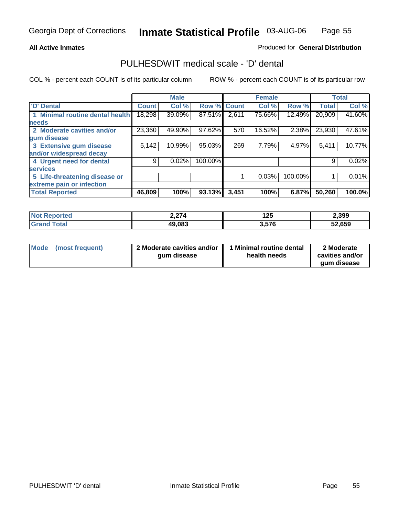#### **All Active Inmates**

#### Produced for **General Distribution**

### PULHESDWIT medical scale - 'D' dental

|                                 |              | <b>Male</b> |             |       | <b>Female</b> |         |              | <b>Total</b> |
|---------------------------------|--------------|-------------|-------------|-------|---------------|---------|--------------|--------------|
| <b>D' Dental</b>                | <b>Count</b> | Col %       | Row % Count |       | Col %         | Row %   | <b>Total</b> | Col %        |
| 1 Minimal routine dental health | 18,298       | 39.09%      | 87.51%      | 2,611 | 75.66%        | 12.49%  | 20,909       | 41.60%       |
| <b>needs</b>                    |              |             |             |       |               |         |              |              |
| 2 Moderate cavities and/or      | 23,360       | 49.90%      | 97.62%      | 570   | 16.52%        | 2.38%   | 23,930       | 47.61%       |
| gum disease                     |              |             |             |       |               |         |              |              |
| 3 Extensive gum disease         | 5,142        | 10.99%      | 95.03%      | 269   | 7.79%         | 4.97%   | 5,411        | 10.77%       |
| and/or widespread decay         |              |             |             |       |               |         |              |              |
| 4 Urgent need for dental        | 9            | 0.02%       | 100.00%     |       |               |         | 9            | 0.02%        |
| <b>services</b>                 |              |             |             |       |               |         |              |              |
| 5 Life-threatening disease or   |              |             |             |       | 0.03%         | 100.00% |              | 0.01%        |
| extreme pain or infection       |              |             |             |       |               |         |              |              |
| <b>Total Reported</b>           | 46,809       | 100%        | 93.13%      | 3,451 | 100%          | 6.87%   | 50,260       | 100.0%       |

| <b>Not Reported</b>         | 2,274  | 1 つに<br>1 Z.J | 2,399  |
|-----------------------------|--------|---------------|--------|
| <b>Total</b><br><b>Gran</b> | 49,083 | 3,576         | 52,659 |

| <b>Mode</b> | (most frequent) | 2 Moderate cavities and/or<br>qum disease | 1 Minimal routine dental<br>health needs | 2 Moderate<br>cavities and/or |
|-------------|-----------------|-------------------------------------------|------------------------------------------|-------------------------------|
|             |                 |                                           |                                          | qum disease                   |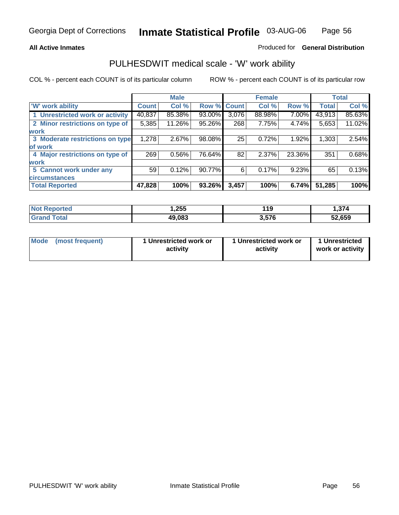#### **All Active Inmates**

#### Produced for **General Distribution**

### PULHESDWIT medical scale - 'W' work ability

|                                 |              | <b>Male</b> |        |             | <b>Female</b> |        |              | <b>Total</b> |
|---------------------------------|--------------|-------------|--------|-------------|---------------|--------|--------------|--------------|
| W' work ability                 | <b>Count</b> | Col %       |        | Row % Count | Col %         | Row %  | <b>Total</b> | Col %        |
| 1 Unrestricted work or activity | 40,837       | 85.38%      | 93.00% | 3,076       | 88.98%        | 7.00%  | 43,913       | 85.63%       |
| 2 Minor restrictions on type of | 5,385        | 11.26%      | 95.26% | 268         | 7.75%         | 4.74%  | 5,653        | 11.02%       |
| <b>work</b>                     |              |             |        |             |               |        |              |              |
| 3 Moderate restrictions on type | 1,278        | 2.67%       | 98.08% | 25          | 0.72%         | 1.92%  | 1,303        | 2.54%        |
| of work                         |              |             |        |             |               |        |              |              |
| 4 Major restrictions on type of | 269          | 0.56%       | 76.64% | 82          | 2.37%         | 23.36% | 351          | 0.68%        |
| <b>work</b>                     |              |             |        |             |               |        |              |              |
| 5 Cannot work under any         | 59           | 0.12%       | 90.77% | 6           | 0.17%         | 9.23%  | 65           | 0.13%        |
| <b>circumstances</b>            |              |             |        |             |               |        |              |              |
| <b>Total Reported</b>           | 47,828       | 100%        | 93.26% | 3,457       | 100%          | 6.74%  | 51,285       | 100%         |

| <b>Not Reported</b>          | 255. ا | 119   | .374   |
|------------------------------|--------|-------|--------|
| <b>Total</b><br><b>Grand</b> | 49,083 | 3,576 | 52,659 |

| Mode | (most frequent) | 1 Unrestricted work or<br>activity | 1 Unrestricted work or<br>activity | 1 Unrestricted<br>work or activity |
|------|-----------------|------------------------------------|------------------------------------|------------------------------------|
|------|-----------------|------------------------------------|------------------------------------|------------------------------------|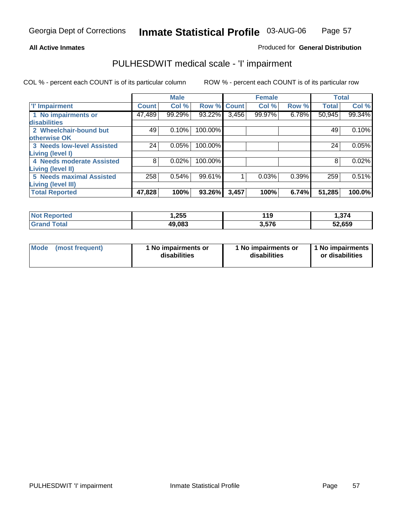#### **All Active Inmates**

### Produced for **General Distribution**

### PULHESDWIT medical scale - 'I' impairment

|                                   |              | <b>Male</b> |         |              | <b>Female</b> |          | <b>Total</b> |        |
|-----------------------------------|--------------|-------------|---------|--------------|---------------|----------|--------------|--------|
| <b>T' Impairment</b>              | <b>Count</b> | Col %       | Row %   | <b>Count</b> | Col %         | Row %    | <b>Total</b> | Col %  |
| 1 No impairments or               | 47,489       | 99.29%      | 93.22%  | 3,456        | 99.97%        | $6.78\%$ | 50,945       | 99.34% |
| disabilities                      |              |             |         |              |               |          |              |        |
| 2 Wheelchair-bound but            | 49           | 0.10%       | 100.00% |              |               |          | 49           | 0.10%  |
| otherwise OK                      |              |             |         |              |               |          |              |        |
| <b>3 Needs low-level Assisted</b> | 24           | 0.05%       | 100.00% |              |               |          | 24           | 0.05%  |
| Living (level I)                  |              |             |         |              |               |          |              |        |
| 4 Needs moderate Assisted         | 8            | 0.02%       | 100.00% |              |               |          | 8            | 0.02%  |
| <b>Living (level II)</b>          |              |             |         |              |               |          |              |        |
| <b>5 Needs maximal Assisted</b>   | 258          | 0.54%       | 99.61%  |              | 0.03%         | 0.39%    | 259          | 0.51%  |
| <b>Living (level III)</b>         |              |             |         |              |               |          |              |        |
| <b>Total Reported</b>             | 47,828       | 100%        | 93.26%  | 3,457        | 100%          | 6.74%    | 51,285       | 100.0% |

| 255, ، | 119   | 1,374  |
|--------|-------|--------|
| 49.083 | 3.576 | 52,659 |

| Mode | (most frequent) | 1 No impairments or<br>disabilities | 1 No impairments or<br>disabilities | 1 1 No impairments<br>or disabilities |
|------|-----------------|-------------------------------------|-------------------------------------|---------------------------------------|
|------|-----------------|-------------------------------------|-------------------------------------|---------------------------------------|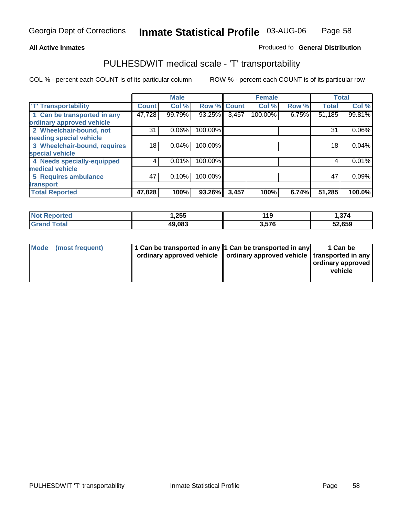#### **Inmate Statistical Profile** 03-AUG-06 Page Page 58

### **All Active Inmates Allowski** Produced fo **General Distribution**

### PULHESDWIT medical scale - 'T' transportability

|                              |              | <b>Male</b> |             |       | <b>Female</b> |       | <b>Total</b> |          |
|------------------------------|--------------|-------------|-------------|-------|---------------|-------|--------------|----------|
| <b>T' Transportability</b>   | <b>Count</b> | Col %       | Row % Count |       | Col %         | Row % | <b>Total</b> | Col %    |
| 1 Can be transported in any  | 47,728       | 99.79%      | 93.25%      | 3,457 | 100.00%       | 6.75% | 51,185       | 99.81%   |
| ordinary approved vehicle    |              |             |             |       |               |       |              |          |
| 2 Wheelchair-bound, not      | 31           | 0.06%       | 100.00%     |       |               |       | 31           | $0.06\%$ |
| needing special vehicle      |              |             |             |       |               |       |              |          |
| 3 Wheelchair-bound, requires | 18           | 0.04%       | 100.00%     |       |               |       | 18           | 0.04%    |
| special vehicle              |              |             |             |       |               |       |              |          |
| 4 Needs specially-equipped   | 4            | 0.01%       | 100.00%     |       |               |       | 4            | 0.01%    |
| medical vehicle              |              |             |             |       |               |       |              |          |
| <b>5 Requires ambulance</b>  | 47           | 0.10%       | 100.00%     |       |               |       | 47           | 0.09%    |
| transport                    |              |             |             |       |               |       |              |          |
| <b>Total Reported</b>        | 47,828       | 100%        | 93.26%      | 3,457 | 100%          | 6.74% | 51,285       | 100.0%   |

| ›rtec<br>' NOT | 1,255  | 119   | 1,374  |
|----------------|--------|-------|--------|
| $\cdot$ Grs    | 49,083 | 3,576 | 52,659 |

| Mode (most frequent) | 1 Can be transported in any 1 Can be transported in any | ordinary approved vehicle   ordinary approved vehicle   transported in any | 1 Can be<br>  ordinary approved  <br>vehicle |
|----------------------|---------------------------------------------------------|----------------------------------------------------------------------------|----------------------------------------------|
|                      |                                                         |                                                                            |                                              |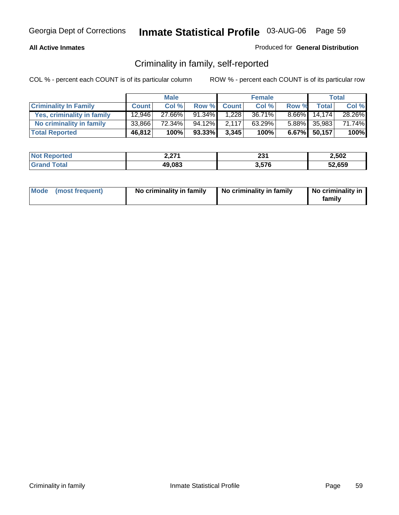#### **All Active Inmates**

### Produced for **General Distribution**

### Criminality in family, self-reported

|                              |              | <b>Male</b> |        |              | <b>Female</b> |          |              | <b>Total</b> |
|------------------------------|--------------|-------------|--------|--------------|---------------|----------|--------------|--------------|
| <b>Criminality In Family</b> | <b>Count</b> | Col %       | Row %  | <b>Count</b> | Col %         | Row %    | <b>Total</b> | Col %        |
| Yes, criminality in family   | 12,946       | 27.66%      | 91.34% | 1.228        | 36.71%        | $8.66\%$ | 14.174       | 28.26%       |
| No criminality in family     | 33,866       | 72.34%      | 94.12% | 2.117        | 63.29%        |          | 5.88% 35,983 | 71.74%       |
| <b>Total Reported</b>        | 46,812       | 100%        | 93.33% | 3,345        | 100%          |          | 6.67% 50,157 | 100%         |

| <b>Not</b>      | 271           | $\sim$ | 2.502  |
|-----------------|---------------|--------|--------|
| <b>Reported</b> | <i>L.LI</i> I | ا دے   |        |
| <b>ota</b>      | 49,083        | 3,576  | 52,659 |

| Mode (most frequent) |  | No criminality in family | No criminality in family | No criminality in<br>family |
|----------------------|--|--------------------------|--------------------------|-----------------------------|
|----------------------|--|--------------------------|--------------------------|-----------------------------|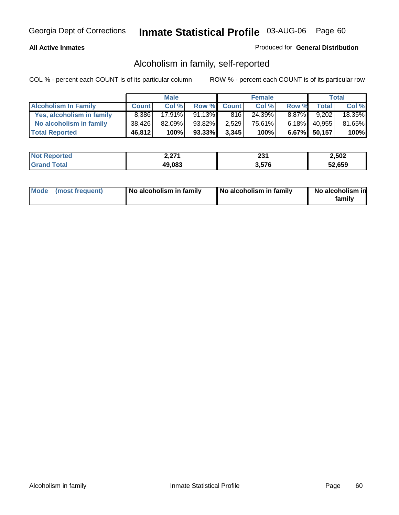#### **All Active Inmates**

### Produced for **General Distribution**

### Alcoholism in family, self-reported

|                             |              | <b>Male</b> |        |              | <b>Female</b> |          |              | <b>Total</b> |
|-----------------------------|--------------|-------------|--------|--------------|---------------|----------|--------------|--------------|
| <b>Alcoholism In Family</b> | <b>Count</b> | Col %       | Row %  | <b>Count</b> | Col %         | Row %    | <b>Total</b> | Col %        |
| Yes, alcoholism in family   | 8.386        | $17.91\%$   | 91.13% | 816          | 24.39%        | $8.87\%$ | 9,202        | 18.35%       |
| No alcoholism in family     | 38.426       | $82.09\%$   | 93.82% | 2,529        | 75.61%        | $6.18\%$ | 40,955       | 81.65%       |
| <b>Total Reported</b>       | 46,812       | 100%        | 93.33% | 3,345        | 100%          |          | 6.67% 50,157 | 100%         |

| <b>Not Reported</b> | 2 הדר<br><i>L.LI</i> | າາາ<br>ا ت | 2,502  |
|---------------------|----------------------|------------|--------|
| <b>Srand Total</b>  | 49,083               | 3,576      | 52,659 |

| Mode (most frequent) | No alcoholism in family | No alcoholism in family | No alcoholism in<br>family |
|----------------------|-------------------------|-------------------------|----------------------------|
|----------------------|-------------------------|-------------------------|----------------------------|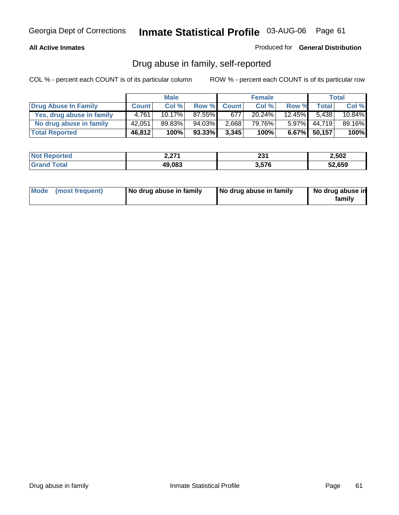#### **All Active Inmates**

Produced for **General Distribution**

### Drug abuse in family, self-reported

|                           |              | <b>Male</b> |        |              | <b>Female</b> |           |              | <b>Total</b> |
|---------------------------|--------------|-------------|--------|--------------|---------------|-----------|--------------|--------------|
| Drug Abuse In Family      | <b>Count</b> | Col %       | Row %  | <b>Count</b> | Col %         | Row %     | <b>Total</b> | Col %        |
| Yes, drug abuse in family | 4.761        | 10.17%      | 87.55% | 677          | 20.24%        | $12.45\%$ | 5.438        | 10.84%       |
| No drug abuse in family   | 42,051       | 89.83%      | 94.03% | 2,668        | 79.76%        | $5.97\%$  | 44.719       | 89.16%       |
| <b>Total Reported</b>     | 46,812       | 100%        | 93.33% | 3,345        | 100%          |           | 6.67% 50,157 | 100%         |

| <b>Not Reported</b> | ידר ר<br><i>L.LI</i> | ∗ פר<br>ا دے | 2.502  |
|---------------------|----------------------|--------------|--------|
| ⊺otal<br>l Grand    | 49,083               | 3.576        | 52,659 |

|  | Mode (most frequent) | No drug abuse in family | No drug abuse in family | No drug abuse in<br>family |
|--|----------------------|-------------------------|-------------------------|----------------------------|
|--|----------------------|-------------------------|-------------------------|----------------------------|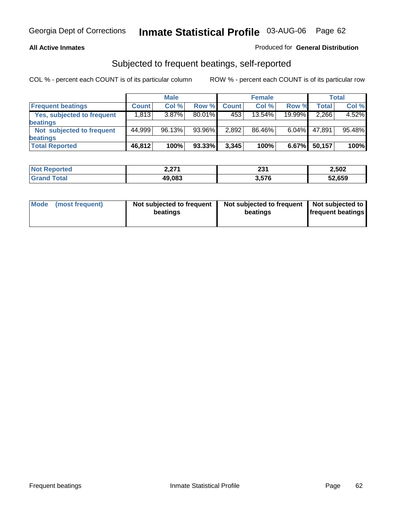#### **All Active Inmates**

### Produced for **General Distribution**

### Subjected to frequent beatings, self-reported

|                                   |              | <b>Male</b> |        |              | <b>Female</b> |          |        | Total  |
|-----------------------------------|--------------|-------------|--------|--------------|---------------|----------|--------|--------|
| <b>Frequent beatings</b>          | <b>Count</b> | Col %       | Row %  | <b>Count</b> | Col %         | Row %    | Total  | Col %  |
| <b>Yes, subjected to frequent</b> | 1,813        | $3.87\%$    | 80.01% | 453          | $13.54\%$     | 19.99%   | 2,266  | 4.52%  |
| <b>beatings</b>                   |              |             |        |              |               |          |        |        |
| Not subjected to frequent         | 44,999       | 96.13%      | 93.96% | 2,892        | 86.46%        | $6.04\%$ | 47.891 | 95.48% |
| <b>beatings</b>                   |              |             |        |              |               |          |        |        |
| <b>Total Reported</b>             | 46,812       | 100%        | 93.33% | 3,345        | 100%          | 6.67%    | 50,157 | 100%   |

| orted              | גים ו         | 994   | 2,502  |
|--------------------|---------------|-------|--------|
| NO.                | <i>L.LI</i> I | 2J I  |        |
| $\sim$ fol<br>. Gr | 49,083        | 3.576 | 52,659 |

| <b>Mode</b><br>(most frequent) | Not subjected to frequent<br>beatings | Not subjected to frequent   Not subjected to  <br>beatings | <b>frequent beatings</b> |  |
|--------------------------------|---------------------------------------|------------------------------------------------------------|--------------------------|--|
|                                |                                       |                                                            |                          |  |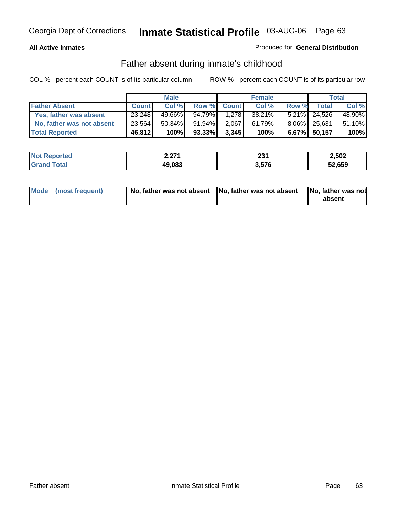### **All Active Inmates**

### Produced for **General Distribution**

### Father absent during inmate's childhood

|                           |              | <b>Male</b> |           |              | <b>Female</b> |       |                 | Total  |
|---------------------------|--------------|-------------|-----------|--------------|---------------|-------|-----------------|--------|
| <b>Father Absent</b>      | <b>Count</b> | Col %       | Row %     | <b>Count</b> | Col %         | Row % | <b>Total</b>    | Col %  |
| Yes, father was absent    | 23,248       | 49.66%      | 94.79%    | 1,278        | 38.21%        |       | $5.21\%$ 24,526 | 48.90% |
| No, father was not absent | 23,564       | 50.34%      | $91.94\%$ | 2,067        | 61.79%        |       | 8.06% 25,631    | 51.10% |
| <b>Total Reported</b>     | 46,812       | 100%        | 93.33%    | 3,345        | 100%          |       | $6.67\%$ 50,157 | 100%   |

| <b>Not Reported</b> | 2,271  | າາ4<br>ZJ I | 2,502  |
|---------------------|--------|-------------|--------|
| <b>Grand Total</b>  | 49,083 | 3,576       | 52,659 |

| Mode (most frequent) |  | 「No, father was not absent ┃No, father was not absent ┃No, father was not | absent |
|----------------------|--|---------------------------------------------------------------------------|--------|
|----------------------|--|---------------------------------------------------------------------------|--------|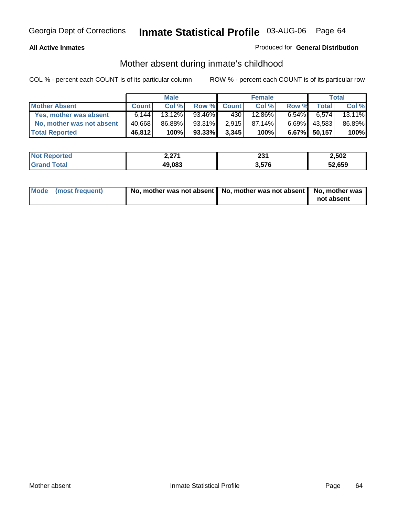#### **All Active Inmates**

### Produced for **General Distribution**

### Mother absent during inmate's childhood

|                           |              | <b>Male</b> |        |              | <b>Female</b> |          |              | Total  |
|---------------------------|--------------|-------------|--------|--------------|---------------|----------|--------------|--------|
| <b>Mother Absent</b>      | <b>Count</b> | Col %       | Row %  | <b>Count</b> | Col %         | Row %    | <b>Total</b> | Col %  |
| Yes, mother was absent    | 6.144        | $13.12\%$   | 93.46% | 430          | 12.86%        | $6.54\%$ | 6,574        | 13.11% |
| No, mother was not absent | 40,668       | 86.88%      | 93.31% | 2.915        | 87.14%        | $6.69\%$ | 43,583       | 86.89% |
| <b>Total Reported</b>     | 46,812       | 100%        | 93.33% | 3,345        | 100%          |          | 6.67% 50,157 | 100%   |

| <b>Not Reported</b> | ን ን71<br>2.ZI | າາາ<br>ا د∡ | 2,502  |
|---------------------|---------------|-------------|--------|
| <b>Srand Total</b>  | 49,083        | 3,576       | 52,659 |

| Mode (most frequent) | No, mother was not absent $\vert$ No, mother was not absent $\vert$ No, mother was | not absent |
|----------------------|------------------------------------------------------------------------------------|------------|
|                      |                                                                                    |            |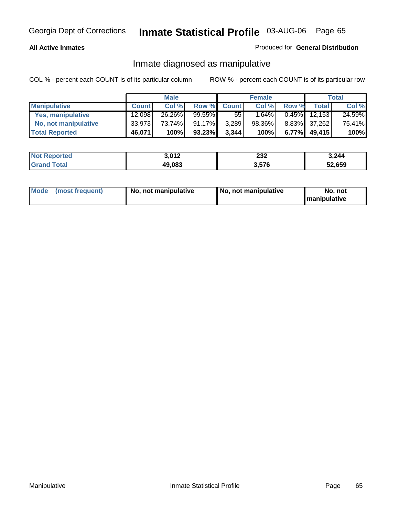### **All Active Inmates**

### Produced for **General Distribution**

### Inmate diagnosed as manipulative

|                       |              | <b>Male</b> |        |              | <b>Female</b> |          |              | Total  |
|-----------------------|--------------|-------------|--------|--------------|---------------|----------|--------------|--------|
| <b>Manipulative</b>   | <b>Count</b> | Col %       | Row %  | <b>Count</b> | Col %         | Row %    | <b>Total</b> | Col %  |
| Yes, manipulative     | 12.098       | 26.26%      | 99.55% | 55           | 1.64%         | 0.45%    | 12.153       | 24.59% |
| No, not manipulative  | 33,973       | 73.74%      | 91.17% | 3,289        | 98.36%        |          | 8.83% 37,262 | 75.41% |
| <b>Total Reported</b> | 46,071       | 100%        | 93.23% | 3,344        | 100%          | $6.77\%$ | 49.415       | 100%   |

| <b>Not Reported</b><br>3,012 |        | 232             | 3,244  |
|------------------------------|--------|-----------------|--------|
| <b>Total</b><br>l Grand      | 49,083 | 3 57R<br>ט וטוט | 52,659 |

| <b>Mode</b> | (most frequent) | No. not manipulative | No. not manipulative | No. not<br>I manipulative |
|-------------|-----------------|----------------------|----------------------|---------------------------|
|-------------|-----------------|----------------------|----------------------|---------------------------|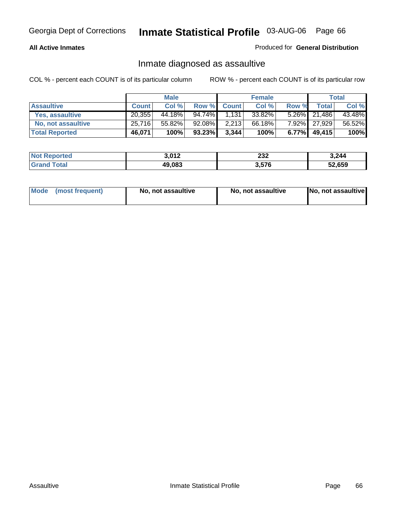#### **All Active Inmates**

#### Produced for **General Distribution**

### Inmate diagnosed as assaultive

|                       |              | <b>Male</b> |           |              | <b>Female</b> |       |              | <b>Total</b> |
|-----------------------|--------------|-------------|-----------|--------------|---------------|-------|--------------|--------------|
| <b>Assaultive</b>     | <b>Count</b> | Col %       | Row %     | <b>Count</b> | Col %         | Row % | Total        | Col %        |
| Yes, assaultive       | 20.355       | 44.18%      | $94.74\%$ | 1,131        | 33.82%        |       | 5.26% 21,486 | 43.48%       |
| No, not assaultive    | 25,716       | 55.82%      | $92.08\%$ | 2,213        | 66.18%        |       | 7.92% 27,929 | 56.52%       |
| <b>Total Reported</b> | 46,071       | 100%        | $93.23\%$ | 3,344        | 100%          | 6.77% | 49,415       | 100%         |

| 3,012<br><b>Not Reported</b> |        | າາາ<br>ZJZ | 3,244  |
|------------------------------|--------|------------|--------|
| <b>Srand Total</b>           | 49,083 | 3,576      | 52,659 |

| Mode | ↑ (most frequent) | No, not assaultive | No, not assaultive | [No, not assaultive] |
|------|-------------------|--------------------|--------------------|----------------------|
|------|-------------------|--------------------|--------------------|----------------------|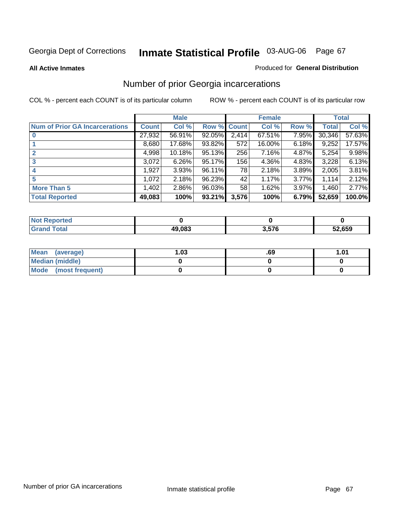#### **All Active Inmates**

#### Produced for **General Distribution**

### Number of prior Georgia incarcerations

|                                       |              | <b>Male</b> |                    |       | <b>Female</b> |       |        | <b>Total</b> |
|---------------------------------------|--------------|-------------|--------------------|-------|---------------|-------|--------|--------------|
| <b>Num of Prior GA Incarcerations</b> | <b>Count</b> | Col %       | <b>Row % Count</b> |       | Col %         | Row % | Total  | Col %        |
| $\bf{0}$                              | 27,932       | 56.91%      | 92.05%             | 2,414 | 67.51%        | 7.95% | 30,346 | 57.63%       |
|                                       | 8,680        | 17.68%      | 93.82%             | 572   | 16.00%        | 6.18% | 9,252  | 17.57%       |
|                                       | 4,998        | 10.18%      | 95.13%             | 256   | 7.16%         | 4.87% | 5,254  | 9.98%        |
| 3                                     | 3,072        | 6.26%       | 95.17%             | 156   | 4.36%         | 4.83% | 3,228  | 6.13%        |
|                                       | 1,927        | 3.93%       | 96.11%             | 78 I  | 2.18%         | 3.89% | 2,005  | 3.81%        |
| 5                                     | 1,072        | 2.18%       | 96.23%             | 42    | 1.17%         | 3.77% | 1,114  | 2.12%        |
| <b>More Than 5</b>                    | 1,402        | 2.86%       | 96.03%             | 58    | 1.62%         | 3.97% | 1,460  | 2.77%        |
| <b>Total Reported</b>                 | 49,083       | 100%        | 93.21%             | 3,576 | 100%          | 6.79% | 52,659 | 100.0%       |

| orted<br>NC        |        |       |        |
|--------------------|--------|-------|--------|
| <b>otal</b><br>Gr: | 49.083 | 3.576 | 52,659 |

| Mean (average)       | l.O3 | .69 | 1.01 |
|----------------------|------|-----|------|
| Median (middle)      |      |     |      |
| Mode (most frequent) |      |     |      |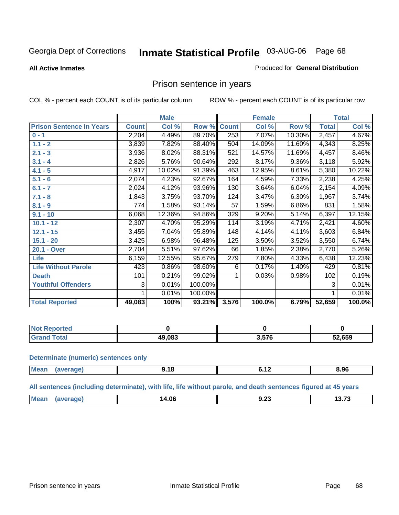#### **All Active Inmates**

#### Produced for **General Distribution**

### Prison sentence in years

COL % - percent each COUNT is of its particular column ROW % - percent each COUNT is of its particular row

|                                 |              | <b>Male</b> |         |                 | <b>Female</b> |          |              | <b>Total</b> |
|---------------------------------|--------------|-------------|---------|-----------------|---------------|----------|--------------|--------------|
| <b>Prison Sentence In Years</b> | <b>Count</b> | Col %       | Row %   | <b>Count</b>    | Col %         | Row %    | <b>Total</b> | Col %        |
| $0 - 1$                         | 2,204        | 4.49%       | 89.70%  | 253             | 7.07%         | 10.30%   | 2,457        | 4.67%        |
| $1.1 - 2$                       | 3,839        | 7.82%       | 88.40%  | 504             | 14.09%        | 11.60%   | 4,343        | 8.25%        |
| $2.1 - 3$                       | 3,936        | 8.02%       | 88.31%  | 521             | 14.57%        | 11.69%   | 4,457        | 8.46%        |
| $3.1 - 4$                       | 2,826        | 5.76%       | 90.64%  | 292             | 8.17%         | $9.36\%$ | 3,118        | 5.92%        |
| $4.1 - 5$                       | 4,917        | 10.02%      | 91.39%  | 463             | 12.95%        | 8.61%    | 5,380        | 10.22%       |
| $5.1 - 6$                       | 2,074        | 4.23%       | 92.67%  | 164             | 4.59%         | 7.33%    | 2,238        | 4.25%        |
| $6.1 - 7$                       | 2,024        | 4.12%       | 93.96%  | 130             | 3.64%         | 6.04%    | 2,154        | 4.09%        |
| $7.1 - 8$                       | 1,843        | 3.75%       | 93.70%  | 124             | 3.47%         | 6.30%    | 1,967        | 3.74%        |
| $8.1 - 9$                       | 774          | 1.58%       | 93.14%  | $\overline{57}$ | 1.59%         | 6.86%    | 831          | 1.58%        |
| $9.1 - 10$                      | 6,068        | 12.36%      | 94.86%  | 329             | 9.20%         | 5.14%    | 6,397        | 12.15%       |
| $10.1 - 12$                     | 2,307        | 4.70%       | 95.29%  | 114             | 3.19%         | 4.71%    | 2,421        | 4.60%        |
| $12.1 - 15$                     | 3,455        | 7.04%       | 95.89%  | 148             | 4.14%         | 4.11%    | 3,603        | 6.84%        |
| $15.1 - 20$                     | 3,425        | 6.98%       | 96.48%  | 125             | 3.50%         | 3.52%    | 3,550        | 6.74%        |
| 20.1 - Over                     | 2,704        | 5.51%       | 97.62%  | 66              | 1.85%         | 2.38%    | 2,770        | 5.26%        |
| <b>Life</b>                     | 6,159        | 12.55%      | 95.67%  | 279             | 7.80%         | 4.33%    | 6,438        | 12.23%       |
| <b>Life Without Parole</b>      | 423          | 0.86%       | 98.60%  | 6               | 0.17%         | 1.40%    | 429          | 0.81%        |
| <b>Death</b>                    | 101          | 0.21%       | 99.02%  |                 | 0.03%         | 0.98%    | 102          | 0.19%        |
| <b>Youthful Offenders</b>       | 3            | 0.01%       | 100.00% |                 |               |          | 3            | 0.01%        |
|                                 | 1            | 0.01%       | 100.00% |                 |               |          | 1            | 0.01%        |
| <b>Total Reported</b>           | 49,083       | 100%        | 93.21%  | 3,576           | 100.0%        | 6.79%    | 52,659       | 100.0%       |

| . Reported<br>' NOT I |        |     |        |
|-----------------------|--------|-----|--------|
| ™otal                 | 19.083 | E7C | 52,659 |

#### **Determinate (numeric) sentences only**

| <b>Mean</b><br>ane | c | 8.96 |
|--------------------|---|------|

#### **All sentences (including determinate), with life, life without parole, and death sentences figured at 45 years**

| anre<br>ш.<br>4.UL<br>J.LJ<br>__ |  | Mea | אה ו |  | $\sim$ 70<br>$\overline{\phantom{a}}$ |
|----------------------------------|--|-----|------|--|---------------------------------------|
|----------------------------------|--|-----|------|--|---------------------------------------|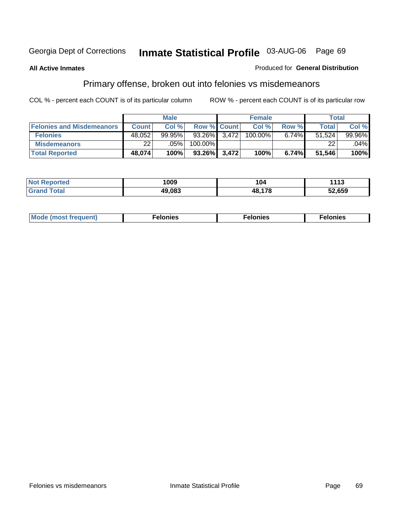#### **All Active Inmates**

#### Produced for **General Distribution**

# Primary offense, broken out into felonies vs misdemeanors

|                                  | <b>Male</b>  |           |                    |       | <b>Female</b> | Total    |              |         |
|----------------------------------|--------------|-----------|--------------------|-------|---------------|----------|--------------|---------|
| <b>Felonies and Misdemeanors</b> | <b>Count</b> | Col%      | <b>Row % Count</b> |       | Col %         | Row %    | <b>Total</b> | Col %   |
| <b>Felonies</b>                  | 48,052       | $99.95\%$ | 93.26%             | 3.472 | 100.00%       | $6.74\%$ | 51.524       | 99.96%  |
| <b>Misdemeanors</b>              | 22           | $.05\%$   | 100.00%            |       |               |          | 22           | $.04\%$ |
| <b>Total Reported</b>            | 48,074       | 100%      | 93.26%             | 3,472 | 100%          | 6.74%    | 51,546       | 100%    |

| N <sub>of</sub><br>ted:<br>⋯ | 1009   | l V4         | 1113   |
|------------------------------|--------|--------------|--------|
| Grar                         | 19.083 | 10 170<br>лу | 52,659 |

| Mode (most frequent) | elonies | elonies | onies<br>-е к |
|----------------------|---------|---------|---------------|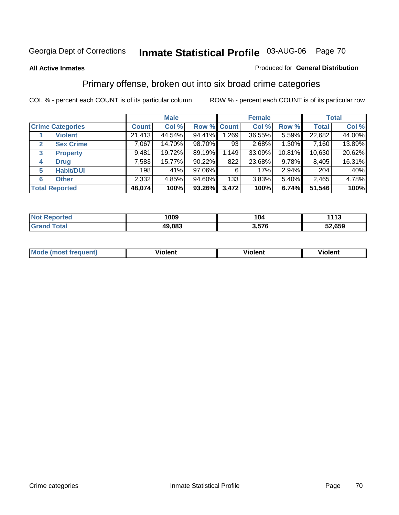#### **All Active Inmates**

#### Produced for **General Distribution**

### Primary offense, broken out into six broad crime categories

|                         |                       |              | <b>Male</b> |             |                  | <b>Female</b> |        |              | <b>Total</b> |
|-------------------------|-----------------------|--------------|-------------|-------------|------------------|---------------|--------|--------------|--------------|
| <b>Crime Categories</b> |                       | <b>Count</b> | Col %       | Row % Count |                  | Col %         | Row %  | <b>Total</b> | Col %        |
|                         | <b>Violent</b>        | 21,413       | 44.54%      | 94.41%      | 1,269            | 36.55%        | 5.59%  | 22,682       | 44.00%       |
| 2                       | <b>Sex Crime</b>      | 7,067        | 14.70%      | 98.70%      | 93               | 2.68%         | 1.30%  | 7,160        | 13.89%       |
| 3                       | <b>Property</b>       | 9,481        | 19.72%      | 89.19%      | 1,149            | 33.09%        | 10.81% | 10,630       | 20.62%       |
| 4                       | <b>Drug</b>           | 7,583        | 15.77%      | 90.22%      | 822              | 23.68%        | 9.78%  | 8,405        | 16.31%       |
| 5                       | <b>Habit/DUI</b>      | 198          | .41%        | 97.06%      | 6                | $.17\%$       | 2.94%  | 204          | $.40\%$      |
| 6                       | <b>Other</b>          | 2,332        | 4.85%       | 94.60%      | 133 <sub>1</sub> | 3.83%         | 5.40%  | 2,465        | 4.78%        |
|                         | <b>Total Reported</b> | 48,074       | 100%        | 93.26%      | 3,472            | 100%          | 6.74%  | 51,546       | 100%         |

| orted<br>NO. | 1009   | 104   | $-144o$<br>,,, |
|--------------|--------|-------|----------------|
| `otal<br>Gr. | 49,083 | 3,576 | 52,659         |

| IМ      | .        | $-$      | -------- |
|---------|----------|----------|----------|
| 1119000 | -------- | -------- |          |
|         |          |          |          |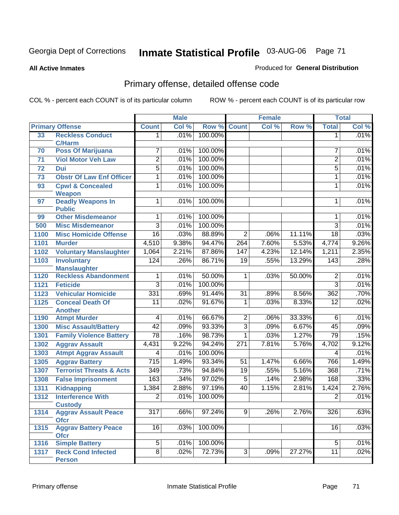**All Active Inmates**

#### Produced for **General Distribution**

# Primary offense, detailed offense code

|      |                                           |                  | <b>Male</b> |         |                  | <b>Female</b> |        |                 | <b>Total</b> |
|------|-------------------------------------------|------------------|-------------|---------|------------------|---------------|--------|-----------------|--------------|
|      | <b>Primary Offense</b>                    | <b>Count</b>     | Col %       | Row %   | <b>Count</b>     | Col %         | Row %  | <b>Total</b>    | Col %        |
| 33   | <b>Reckless Conduct</b>                   | 1                | .01%        | 100.00% |                  |               |        | 1               | .01%         |
|      | <b>C/Harm</b>                             |                  |             |         |                  |               |        |                 |              |
| 70   | <b>Poss Of Marijuana</b>                  | 7                | .01%        | 100.00% |                  |               |        | 7               | .01%         |
| 71   | <b>Viol Motor Veh Law</b>                 | $\overline{2}$   | .01%        | 100.00% |                  |               |        | $\overline{2}$  | .01%         |
| 72   | Dui                                       | $\overline{5}$   | .01%        | 100.00% |                  |               |        | 5               | .01%         |
| 73   | <b>Obstr Of Law Enf Officer</b>           | 1                | .01%        | 100.00% |                  |               |        | 1               | .01%         |
| 93   | <b>Cpwl &amp; Concealed</b>               | $\overline{1}$   | .01%        | 100.00% |                  |               |        | $\mathbf{1}$    | .01%         |
|      | <b>Weapon</b>                             |                  |             |         |                  |               |        |                 |              |
| 97   | <b>Deadly Weapons In</b>                  | $\overline{1}$   | .01%        | 100.00% |                  |               |        | 1               | .01%         |
| 99   | <b>Public</b><br><b>Other Misdemeanor</b> | 1                | .01%        | 100.00% |                  |               |        | 1               | .01%         |
| 500  | <b>Misc Misdemeanor</b>                   | $\overline{3}$   | .01%        | 100.00% |                  |               |        | $\overline{3}$  | .01%         |
| 1100 | <b>Misc Homicide Offense</b>              | $\overline{16}$  | .03%        | 88.89%  | $\overline{2}$   | .06%          | 11.11% | $\overline{18}$ | .03%         |
| 1101 | <b>Murder</b>                             | 4,510            | 9.38%       | 94.47%  | $\overline{264}$ | 7.60%         | 5.53%  | 4,774           | 9.26%        |
|      | <b>Voluntary Manslaughter</b>             | 1,064            | 2.21%       | 87.86%  | 147              | 4.23%         | 12.14% | 1,211           | 2.35%        |
| 1102 |                                           |                  |             |         |                  |               |        |                 |              |
| 1103 | <b>Involuntary</b><br><b>Manslaughter</b> | 124              | .26%        | 86.71%  | $\overline{19}$  | .55%          | 13.29% | 143             | .28%         |
| 1120 | <b>Reckless Abandonment</b>               | 1                | .01%        | 50.00%  | 1                | .03%          | 50.00% | 2               | .01%         |
| 1121 | <b>Feticide</b>                           | $\overline{3}$   | .01%        | 100.00% |                  |               |        | $\overline{3}$  | .01%         |
| 1123 | <b>Vehicular Homicide</b>                 | 331              | .69%        | 91.44%  | $\overline{31}$  | .89%          | 8.56%  | 362             | .70%         |
| 1125 | <b>Conceal Death Of</b>                   | 11               | .02%        | 91.67%  | 1                | .03%          | 8.33%  | $\overline{12}$ | .02%         |
|      | <b>Another</b>                            |                  |             |         |                  |               |        |                 |              |
| 1190 | <b>Atmpt Murder</b>                       | 4                | .01%        | 66.67%  | $\overline{2}$   | .06%          | 33.33% | 6               | .01%         |
| 1300 | <b>Misc Assault/Battery</b>               | $\overline{42}$  | .09%        | 93.33%  | $\overline{3}$   | .09%          | 6.67%  | 45              | .09%         |
| 1301 | <b>Family Violence Battery</b>            | $\overline{78}$  | .16%        | 98.73%  | $\overline{1}$   | .03%          | 1.27%  | 79              | .15%         |
| 1302 | <b>Aggrav Assault</b>                     | 4,431            | 9.22%       | 94.24%  | 271              | 7.81%         | 5.76%  | 4,702           | 9.12%        |
| 1303 | <b>Atmpt Aggrav Assault</b>               | 4                | .01%        | 100.00% |                  |               |        | 4               | .01%         |
| 1305 | <b>Aggrav Battery</b>                     | $\overline{715}$ | 1.49%       | 93.34%  | 51               | 1.47%         | 6.66%  | 766             | 1.49%        |
| 1307 | <b>Terrorist Threats &amp; Acts</b>       | 349              | .73%        | 94.84%  | $\overline{19}$  | .55%          | 5.16%  | 368             | .71%         |
| 1308 | <b>False Imprisonment</b>                 | 163              | .34%        | 97.02%  | $\overline{5}$   | .14%          | 2.98%  | 168             | .33%         |
| 1311 | <b>Kidnapping</b>                         | 1,384            | 2.88%       | 97.19%  | 40               | 1.15%         | 2.81%  | 1,424           | 2.76%        |
| 1312 | <b>Interference With</b>                  | $\overline{2}$   | .01%        | 100.00% |                  |               |        | $\overline{2}$  | .01%         |
|      | <b>Custody</b>                            |                  |             |         |                  |               |        |                 |              |
| 1314 | <b>Aggrav Assault Peace</b>               | $\overline{317}$ | .66%        | 97.24%  | 9                | .26%          | 2.76%  | 326             | .63%         |
|      | <b>Ofcr</b>                               |                  |             |         |                  |               |        |                 |              |
| 1315 | <b>Aggrav Battery Peace</b>               | 16               | .03%        | 100.00% |                  |               |        | 16              | .03%         |
|      | <b>Ofcr</b>                               |                  |             |         |                  |               |        |                 |              |
| 1316 | <b>Simple Battery</b>                     | $\overline{5}$   | .01%        | 100.00% |                  |               |        | 5               | .01%         |
| 1317 | <b>Reck Cond Infected</b>                 | $\overline{8}$   | .02%        | 72.73%  | $\overline{3}$   | .09%          | 27.27% | $\overline{11}$ | .02%         |
|      | <b>Person</b>                             |                  |             |         |                  |               |        |                 |              |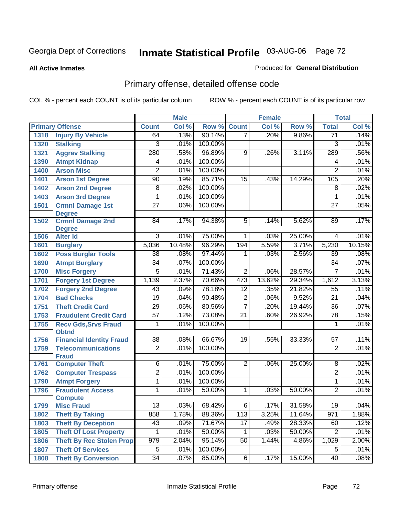#### **All Active Inmates**

#### Produced for **General Distribution**

# Primary offense, detailed offense code

|      |                                           |                 | <b>Male</b> |         |                 | <b>Female</b> |        |                 | <b>Total</b> |
|------|-------------------------------------------|-----------------|-------------|---------|-----------------|---------------|--------|-----------------|--------------|
|      | <b>Primary Offense</b>                    | <b>Count</b>    | Col %       | Row %   | <b>Count</b>    | Col %         | Row %  | <b>Total</b>    | Col %        |
| 1318 | <b>Injury By Vehicle</b>                  | 64              | .13%        | 90.14%  | $\overline{7}$  | .20%          | 9.86%  | $\overline{71}$ | .14%         |
| 1320 | <b>Stalking</b>                           | 3               | .01%        | 100.00% |                 |               |        | $\overline{3}$  | .01%         |
| 1321 | <b>Aggrav Stalking</b>                    | 280             | .58%        | 96.89%  | 9               | .26%          | 3.11%  | 289             | .56%         |
| 1390 | <b>Atmpt Kidnap</b>                       | 4               | .01%        | 100.00% |                 |               |        | 4               | .01%         |
| 1400 | <b>Arson Misc</b>                         | $\overline{2}$  | .01%        | 100.00% |                 |               |        | $\overline{2}$  | .01%         |
| 1401 | <b>Arson 1st Degree</b>                   | 90              | .19%        | 85.71%  | $\overline{15}$ | .43%          | 14.29% | 105             | .20%         |
| 1402 | <b>Arson 2nd Degree</b>                   | 8               | .02%        | 100.00% |                 |               |        | 8               | .02%         |
| 1403 | <b>Arson 3rd Degree</b>                   | 1               | .01%        | 100.00% |                 |               |        | 1               | .01%         |
| 1501 | <b>Crmnl Damage 1st</b><br><b>Degree</b>  | $\overline{27}$ | .06%        | 100.00% |                 |               |        | $\overline{27}$ | .05%         |
| 1502 | <b>Crmnl Damage 2nd</b>                   | 84              | .17%        | 94.38%  | 5               | .14%          | 5.62%  | 89              | .17%         |
| 1506 | <b>Degree</b><br><b>Alter Id</b>          | $\overline{3}$  | .01%        | 75.00%  | 1               | .03%          | 25.00% | 4               | .01%         |
| 1601 | <b>Burglary</b>                           | 5,036           | 10.48%      | 96.29%  | 194             | 5.59%         | 3.71%  | 5,230           | 10.15%       |
| 1602 | <b>Poss Burglar Tools</b>                 | $\overline{38}$ | .08%        | 97.44%  | 1               | .03%          | 2.56%  | 39              | .08%         |
| 1690 | <b>Atmpt Burglary</b>                     | 34              | .07%        | 100.00% |                 |               |        | 34              | .07%         |
| 1700 | <b>Misc Forgery</b>                       | $\overline{5}$  | .01%        | 71.43%  | $\overline{2}$  | .06%          | 28.57% | $\overline{7}$  | .01%         |
| 1701 | <b>Forgery 1st Degree</b>                 | 1,139           | 2.37%       | 70.66%  | 473             | 13.62%        | 29.34% | 1,612           | 3.13%        |
| 1702 | <b>Forgery 2nd Degree</b>                 | $\overline{43}$ | .09%        | 78.18%  | $\overline{12}$ | .35%          | 21.82% | 55              | .11%         |
| 1704 | <b>Bad Checks</b>                         | 19              | .04%        | 90.48%  | $\overline{2}$  | .06%          | 9.52%  | $\overline{21}$ | .04%         |
| 1751 | <b>Theft Credit Card</b>                  | $\overline{29}$ | .06%        | 80.56%  | $\overline{7}$  | .20%          | 19.44% | 36              | .07%         |
| 1753 | <b>Fraudulent Credit Card</b>             | $\overline{57}$ | .12%        | 73.08%  | $\overline{21}$ | .60%          | 26.92% | 78              | .15%         |
| 1755 | <b>Recv Gds, Srvs Fraud</b>               | 1               | .01%        | 100.00% |                 |               |        | 1               | .01%         |
|      | <b>Obtnd</b>                              |                 |             |         |                 |               |        |                 |              |
| 1756 | <b>Financial Identity Fraud</b>           | $\overline{38}$ | .08%        | 66.67%  | $\overline{19}$ | .55%          | 33.33% | $\overline{57}$ | .11%         |
| 1759 | <b>Telecommunications</b><br><b>Fraud</b> | $\overline{2}$  | .01%        | 100.00% |                 |               |        | $\overline{c}$  | .01%         |
| 1761 | <b>Computer Theft</b>                     | $\overline{6}$  | .01%        | 75.00%  | $\overline{2}$  | .06%          | 25.00% | 8               | .02%         |
| 1762 | <b>Computer Trespass</b>                  | $\overline{2}$  | .01%        | 100.00% |                 |               |        | $\overline{2}$  | .01%         |
| 1790 | <b>Atmpt Forgery</b>                      | $\overline{1}$  | .01%        | 100.00% |                 |               |        | 1               | .01%         |
| 1796 | <b>Fraudulent Access</b>                  | 1               | .01%        | 50.00%  | 1               | .03%          | 50.00% | $\overline{2}$  | .01%         |
|      | <b>Compute</b>                            |                 |             |         |                 |               |        |                 |              |
| 1799 | <b>Misc Fraud</b>                         | 13              | .03%        | 68.42%  | $\overline{6}$  | .17%          | 31.58% | 19              | .04%         |
| 1802 | <b>Theft By Taking</b>                    | 858             | 1.78%       | 88.36%  | 113             | 3.25%         | 11.64% | 971             | 1.88%        |
| 1803 | <b>Theft By Deception</b>                 | 43              | .09%        | 71.67%  | 17              | .49%          | 28.33% | 60              | .12%         |
| 1805 | <b>Theft Of Lost Property</b>             | 1               | .01%        | 50.00%  | $\mathbf{1}$    | .03%          | 50.00% | $\overline{2}$  | .01%         |
| 1806 | <b>Theft By Rec Stolen Prop</b>           | 979             | 2.04%       | 95.14%  | 50              | 1.44%         | 4.86%  | 1,029           | 2.00%        |
| 1807 | <b>Theft Of Services</b>                  | 5               | .01%        | 100.00% |                 |               |        | 5               | .01%         |
| 1808 | <b>Theft By Conversion</b>                | $\overline{34}$ | .07%        | 85.00%  | 6               | .17%          | 15.00% | 40              | .08%         |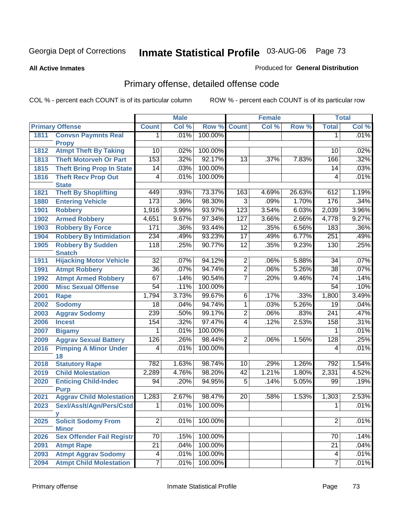**All Active Inmates**

#### Produced for **General Distribution**

# Primary offense, detailed offense code

|      |                                            |                 | <b>Male</b> |         |                 | <b>Female</b> |        |                  | <b>Total</b> |
|------|--------------------------------------------|-----------------|-------------|---------|-----------------|---------------|--------|------------------|--------------|
|      | <b>Primary Offense</b>                     | <b>Count</b>    | Col %       | Row %   | <b>Count</b>    | Col %         | Row %  | <b>Total</b>     | Col %        |
| 1811 | <b>Convsn Paymnts Real</b>                 | 1.              | .01%        | 100.00% |                 |               |        | 1                | .01%         |
|      | <b>Propy</b>                               |                 |             |         |                 |               |        |                  |              |
| 1812 | <b>Atmpt Theft By Taking</b>               | $\overline{10}$ | .02%        | 100.00% |                 |               |        | 10               | .02%         |
| 1813 | <b>Theft Motorveh Or Part</b>              | 153             | .32%        | 92.17%  | 13              | .37%          | 7.83%  | 166              | .32%         |
| 1815 | <b>Theft Bring Prop In State</b>           | 14              | .03%        | 100.00% |                 |               |        | 14               | .03%         |
| 1816 | <b>Theft Recv Prop Out</b><br><b>State</b> | 4               | .01%        | 100.00% |                 |               |        | 4                | .01%         |
| 1821 | <b>Theft By Shoplifting</b>                | 449             | .93%        | 73.37%  | 163             | 4.69%         | 26.63% | 612              | 1.19%        |
| 1880 | <b>Entering Vehicle</b>                    | 173             | .36%        | 98.30%  | $\overline{3}$  | .09%          | 1.70%  | 176              | .34%         |
| 1901 | <b>Robbery</b>                             | 1,916           | 3.99%       | 93.97%  | 123             | 3.54%         | 6.03%  | 2,039            | 3.96%        |
| 1902 | <b>Armed Robbery</b>                       | 4,651           | 9.67%       | 97.34%  | 127             | 3.66%         | 2.66%  | 4,778            | 9.27%        |
| 1903 | <b>Robbery By Force</b>                    | 171             | .36%        | 93.44%  | 12              | .35%          | 6.56%  | 183              | .36%         |
| 1904 | <b>Robbery By Intimidation</b>             | 234             | .49%        | 93.23%  | $\overline{17}$ | .49%          | 6.77%  | 251              | .49%         |
| 1905 | <b>Robbery By Sudden</b>                   | 118             | .25%        | 90.77%  | 12              | .35%          | 9.23%  | 130              | .25%         |
|      | <b>Snatch</b>                              |                 |             |         |                 |               |        |                  |              |
| 1911 | <b>Hijacking Motor Vehicle</b>             | $\overline{32}$ | .07%        | 94.12%  | $\overline{2}$  | .06%          | 5.88%  | 34               | .07%         |
| 1991 | <b>Atmpt Robbery</b>                       | $\overline{36}$ | .07%        | 94.74%  | $\overline{2}$  | .06%          | 5.26%  | $\overline{38}$  | .07%         |
| 1992 | <b>Atmpt Armed Robbery</b>                 | 67              | .14%        | 90.54%  | $\overline{7}$  | .20%          | 9.46%  | 74               | .14%         |
| 2000 | <b>Misc Sexual Offense</b>                 | 54              | .11%        | 100.00% |                 |               |        | 54               | .10%         |
| 2001 | Rape                                       | 1,794           | 3.73%       | 99.67%  | $\overline{6}$  | .17%          | .33%   | 1,800            | 3.49%        |
| 2002 | <b>Sodomy</b>                              | $\overline{18}$ | .04%        | 94.74%  | 1               | .03%          | 5.26%  | $\overline{19}$  | .04%         |
| 2003 | <b>Aggrav Sodomy</b>                       | 239             | .50%        | 99.17%  | $\overline{2}$  | .06%          | .83%   | $\overline{241}$ | .47%         |
| 2006 | <b>Incest</b>                              | 154             | .32%        | 97.47%  | $\overline{4}$  | .12%          | 2.53%  | 158              | .31%         |
| 2007 | <b>Bigamy</b>                              | 1               | .01%        | 100.00% |                 |               |        | 1                | .01%         |
| 2009 | <b>Aggrav Sexual Battery</b>               | 126             | .26%        | 98.44%  | $\overline{2}$  | .06%          | 1.56%  | 128              | .25%         |
| 2016 | <b>Pimping A Minor Under</b>               | 4               | .01%        | 100.00% |                 |               |        | 4                | .01%         |
| 2018 | 18<br><b>Statutory Rape</b>                | 782             | 1.63%       | 98.74%  | 10              | .29%          | 1.26%  | 792              | 1.54%        |
| 2019 | <b>Child Molestation</b>                   | 2,289           | 4.76%       | 98.20%  | 42              | 1.21%         | 1.80%  | 2,331            | 4.52%        |
| 2020 | <b>Enticing Child-Indec</b>                | 94              | .20%        | 94.95%  | $\overline{5}$  | .14%          | 5.05%  | 99               | .19%         |
|      | <b>Purp</b>                                |                 |             |         |                 |               |        |                  |              |
| 2021 | <b>Aggrav Child Molestation</b>            | 1,283           | 2.67%       | 98.47%  | 20              | .58%          | 1.53%  | 1,303            | 2.53%        |
| 2023 | Sexl/Asslt/Agn/Pers/Cstd                   | $\overline{1}$  | .01%        | 100.00% |                 |               |        | $\overline{1}$   | .01%         |
|      |                                            |                 |             |         |                 |               |        |                  |              |
| 2025 | <b>Solicit Sodomy From</b><br><b>Minor</b> | $\overline{2}$  | .01%        | 100.00% |                 |               |        | $\overline{2}$   | .01%         |
| 2026 | <b>Sex Offender Fail Registr</b>           | $\overline{70}$ | .15%        | 100.00% |                 |               |        | 70               | .14%         |
| 2091 | <b>Atmpt Rape</b>                          | $\overline{21}$ | .04%        | 100.00% |                 |               |        | $\overline{21}$  | .04%         |
| 2093 | <b>Atmpt Aggrav Sodomy</b>                 | 4               | .01%        | 100.00% |                 |               |        | 4                | .01%         |
| 2094 | <b>Atmpt Child Molestation</b>             | $\overline{7}$  | .01%        | 100.00% |                 |               |        | $\overline{7}$   | .01%         |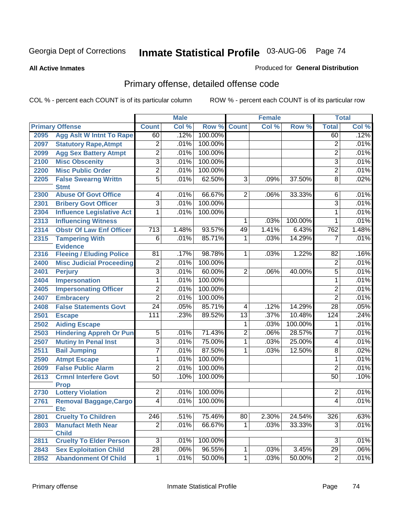**All Active Inmates**

#### Produced for **General Distribution**

# Primary offense, detailed offense code

|      |                                            |                  | <b>Male</b> |         |                 | <b>Female</b> |         |                  | <b>Total</b> |
|------|--------------------------------------------|------------------|-------------|---------|-----------------|---------------|---------|------------------|--------------|
|      | <b>Primary Offense</b>                     | <b>Count</b>     | Col %       | Row %   | <b>Count</b>    | Col %         | Row %   | <b>Total</b>     | Col %        |
| 2095 | <b>Agg Aslt W Intnt To Rape</b>            | 60               | .12%        | 100.00% |                 |               |         | 60               | .12%         |
| 2097 | <b>Statutory Rape, Atmpt</b>               | $\overline{c}$   | .01%        | 100.00% |                 |               |         | 2                | .01%         |
| 2099 | <b>Agg Sex Battery Atmpt</b>               | $\overline{2}$   | .01%        | 100.00% |                 |               |         | $\overline{2}$   | .01%         |
| 2100 | <b>Misc Obscenity</b>                      | 3                | .01%        | 100.00% |                 |               |         | 3                | .01%         |
| 2200 | <b>Misc Public Order</b>                   | $\overline{2}$   | .01%        | 100.00% |                 |               |         | $\overline{2}$   | .01%         |
| 2205 | <b>False Swearng Writtn</b><br><b>Stmt</b> | $\overline{5}$   | .01%        | 62.50%  | $\overline{3}$  | .09%          | 37.50%  | $\overline{8}$   | .02%         |
| 2300 | <b>Abuse Of Govt Office</b>                | $\overline{4}$   | .01%        | 66.67%  | $\overline{2}$  | .06%          | 33.33%  | 6                | .01%         |
| 2301 | <b>Bribery Govt Officer</b>                | $\overline{3}$   | .01%        | 100.00% |                 |               |         | $\overline{3}$   | .01%         |
| 2304 | <b>Influence Legislative Act</b>           | 1                | .01%        | 100.00% |                 |               |         | 1                | .01%         |
| 2313 | <b>Influencing Witness</b>                 |                  |             |         | 1               | .03%          | 100.00% | 1                | .01%         |
| 2314 | <b>Obstr Of Law Enf Officer</b>            | $\overline{713}$ | 1.48%       | 93.57%  | 49              | 1.41%         | 6.43%   | 762              | 1.48%        |
| 2315 | <b>Tampering With</b><br><b>Evidence</b>   | $\overline{6}$   | .01%        | 85.71%  | 1               | .03%          | 14.29%  | $\overline{7}$   | .01%         |
| 2316 | <b>Fleeing / Eluding Police</b>            | 81               | .17%        | 98.78%  | 1 <sup>1</sup>  | .03%          | 1.22%   | 82               | .16%         |
| 2400 | <b>Misc Judicial Proceeding</b>            | $\overline{2}$   | .01%        | 100.00% |                 |               |         | 2                | .01%         |
| 2401 | <b>Perjury</b>                             | $\overline{3}$   | .01%        | 60.00%  | $\overline{2}$  | .06%          | 40.00%  | $\overline{5}$   | .01%         |
| 2404 | <b>Impersonation</b>                       | $\overline{1}$   | .01%        | 100.00% |                 |               |         | 1                | .01%         |
| 2405 | <b>Impersonating Officer</b>               | $\overline{2}$   | .01%        | 100.00% |                 |               |         | $\overline{2}$   | .01%         |
| 2407 | <b>Embracery</b>                           | $\overline{2}$   | .01%        | 100.00% |                 |               |         | $\overline{2}$   | .01%         |
| 2408 | <b>False Statements Govt</b>               | $\overline{24}$  | .05%        | 85.71%  | $\overline{4}$  | .12%          | 14.29%  | $\overline{28}$  | .05%         |
| 2501 | <b>Escape</b>                              | $\overline{111}$ | .23%        | 89.52%  | $\overline{13}$ | .37%          | 10.48%  | 124              | .24%         |
| 2502 | <b>Aiding Escape</b>                       |                  |             |         | 1               | .03%          | 100.00% | 1                | .01%         |
| 2503 | <b>Hindering Appreh Or Pun</b>             | $\overline{5}$   | .01%        | 71.43%  | $\overline{2}$  | .06%          | 28.57%  | $\overline{7}$   | .01%         |
| 2507 | <b>Mutiny In Penal Inst</b>                | $\overline{3}$   | .01%        | 75.00%  | $\overline{1}$  | .03%          | 25.00%  | $\overline{4}$   | .01%         |
| 2511 | <b>Bail Jumping</b>                        | $\overline{7}$   | .01%        | 87.50%  | 1               | .03%          | 12.50%  | $\overline{8}$   | .02%         |
| 2590 | <b>Atmpt Escape</b>                        | $\overline{1}$   | .01%        | 100.00% |                 |               |         | 1                | .01%         |
| 2609 | <b>False Public Alarm</b>                  | $\overline{2}$   | .01%        | 100.00% |                 |               |         | $\overline{2}$   | .01%         |
| 2613 | <b>Crmnl Interfere Govt</b>                | $\overline{50}$  | .10%        | 100.00% |                 |               |         | 50               | .10%         |
|      | <b>Prop</b>                                |                  |             |         |                 |               |         |                  |              |
| 2730 | <b>Lottery Violation</b>                   | $\overline{2}$   | .01%        | 100.00% |                 |               |         | 2                | .01%         |
| 2761 | Removal Baggage, Cargo<br><b>Etc</b>       | $\overline{4}$   | .01%        | 100.00% |                 |               |         | 4                | .01%         |
| 2801 | <b>Cruelty To Children</b>                 | $\overline{246}$ | .51%        | 75.46%  | 80              | 2.30%         | 24.54%  | $\overline{326}$ | .63%         |
| 2803 | <b>Manufact Meth Near</b><br><b>Child</b>  | $\overline{2}$   | .01%        | 66.67%  | $\mathbf 1$     | .03%          | 33.33%  | $\overline{3}$   | .01%         |
| 2811 | <b>Cruelty To Elder Person</b>             | $\overline{3}$   | .01%        | 100.00% |                 |               |         | 3                | .01%         |
| 2843 | <b>Sex Exploitation Child</b>              | $\overline{28}$  | .06%        | 96.55%  | 1               | .03%          | 3.45%   | 29               | .06%         |
| 2852 | <b>Abandonment Of Child</b>                | $\overline{1}$   | .01%        | 50.00%  | $\overline{1}$  | .03%          | 50.00%  | $\overline{2}$   | .01%         |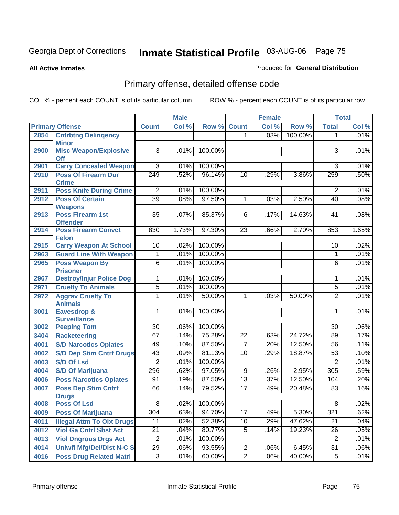**All Active Inmates**

#### Produced for **General Distribution**

# Primary offense, detailed offense code

|      |                                                              |                 | <b>Male</b> |         |                 | <b>Female</b> |         |                 | <b>Total</b> |
|------|--------------------------------------------------------------|-----------------|-------------|---------|-----------------|---------------|---------|-----------------|--------------|
|      | <b>Primary Offense</b>                                       | <b>Count</b>    | Col %       | Row %   | <b>Count</b>    | Col %         | Row %   | <b>Total</b>    | Col %        |
| 2854 | <b>Cntrbtng Delingency</b><br><b>Minor</b>                   |                 |             |         | 1.              | .03%          | 100.00% | 1               | .01%         |
| 2900 | <b>Misc Weapon/Explosive</b><br><b>Off</b>                   | $\overline{3}$  | .01%        | 100.00% |                 |               |         | 3               | .01%         |
| 2901 | <b>Carry Concealed Weapon</b>                                | $\overline{3}$  | .01%        | 100.00% |                 |               |         | 3               | .01%         |
| 2910 | <b>Poss Of Firearm Dur</b><br><b>Crime</b>                   | 249             | .52%        | 96.14%  | 10              | .29%          | 3.86%   | 259             | .50%         |
| 2911 | <b>Poss Knife During Crime</b>                               | $\overline{2}$  | .01%        | 100.00% |                 |               |         | $\overline{2}$  | .01%         |
| 2912 | <b>Poss Of Certain</b>                                       | $\overline{39}$ | .08%        | 97.50%  | 1               | .03%          | 2.50%   | 40              | .08%         |
| 2913 | <b>Weapons</b><br><b>Poss Firearm 1st</b><br><b>Offender</b> | $\overline{35}$ | .07%        | 85.37%  | 6               | .17%          | 14.63%  | 41              | .08%         |
| 2914 | <b>Poss Firearm Convct</b><br><b>Felon</b>                   | 830             | 1.73%       | 97.30%  | 23              | .66%          | 2.70%   | 853             | 1.65%        |
| 2915 | <b>Carry Weapon At School</b>                                | 10              | .02%        | 100.00% |                 |               |         | 10              | .02%         |
| 2963 | <b>Guard Line With Weapon</b>                                | 1               | .01%        | 100.00% |                 |               |         | 1               | .01%         |
| 2965 | <b>Poss Weapon By</b><br><b>Prisoner</b>                     | $\overline{6}$  | .01%        | 100.00% |                 |               |         | $\overline{6}$  | .01%         |
| 2967 | <b>Destroy/Injur Police Dog</b>                              | 1               | .01%        | 100.00% |                 |               |         | 1               | .01%         |
| 2971 | <b>Cruelty To Animals</b>                                    | $\overline{5}$  | .01%        | 100.00% |                 |               |         | $\overline{5}$  | .01%         |
| 2972 | <b>Aggrav Cruelty To</b><br><b>Animals</b>                   | 1               | .01%        | 50.00%  | $\mathbf{1}$    | .03%          | 50.00%  | $\overline{2}$  | .01%         |
| 3001 | <b>Eavesdrop &amp;</b><br><b>Surveillance</b>                | 1               | .01%        | 100.00% |                 |               |         | 1               | .01%         |
| 3002 | <b>Peeping Tom</b>                                           | $\overline{30}$ | .06%        | 100.00% |                 |               |         | $\overline{30}$ | .06%         |
| 3404 | <b>Racketeering</b>                                          | 67              | .14%        | 75.28%  | $\overline{22}$ | .63%          | 24.72%  | 89              | .17%         |
| 4001 | <b>S/D Narcotics Opiates</b>                                 | 49              | .10%        | 87.50%  | $\overline{7}$  | .20%          | 12.50%  | 56              | .11%         |
| 4002 | <b>S/D Dep Stim Cntrf Drugs</b>                              | 43              | .09%        | 81.13%  | $\overline{10}$ | .29%          | 18.87%  | $\overline{53}$ | .10%         |
| 4003 | <b>S/D Of Lsd</b>                                            | $\overline{2}$  | .01%        | 100.00% |                 |               |         | $\overline{2}$  | .01%         |
| 4004 | <b>S/D Of Marijuana</b>                                      | 296             | .62%        | 97.05%  | $9\,$           | .26%          | 2.95%   | 305             | .59%         |
| 4006 | <b>Poss Narcotics Opiates</b>                                | 91              | .19%        | 87.50%  | $\overline{13}$ | .37%          | 12.50%  | 104             | .20%         |
| 4007 | <b>Poss Dep Stim Cntrf</b>                                   | 66              | .14%        | 79.52%  | $\overline{17}$ | .49%          | 20.48%  | 83              | .16%         |
|      | <b>Drugs</b>                                                 |                 |             |         |                 |               |         |                 |              |
| 4008 | <b>Poss Of Lsd</b>                                           | $\overline{8}$  | .02%        | 100.00% |                 |               |         | $\overline{8}$  | .02%         |
| 4009 | <b>Poss Of Marijuana</b>                                     | 304             | .63%        | 94.70%  | 17              | .49%          | 5.30%   | 321             | .62%         |
| 4011 | <b>Illegal Attm To Obt Drugs</b>                             | 11              | .02%        | 52.38%  | 10              | .29%          | 47.62%  | 21              | .04%         |
| 4012 | <b>Viol Ga Cntrl Sbst Act</b>                                | $\overline{21}$ | .04%        | 80.77%  | $\overline{5}$  | .14%          | 19.23%  | 26              | .05%         |
| 4013 | <b>Viol Dngrous Drgs Act</b>                                 | $\overline{2}$  | .01%        | 100.00% |                 |               |         | $\overline{2}$  | .01%         |
| 4014 | <b>Uniwfl Mfg/Del/Dist N-C S</b>                             | $\overline{29}$ | .06%        | 93.55%  | $\overline{2}$  | .06%          | 6.45%   | $\overline{31}$ | $.06\%$      |
| 4016 | <b>Poss Drug Related Matri</b>                               | $\overline{3}$  | .01%        | 60.00%  | $\overline{2}$  | .06%          | 40.00%  | $\sqrt{5}$      | $.01\%$      |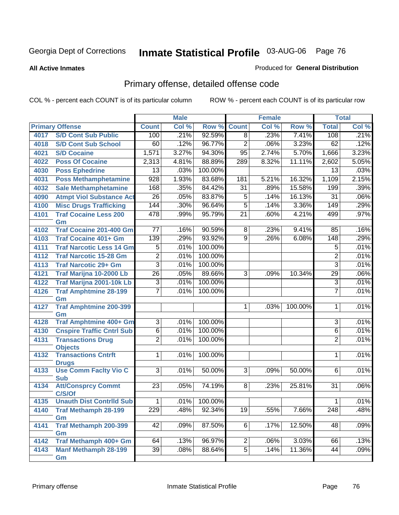#### **All Active Inmates**

#### Produced for **General Distribution**

# Primary offense, detailed offense code

|      |                                     |                  | <b>Male</b> |         |                 | <b>Female</b> |         |                  | <b>Total</b> |
|------|-------------------------------------|------------------|-------------|---------|-----------------|---------------|---------|------------------|--------------|
|      | <b>Primary Offense</b>              | <b>Count</b>     | Col %       | Row %   | <b>Count</b>    | Col %         | Row %   | <b>Total</b>     | Col %        |
| 4017 | <b>S/D Cont Sub Public</b>          | 100              | .21%        | 92.59%  | $\overline{8}$  | .23%          | 7.41%   | 108              | .21%         |
| 4018 | <b>S/D Cont Sub School</b>          | 60               | .12%        | 96.77%  | $\overline{2}$  | .06%          | 3.23%   | 62               | .12%         |
| 4021 | <b>S/D Cocaine</b>                  | 1,571            | 3.27%       | 94.30%  | 95              | 2.74%         | 5.70%   | 1,666            | 3.23%        |
| 4022 | <b>Poss Of Cocaine</b>              | 2,313            | 4.81%       | 88.89%  | 289             | 8.32%         | 11.11%  | 2,602            | 5.05%        |
| 4030 | <b>Poss Ephedrine</b>               | 13               | .03%        | 100.00% |                 |               |         | $\overline{13}$  | .03%         |
| 4031 | <b>Poss Methamphetamine</b>         | 928              | 1.93%       | 83.68%  | 181             | 5.21%         | 16.32%  | 1,109            | 2.15%        |
| 4032 | <b>Sale Methamphetamine</b>         | 168              | .35%        | 84.42%  | $\overline{31}$ | .89%          | 15.58%  | 199              | .39%         |
| 4090 | <b>Atmpt Viol Substance Act</b>     | $\overline{26}$  | .05%        | 83.87%  | $\overline{5}$  | .14%          | 16.13%  | $\overline{31}$  | .06%         |
| 4100 | <b>Misc Drugs Trafficking</b>       | 144              | .30%        | 96.64%  | $\overline{5}$  | .14%          | 3.36%   | 149              | .29%         |
| 4101 | <b>Traf Cocaine Less 200</b>        | 478              | .99%        | 95.79%  | $\overline{21}$ | .60%          | 4.21%   | 499              | .97%         |
|      | Gm                                  |                  |             |         |                 |               |         |                  |              |
| 4102 | <b>Traf Cocaine 201-400 Gm</b>      | $\overline{77}$  | .16%        | 90.59%  | $\overline{8}$  | .23%          | 9.41%   | 85               | .16%         |
| 4103 | <b>Traf Cocaine 401+ Gm</b>         | 139              | .29%        | 93.92%  | $\overline{9}$  | .26%          | 6.08%   | $\overline{148}$ | .29%         |
| 4111 | <b>Traf Narcotic Less 14 Gm</b>     | $\overline{5}$   | .01%        | 100.00% |                 |               |         | 5                | .01%         |
| 4112 | <b>Traf Narcotic 15-28 Gm</b>       | $\overline{2}$   | .01%        | 100.00% |                 |               |         | $\overline{2}$   | .01%         |
| 4113 | <b>Traf Narcotic 29+ Gm</b>         | $\overline{3}$   | .01%        | 100.00% |                 |               |         | $\overline{3}$   | .01%         |
| 4121 | Traf Marijna 10-2000 Lb             | $\overline{26}$  | .05%        | 89.66%  | $\overline{3}$  | .09%          | 10.34%  | $\overline{29}$  | .06%         |
| 4122 | Traf Marijna 2001-10k Lb            | $\overline{3}$   | .01%        | 100.00% |                 |               |         | $\overline{3}$   | .01%         |
| 4126 | <b>Traf Amphtmine 28-199</b>        | $\overline{7}$   | .01%        | 100.00% |                 |               |         | $\overline{7}$   | .01%         |
|      | Gm                                  |                  |             |         |                 |               |         |                  |              |
| 4127 | <b>Traf Amphtmine 200-399</b>       |                  |             |         | 1               | .03%          | 100.00% | 1                | .01%         |
| 4128 | Gm<br>Traf Amphtmine 400+ Gm        | $\overline{3}$   | .01%        | 100.00% |                 |               |         | $\overline{3}$   | .01%         |
| 4130 | <b>Cnspire Traffic Cntrl Sub</b>    | $\overline{6}$   | .01%        | 100.00% |                 |               |         | 6                | .01%         |
| 4131 | <b>Transactions Drug</b>            | $\overline{2}$   | .01%        | 100.00% |                 |               |         | $\overline{2}$   | .01%         |
|      | <b>Objects</b>                      |                  |             |         |                 |               |         |                  |              |
| 4132 | <b>Transactions Cntrft</b>          | $\overline{1}$   | .01%        | 100.00% |                 |               |         | 1                | .01%         |
|      | <b>Drugs</b>                        |                  |             |         |                 |               |         |                  |              |
| 4133 | <b>Use Comm Facity Vio C</b>        | $\overline{3}$   | .01%        | 50.00%  | 3               | .09%          | 50.00%  | 6                | .01%         |
|      | <b>Sub</b>                          |                  |             |         |                 |               | 25.81%  |                  | .06%         |
| 4134 | <b>Att/Consprcy Commt</b><br>C/S/Of | $\overline{23}$  | .05%        | 74.19%  | $\overline{8}$  | .23%          |         | $\overline{31}$  |              |
| 4135 | <b>Unauth Dist Contrild Sub</b>     | $\mathbf{1}$     | $.01\%$     | 100.00% |                 |               |         | $\mathbf 1$      | .01%         |
| 4140 | <b>Traf Methamph 28-199</b>         | $\overline{229}$ | .48%        | 92.34%  | $\overline{19}$ | .55%          | 7.66%   | $\overline{248}$ | .48%         |
|      | Gm                                  |                  |             |         |                 |               |         |                  |              |
| 4141 | <b>Traf Methamph 200-399</b>        | 42               | .09%        | 87.50%  | 6               | .17%          | 12.50%  | 48               | .09%         |
|      | Gm                                  |                  |             |         |                 |               |         |                  |              |
| 4142 | Traf Methamph 400+ Gm               | 64               | .13%        | 96.97%  | $\overline{2}$  | .06%          | 3.03%   | 66               | .13%         |
| 4143 | Manf Methamph 28-199                | 39               | .08%        | 88.64%  | $\overline{5}$  | .14%          | 11.36%  | 44               | .09%         |
|      | Gm                                  |                  |             |         |                 |               |         |                  |              |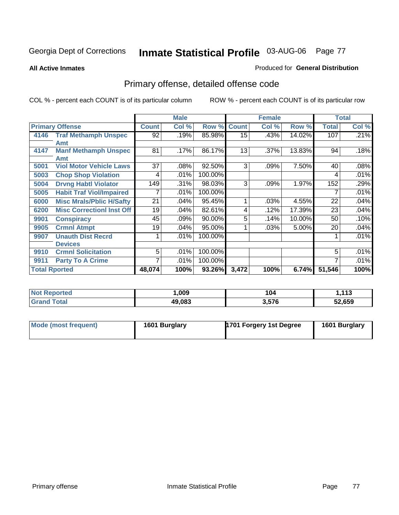**All Active Inmates**

#### Produced for **General Distribution**

# Primary offense, detailed offense code

|                      |                                  |              | <b>Male</b> |         | <b>Female</b> |       |        |              | <b>Total</b> |
|----------------------|----------------------------------|--------------|-------------|---------|---------------|-------|--------|--------------|--------------|
|                      | <b>Primary Offense</b>           | <b>Count</b> | Col %       | Row %   | <b>Count</b>  | Col % | Row %  | <b>Total</b> | Col %        |
|                      | 4146 Traf Methamph Unspec        | 92           | .19%        | 85.98%  | 15            | .43%  | 14.02% | 107          | .21%         |
|                      | Amt                              |              |             |         |               |       |        |              |              |
| 4147                 | <b>Manf Methamph Unspec</b>      | 81           | .17%        | 86.17%  | 13            | .37%  | 13.83% | 94           | .18%         |
|                      | Amt                              |              |             |         |               |       |        |              |              |
| 5001                 | <b>Viol Motor Vehicle Laws</b>   | 37           | .08%        | 92.50%  | 3             | .09%  | 7.50%  | 40           | .08%         |
| 5003                 | <b>Chop Shop Violation</b>       | 4            | .01%        | 100.00% |               |       |        | 4            | .01%         |
| 5004                 | <b>Drvng Habtl Violator</b>      | 149          | .31%        | 98.03%  | 3             | .09%  | 1.97%  | 152          | .29%         |
| 5005                 | <b>Habit Traf Viol/Impaired</b>  |              | .01%        | 100.00% |               |       |        |              | .01%         |
| 6000                 | <b>Misc Mrals/Pblic H/Safty</b>  | 21           | .04%        | 95.45%  | 1             | .03%  | 4.55%  | 22           | .04%         |
| 6200                 | <b>Misc CorrectionI Inst Off</b> | 19           | .04%        | 82.61%  | 4             | .12%  | 17.39% | 23           | .04%         |
| 9901                 | <b>Conspiracy</b>                | 45           | .09%        | 90.00%  | 5             | .14%  | 10.00% | 50           | .10%         |
| 9905                 | <b>Crmnl Atmpt</b>               | 19           | .04%        | 95.00%  |               | .03%  | 5.00%  | 20           | .04%         |
| 9907                 | <b>Unauth Dist Recrd</b>         |              | .01%        | 100.00% |               |       |        |              | .01%         |
|                      | <b>Devices</b>                   |              |             |         |               |       |        |              |              |
| 9910                 | <b>Crmnl Solicitation</b>        | 5            | .01%        | 100.00% |               |       |        | 5            | .01%         |
| 9911                 | <b>Party To A Crime</b>          |              | .01%        | 100.00% |               |       |        | 7            | .01%         |
| <b>Total Rported</b> |                                  | 48,074       | 100%        | 93.26%  | 3,472         | 100%  | 6.74%  | 51,546       | 100%         |

| rtea<br>    | ,009   | 104   | -449<br>1. I I J |
|-------------|--------|-------|------------------|
| $F$ and $F$ | 49,083 | 3,576 | 52,659           |

| Mode (most frequent) | 1601 Burglary | 1701 Forgery 1st Degree | 1601 Burglary |
|----------------------|---------------|-------------------------|---------------|
|                      |               |                         |               |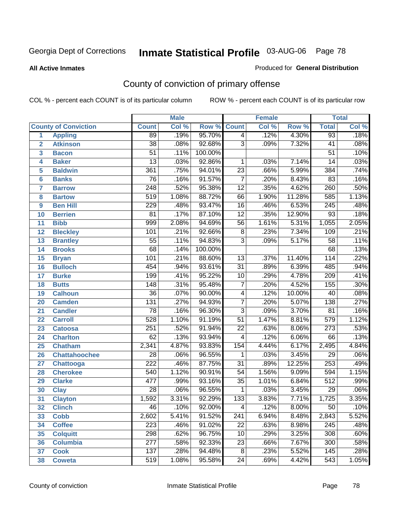#### **All Active Inmates**

### Produced for **General Distribution**

# County of conviction of primary offense

|                         |                             |                  | <b>Male</b> |         |                  | <b>Female</b> |          |                  | <b>Total</b> |
|-------------------------|-----------------------------|------------------|-------------|---------|------------------|---------------|----------|------------------|--------------|
|                         | <b>County of Conviction</b> | <b>Count</b>     | Col %       | Row %   | <b>Count</b>     | Col %         | Row %    | <b>Total</b>     | Col %        |
| 1                       | <b>Appling</b>              | 89               | .19%        | 95.70%  | $\overline{4}$   | .12%          | 4.30%    | 93               | .18%         |
| $\overline{2}$          | <b>Atkinson</b>             | $\overline{38}$  | .08%        | 92.68%  | $\overline{3}$   | .09%          | 7.32%    | 41               | .08%         |
| $\overline{\mathbf{3}}$ | <b>Bacon</b>                | $\overline{51}$  | .11%        | 100.00% |                  |               |          | $\overline{51}$  | .10%         |
| 4                       | <b>Baker</b>                | $\overline{13}$  | .03%        | 92.86%  | 1                | .03%          | 7.14%    | 14               | .03%         |
| 5                       | <b>Baldwin</b>              | 361              | .75%        | 94.01%  | $\overline{23}$  | .66%          | 5.99%    | 384              | .74%         |
| 6                       | <b>Banks</b>                | 76               | .16%        | 91.57%  | $\overline{7}$   | .20%          | 8.43%    | 83               | .16%         |
| 7                       | <b>Barrow</b>               | $\overline{248}$ | .52%        | 95.38%  | $\overline{12}$  | .35%          | 4.62%    | 260              | .50%         |
| 8                       | <b>Bartow</b>               | $\overline{519}$ | 1.08%       | 88.72%  | 66               | 1.90%         | 11.28%   | 585              | 1.13%        |
| 9                       | <b>Ben Hill</b>             | 229              | .48%        | 93.47%  | 16               | .46%          | 6.53%    | $\overline{245}$ | .48%         |
| 10                      | <b>Berrien</b>              | 81               | .17%        | 87.10%  | $\overline{12}$  | .35%          | 12.90%   | 93               | .18%         |
| 11                      | <b>Bibb</b>                 | 999              | 2.08%       | 94.69%  | 56               | 1.61%         | 5.31%    | 1,055            | 2.05%        |
| 12                      | <b>Bleckley</b>             | 101              | .21%        | 92.66%  | $\,8\,$          | .23%          | 7.34%    | 109              | .21%         |
| $\overline{13}$         | <b>Brantley</b>             | $\overline{55}$  | .11%        | 94.83%  | $\overline{3}$   | .09%          | 5.17%    | $\overline{58}$  | .11%         |
| 14                      | <b>Brooks</b>               | $\overline{68}$  | .14%        | 100.00% |                  |               |          | 68               | .13%         |
| 15                      | <b>Bryan</b>                | 101              | .21%        | 88.60%  | $\overline{13}$  | .37%          | 11.40%   | 114              | .22%         |
| 16                      | <b>Bulloch</b>              | 454              | .94%        | 93.61%  | $\overline{31}$  | .89%          | 6.39%    | 485              | .94%         |
| 17                      | <b>Burke</b>                | 199              | .41%        | 95.22%  | $\overline{10}$  | .29%          | 4.78%    | $\overline{209}$ | .41%         |
| 18                      | <b>Butts</b>                | 148              | .31%        | 95.48%  | $\overline{7}$   | .20%          | 4.52%    | 155              | .30%         |
| 19                      | <b>Calhoun</b>              | $\overline{36}$  | .07%        | 90.00%  | 4                | .12%          | 10.00%   | 40               | .08%         |
| 20                      | <b>Camden</b>               | $\overline{131}$ | .27%        | 94.93%  | $\overline{7}$   | .20%          | 5.07%    | $\overline{138}$ | .27%         |
| 21                      | <b>Candler</b>              | $\overline{78}$  | .16%        | 96.30%  | $\overline{3}$   | .09%          | 3.70%    | $\overline{81}$  | .16%         |
| 22                      | <b>Carroll</b>              | 528              | 1.10%       | 91.19%  | $\overline{51}$  | 1.47%         | 8.81%    | $\overline{579}$ | 1.12%        |
| 23                      | <b>Catoosa</b>              | $\overline{251}$ | .52%        | 91.94%  | $\overline{22}$  | .63%          | 8.06%    | $\overline{273}$ | .53%         |
| 24                      | <b>Charlton</b>             | 62               | .13%        | 93.94%  | 4                | .12%          | 6.06%    | 66               | .13%         |
| 25                      | <b>Chatham</b>              | 2,341            | 4.87%       | 93.83%  | 154              | 4.44%         | 6.17%    | 2,495            | 4.84%        |
| 26                      | <b>Chattahoochee</b>        | 28               | .06%        | 96.55%  | $\mathbf 1$      | .03%          | 3.45%    | $\overline{29}$  | .06%         |
| 27                      | <b>Chattooga</b>            | $\overline{222}$ | .46%        | 87.75%  | $\overline{31}$  | .89%          | 12.25%   | 253              | .49%         |
| 28                      | <b>Cherokee</b>             | 540              | 1.12%       | 90.91%  | 54               | 1.56%         | 9.09%    | 594              | 1.15%        |
| 29                      | <b>Clarke</b>               | 477              | .99%        | 93.16%  | $\overline{35}$  | 1.01%         | 6.84%    | $\overline{512}$ | .99%         |
| 30                      | <b>Clay</b>                 | $\overline{28}$  | .06%        | 96.55%  | $\mathbf 1$      | .03%          | 3.45%    | $\overline{29}$  | .06%         |
| 31                      | <b>Clayton</b>              | 1,592            | 3.31%       | 92.29%  | $\overline{133}$ | 3.83%         | 7.71%    | 1,725            | 3.35%        |
| 32                      | <b>Clinch</b>               | 46               | .10%        | 92.00%  | 4                | .12%          | $8.00\%$ | 50               | .10%         |
| 33                      | <b>Cobb</b>                 | 2,602            | 5.41%       | 91.52%  | 241              | 6.94%         | 8.48%    | 2,843            | 5.52%        |
| 34                      | <b>Coffee</b>               | 223              | .46%        | 91.02%  | 22               | .63%          | 8.98%    | 245              | .48%         |
| 35                      | <b>Colquitt</b>             | 298              | .62%        | 96.75%  | 10               | .29%          | 3.25%    | 308              | .60%         |
| 36                      | <b>Columbia</b>             | 277              | .58%        | 92.33%  | 23               | .66%          | 7.67%    | 300              | .58%         |
| 37                      | <b>Cook</b>                 | 137              | .28%        | 94.48%  | 8                | .23%          | 5.52%    | 145              | .28%         |
| 38                      | <b>Coweta</b>               | 519              | 1.08%       | 95.58%  | 24               | .69%          | 4.42%    | 543              | 1.05%        |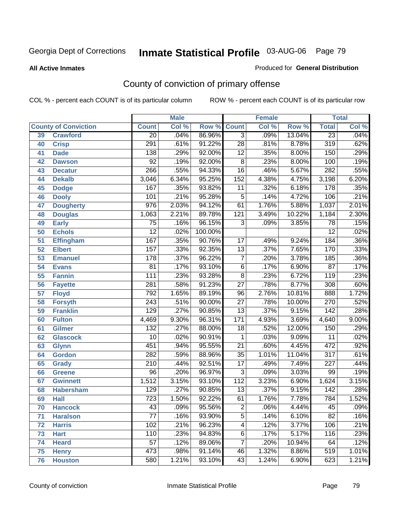#### **All Active Inmates**

### Produced for **General Distribution**

# County of conviction of primary offense

|                 |                             |                  | <b>Male</b> |         |                  | <b>Female</b> |        |                  | <b>Total</b> |
|-----------------|-----------------------------|------------------|-------------|---------|------------------|---------------|--------|------------------|--------------|
|                 | <b>County of Conviction</b> | <b>Count</b>     | Col %       | Row %   | <b>Count</b>     | Col %         | Row %  | <b>Total</b>     | Col %        |
| 39              | <b>Crawford</b>             | $\overline{20}$  | .04%        | 86.96%  | $\overline{3}$   | .09%          | 13.04% | $\overline{23}$  | .04%         |
| 40              | <b>Crisp</b>                | 291              | .61%        | 91.22%  | $\overline{28}$  | .81%          | 8.78%  | $\overline{319}$ | .62%         |
| 41              | <b>Dade</b>                 | 138              | .29%        | 92.00%  | $\overline{12}$  | .35%          | 8.00%  | 150              | .29%         |
| 42              | <b>Dawson</b>               | $\overline{92}$  | .19%        | 92.00%  | $\overline{8}$   | .23%          | 8.00%  | 100              | .19%         |
| 43              | <b>Decatur</b>              | 266              | .55%        | 94.33%  | $\overline{16}$  | .46%          | 5.67%  | 282              | .55%         |
| 44              | <b>Dekalb</b>               | 3,046            | 6.34%       | 95.25%  | $\overline{152}$ | 4.38%         | 4.75%  | 3,198            | 6.20%        |
| 45              | <b>Dodge</b>                | 167              | .35%        | 93.82%  | 11               | .32%          | 6.18%  | $\overline{178}$ | .35%         |
| 46              | <b>Dooly</b>                | 101              | .21%        | 95.28%  | $\overline{5}$   | .14%          | 4.72%  | 106              | .21%         |
| 47              | <b>Dougherty</b>            | $\overline{976}$ | 2.03%       | 94.12%  | 61               | 1.76%         | 5.88%  | 1,037            | 2.01%        |
| 48              | <b>Douglas</b>              | 1,063            | 2.21%       | 89.78%  | $\overline{121}$ | 3.49%         | 10.22% | 1,184            | 2.30%        |
| 49              | <b>Early</b>                | 75               | .16%        | 96.15%  | 3                | .09%          | 3.85%  | 78               | .15%         |
| 50              | <b>Echols</b>               | $\overline{12}$  | .02%        | 100.00% |                  |               |        | $\overline{12}$  | .02%         |
| $\overline{51}$ | <b>Effingham</b>            | 167              | .35%        | 90.76%  | $\overline{17}$  | .49%          | 9.24%  | 184              | .36%         |
| 52              | <b>Elbert</b>               | 157              | .33%        | 92.35%  | $\overline{13}$  | .37%          | 7.65%  | 170              | .33%         |
| 53              | <b>Emanuel</b>              | $\overline{178}$ | .37%        | 96.22%  | $\overline{7}$   | .20%          | 3.78%  | 185              | .36%         |
| $\overline{54}$ | <b>Evans</b>                | $\overline{81}$  | .17%        | 93.10%  | $\overline{6}$   | .17%          | 6.90%  | $\overline{87}$  | .17%         |
| 55              | <b>Fannin</b>               | $\overline{111}$ | .23%        | 93.28%  | $\overline{8}$   | .23%          | 6.72%  | $\overline{119}$ | .23%         |
| 56              | <b>Fayette</b>              | 281              | .58%        | 91.23%  | $\overline{27}$  | .78%          | 8.77%  | $\overline{308}$ | .60%         |
| 57              | <b>Floyd</b>                | 792              | 1.65%       | 89.19%  | 96               | 2.76%         | 10.81% | 888              | 1.72%        |
| 58              | <b>Forsyth</b>              | $\overline{243}$ | .51%        | 90.00%  | $\overline{27}$  | .78%          | 10.00% | 270              | .52%         |
| 59              | <b>Franklin</b>             | 129              | .27%        | 90.85%  | $\overline{13}$  | .37%          | 9.15%  | $\overline{142}$ | .28%         |
| 60              | <b>Fulton</b>               | 4,469            | 9.30%       | 96.31%  | 171              | 4.93%         | 3.69%  | 4,640            | 9.00%        |
| 61              | Gilmer                      | $\overline{132}$ | .27%        | 88.00%  | 18               | .52%          | 12.00% | 150              | .29%         |
| 62              | <b>Glascock</b>             | $\overline{10}$  | .02%        | 90.91%  | $\mathbf{1}$     | .03%          | 9.09%  | $\overline{11}$  | .02%         |
| 63              | <b>Glynn</b>                | 451              | .94%        | 95.55%  | $\overline{21}$  | .60%          | 4.45%  | 472              | .92%         |
| 64              | <b>Gordon</b>               | 282              | .59%        | 88.96%  | $\overline{35}$  | 1.01%         | 11.04% | $\overline{317}$ | .61%         |
| 65              | <b>Grady</b>                | $\overline{210}$ | .44%        | 92.51%  | $\overline{17}$  | .49%          | 7.49%  | $\overline{227}$ | .44%         |
| 66              | <b>Greene</b>               | $\overline{96}$  | .20%        | 96.97%  | $\overline{3}$   | .09%          | 3.03%  | 99               | .19%         |
| 67              | <b>Gwinnett</b>             | 1,512            | 3.15%       | 93.10%  | 112              | 3.23%         | 6.90%  | 1,624            | 3.15%        |
| 68              | <b>Habersham</b>            | $\overline{129}$ | .27%        | 90.85%  | $\overline{13}$  | .37%          | 9.15%  | $\overline{142}$ | .28%         |
| 69              | <b>Hall</b>                 | $\overline{723}$ | 1.50%       | 92.22%  | 61               | 1.76%         | 7.78%  | 784              | 1.52%        |
| 70              | <b>Hancock</b>              | 43               | .09%        | 95.56%  | 2                | .06%          | 4.44%  | 45               | .09%         |
| 71              | <b>Haralson</b>             | $\overline{77}$  | .16%        | 93.90%  | $\overline{5}$   | .14%          | 6.10%  | $\overline{82}$  | .16%         |
| 72              | <b>Harris</b>               | $\overline{102}$ | .21%        | 96.23%  | $\overline{4}$   | .12%          | 3.77%  | 106              | .21%         |
| 73              | <b>Hart</b>                 | 110              | .23%        | 94.83%  | $\overline{6}$   | .17%          | 5.17%  | 116              | .23%         |
| 74              | <b>Heard</b>                | $\overline{57}$  | .12%        | 89.06%  | $\overline{7}$   | .20%          | 10.94% | 64               | .12%         |
| 75              | <b>Henry</b>                | 473              | .98%        | 91.14%  | 46               | 1.32%         | 8.86%  | 519              | 1.01%        |
| 76              | <b>Houston</b>              | 580              | 1.21%       | 93.10%  | $\overline{43}$  | 1.24%         | 6.90%  | 623              | 1.21%        |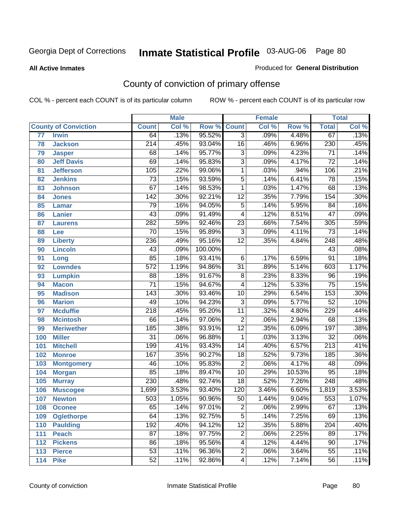**All Active Inmates**

#### Produced for **General Distribution**

# County of conviction of primary offense

|                 |                             |                  | <b>Male</b> |         |                 | <b>Female</b> |        |                  | <b>Total</b> |
|-----------------|-----------------------------|------------------|-------------|---------|-----------------|---------------|--------|------------------|--------------|
|                 | <b>County of Conviction</b> | <b>Count</b>     | Col %       | Row %   | <b>Count</b>    | Col %         | Row %  | <b>Total</b>     | Col %        |
| $\overline{77}$ | <b>Irwin</b>                | 64               | .13%        | 95.52%  | $\overline{3}$  | .09%          | 4.48%  | 67               | .13%         |
| 78              | <b>Jackson</b>              | $\overline{214}$ | .45%        | 93.04%  | 16              | .46%          | 6.96%  | 230              | .45%         |
| 79              | <b>Jasper</b>               | 68               | .14%        | 95.77%  | $\overline{3}$  | .09%          | 4.23%  | $\overline{71}$  | .14%         |
| 80              | <b>Jeff Davis</b>           | 69               | .14%        | 95.83%  | $\overline{3}$  | .09%          | 4.17%  | $\overline{72}$  | .14%         |
| 81              | <b>Jefferson</b>            | 105              | .22%        | 99.06%  | $\mathbf{1}$    | .03%          | .94%   | 106              | .21%         |
| 82              | <b>Jenkins</b>              | $\overline{73}$  | .15%        | 93.59%  | $\overline{5}$  | .14%          | 6.41%  | 78               | .15%         |
| 83              | <b>Johnson</b>              | $\overline{67}$  | .14%        | 98.53%  | 1               | .03%          | 1.47%  | 68               | .13%         |
| 84              | <b>Jones</b>                | 142              | .30%        | 92.21%  | $\overline{12}$ | .35%          | 7.79%  | 154              | .30%         |
| 85              | <b>Lamar</b>                | 79               | .16%        | 94.05%  | $\overline{5}$  | .14%          | 5.95%  | $\overline{84}$  | .16%         |
| 86              | <b>Lanier</b>               | 43               | .09%        | 91.49%  | 4               | .12%          | 8.51%  | $\overline{47}$  | .09%         |
| 87              | <b>Laurens</b>              | 282              | .59%        | 92.46%  | $\overline{23}$ | .66%          | 7.54%  | 305              | .59%         |
| 88              | Lee                         | 70               | .15%        | 95.89%  | $\overline{3}$  | .09%          | 4.11%  | $\overline{73}$  | .14%         |
| 89              | <b>Liberty</b>              | 236              | .49%        | 95.16%  | $\overline{12}$ | .35%          | 4.84%  | $\overline{248}$ | .48%         |
| 90              | <b>Lincoln</b>              | 43               | .09%        | 100.00% |                 |               |        | 43               | .08%         |
| 91              | Long                        | 85               | .18%        | 93.41%  | $\overline{6}$  | .17%          | 6.59%  | $\overline{91}$  | .18%         |
| 92              | <b>Lowndes</b>              | $\overline{572}$ | 1.19%       | 94.86%  | $\overline{31}$ | .89%          | 5.14%  | 603              | 1.17%        |
| 93              | <b>Lumpkin</b>              | $\overline{88}$  | .18%        | 91.67%  | $\overline{8}$  | .23%          | 8.33%  | $\overline{96}$  | .19%         |
| 94              | <b>Macon</b>                | $\overline{71}$  | .15%        | 94.67%  | 4               | .12%          | 5.33%  | $\overline{75}$  | .15%         |
| 95              | <b>Madison</b>              | $\overline{143}$ | .30%        | 93.46%  | 10              | .29%          | 6.54%  | 153              | .30%         |
| 96              | <b>Marion</b>               | 49               | .10%        | 94.23%  | $\overline{3}$  | .09%          | 5.77%  | $\overline{52}$  | .10%         |
| 97              | <b>Mcduffie</b>             | $\overline{218}$ | .45%        | 95.20%  | $\overline{11}$ | .32%          | 4.80%  | 229              | .44%         |
| 98              | <b>Mcintosh</b>             | 66               | .14%        | 97.06%  | $\overline{2}$  | .06%          | 2.94%  | 68               | .13%         |
| 99              | <b>Meriwether</b>           | 185              | .38%        | 93.91%  | $\overline{12}$ | .35%          | 6.09%  | 197              | .38%         |
| 100             | <b>Miller</b>               | $\overline{31}$  | .06%        | 96.88%  | 1               | .03%          | 3.13%  | $\overline{32}$  | .06%         |
| 101             | <b>Mitchell</b>             | 199              | .41%        | 93.43%  | 14              | .40%          | 6.57%  | $\overline{213}$ | .41%         |
| 102             | <b>Monroe</b>               | 167              | .35%        | 90.27%  | 18              | .52%          | 9.73%  | 185              | .36%         |
| 103             | <b>Montgomery</b>           | 46               | .10%        | 95.83%  | $\overline{2}$  | .06%          | 4.17%  | 48               | .09%         |
| 104             | <b>Morgan</b>               | 85               | .18%        | 89.47%  | 10              | .29%          | 10.53% | 95               | .18%         |
| 105             | <b>Murray</b>               | 230              | .48%        | 92.74%  | $\overline{18}$ | .52%          | 7.26%  | 248              | .48%         |
| 106             | <b>Muscogee</b>             | 1,699            | 3.53%       | 93.40%  | 120             | 3.46%         | 6.60%  | 1,819            | 3.53%        |
| 107             | <b>Newton</b>               | 503              | 1.05%       | 90.96%  | 50              | 1.44%         | 9.04%  | 553              | 1.07%        |
| 108             | <b>Oconee</b>               | 65               | .14%        | 97.01%  | 2               | .06%          | 2.99%  | 67               | .13%         |
| 109             | <b>Oglethorpe</b>           | 64               | .13%        | 92.75%  | $\overline{5}$  | .14%          | 7.25%  | 69               | .13%         |
| 110             | <b>Paulding</b>             | 192              | .40%        | 94.12%  | $\overline{12}$ | .35%          | 5.88%  | 204              | .40%         |
| 111             | <b>Peach</b>                | $\overline{87}$  | .18%        | 97.75%  | $\overline{c}$  | .06%          | 2.25%  | 89               | .17%         |
| 112             | <b>Pickens</b>              | 86               | .18%        | 95.56%  | 4               | .12%          | 4.44%  | 90               | .17%         |
| 113             | <b>Pierce</b>               | $\overline{53}$  | .11%        | 96.36%  | $\overline{2}$  | .06%          | 3.64%  | $\overline{55}$  | .11%         |
| 114             | <b>Pike</b>                 | 52               | .11%        | 92.86%  | 4               | .12%          | 7.14%  | 56               | .11%         |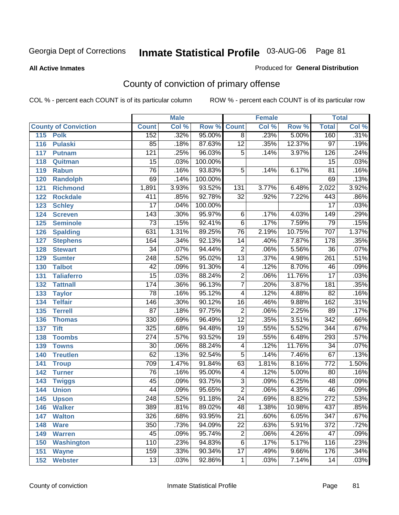**All Active Inmates**

#### Produced for **General Distribution**

# County of conviction of primary offense

|                             |                  | <b>Male</b> |                    |                 | <b>Female</b> |        |                  | <b>Total</b> |
|-----------------------------|------------------|-------------|--------------------|-----------------|---------------|--------|------------------|--------------|
| <b>County of Conviction</b> | <b>Count</b>     | Col %       | <b>Row % Count</b> |                 | Col %         | Row %  | <b>Total</b>     | Col %        |
| 115<br><b>Polk</b>          | 152              | .32%        | 95.00%             | $\overline{8}$  | .23%          | 5.00%  | 160              | .31%         |
| 116<br><b>Pulaski</b>       | 85               | .18%        | 87.63%             | $\overline{12}$ | .35%          | 12.37% | $\overline{97}$  | .19%         |
| 117<br><b>Putnam</b>        | $\overline{121}$ | .25%        | 96.03%             | $\overline{5}$  | .14%          | 3.97%  | 126              | .24%         |
| 118<br>Quitman              | $\overline{15}$  | .03%        | 100.00%            |                 |               |        | $\overline{15}$  | .03%         |
| 119<br><b>Rabun</b>         | $\overline{76}$  | .16%        | 93.83%             | $\overline{5}$  | .14%          | 6.17%  | $\overline{81}$  | .16%         |
| 120<br><b>Randolph</b>      | 69               | .14%        | 100.00%            |                 |               |        | 69               | .13%         |
| <b>Richmond</b><br>121      | 1,891            | 3.93%       | 93.52%             | 131             | 3.77%         | 6.48%  | 2,022            | 3.92%        |
| 122<br><b>Rockdale</b>      | 411              | .85%        | 92.78%             | $\overline{32}$ | .92%          | 7.22%  | 443              | .86%         |
| 123<br><b>Schley</b>        | $\overline{17}$  | .04%        | 100.00%            |                 |               |        | $\overline{17}$  | .03%         |
| 124<br><b>Screven</b>       | $\overline{143}$ | .30%        | 95.97%             | $\overline{6}$  | .17%          | 4.03%  | $\overline{149}$ | .29%         |
| 125<br><b>Seminole</b>      | $\overline{73}$  | .15%        | 92.41%             | $\overline{6}$  | .17%          | 7.59%  | 79               | .15%         |
| 126<br><b>Spalding</b>      | 631              | 1.31%       | 89.25%             | 76              | 2.19%         | 10.75% | 707              | 1.37%        |
| 127<br><b>Stephens</b>      | 164              | .34%        | 92.13%             | 14              | .40%          | 7.87%  | 178              | .35%         |
| 128<br><b>Stewart</b>       | $\overline{34}$  | .07%        | 94.44%             | $\overline{2}$  | .06%          | 5.56%  | $\overline{36}$  | .07%         |
| 129<br><b>Sumter</b>        | $\overline{248}$ | .52%        | 95.02%             | $\overline{13}$ | .37%          | 4.98%  | $\overline{261}$ | .51%         |
| <b>Talbot</b><br>130        | $\overline{42}$  | .09%        | 91.30%             | 4               | .12%          | 8.70%  | 46               | .09%         |
| 131<br><b>Taliaferro</b>    | $\overline{15}$  | .03%        | 88.24%             | $\overline{2}$  | .06%          | 11.76% | $\overline{17}$  | .03%         |
| <b>Tattnall</b><br>132      | 174              | .36%        | 96.13%             | $\overline{7}$  | .20%          | 3.87%  | 181              | .35%         |
| 133<br><b>Taylor</b>        | 78               | .16%        | 95.12%             | $\overline{4}$  | .12%          | 4.88%  | $\overline{82}$  | .16%         |
| <b>Telfair</b><br>134       | 146              | .30%        | 90.12%             | 16              | .46%          | 9.88%  | 162              | .31%         |
| 135<br><b>Terrell</b>       | $\overline{87}$  | .18%        | 97.75%             | $\overline{2}$  | .06%          | 2.25%  | 89               | .17%         |
| 136<br><b>Thomas</b>        | 330              | .69%        | 96.49%             | $\overline{12}$ | .35%          | 3.51%  | $\overline{342}$ | .66%         |
| 137<br><b>Tift</b>          | 325              | .68%        | 94.48%             | $\overline{19}$ | .55%          | 5.52%  | $\overline{344}$ | .67%         |
| <b>Toombs</b><br>138        | $\overline{274}$ | .57%        | 93.52%             | 19              | .55%          | 6.48%  | 293              | .57%         |
| 139<br><b>Towns</b>         | $\overline{30}$  | .06%        | 88.24%             | $\overline{4}$  | .12%          | 11.76% | $\overline{34}$  | .07%         |
| <b>Treutlen</b><br>140      | $\overline{62}$  | .13%        | 92.54%             | $\overline{5}$  | .14%          | 7.46%  | 67               | .13%         |
| 141<br><b>Troup</b>         | 709              | 1.47%       | 91.84%             | 63              | 1.81%         | 8.16%  | $\overline{772}$ | 1.50%        |
| 142<br><b>Turner</b>        | 76               | .16%        | 95.00%             | 4               | .12%          | 5.00%  | 80               | .16%         |
| 143<br><b>Twiggs</b>        | $\overline{45}$  | .09%        | 93.75%             | $\overline{3}$  | .09%          | 6.25%  | 48               | .09%         |
| 144<br><b>Union</b>         | 44               | .09%        | 95.65%             | $\overline{2}$  | .06%          | 4.35%  | 46               | .09%         |
| 145<br><b>Upson</b>         | 248              | .52%        | 91.18%             | $\overline{24}$ | .69%          | 8.82%  | $\overline{272}$ | .53%         |
| 146<br><b>Walker</b>        | 389              | .81%        | 89.02%             | 48              | 1.38%         | 10.98% | 437              | $.85\%$      |
| 147<br><b>Walton</b>        | 326              | .68%        | 93.95%             | $\overline{21}$ | .60%          | 6.05%  | $\overline{347}$ | .67%         |
| 148<br><b>Ware</b>          | 350              | .73%        | 94.09%             | $\overline{22}$ | .63%          | 5.91%  | $\overline{372}$ | .72%         |
| 149<br><b>Warren</b>        | 45               | .09%        | 95.74%             | $\overline{c}$  | .06%          | 4.26%  | 47               | .09%         |
| <b>Washington</b><br>150    | 110              | .23%        | 94.83%             | 6               | .17%          | 5.17%  | 116              | .23%         |
| 151<br><b>Wayne</b>         | 159              | .33%        | 90.34%             | $\overline{17}$ | .49%          | 9.66%  | 176              | .34%         |
| 152<br><b>Webster</b>       | $\overline{13}$  | .03%        | 92.86%             | $\mathbf{1}$    | .03%          | 7.14%  | 14               | .03%         |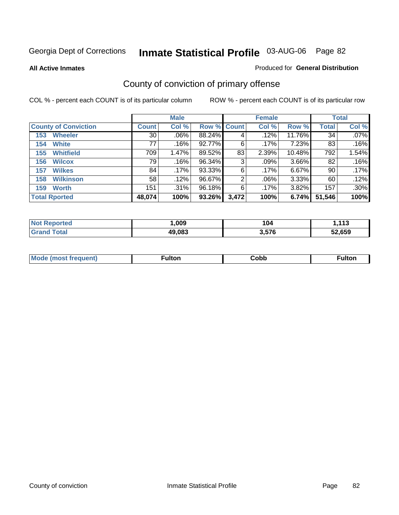**All Active Inmates**

### Produced for **General Distribution**

# County of conviction of primary offense

|                             |              | <b>Male</b> |             |       | <b>Female</b> |        |              | <b>Total</b> |
|-----------------------------|--------------|-------------|-------------|-------|---------------|--------|--------------|--------------|
| <b>County of Conviction</b> | <b>Count</b> | Col %       | Row % Count |       | Col %         | Row %  | <b>Total</b> | Col %        |
| <b>Wheeler</b><br>153       | 30           | $.06\%$     | 88.24%      | 4     | .12%          | 11.76% | 34           | $.07\%$      |
| <b>White</b><br>154         | 77           | .16%        | 92.77%      | 6     | $.17\%$       | 7.23%  | 83           | .16%         |
| <b>Whitfield</b><br>155     | 709          | 1.47%       | 89.52%      | 83    | 2.39%         | 10.48% | 792          | 1.54%        |
| <b>Wilcox</b><br>156        | 79           | .16%        | 96.34%      | 3     | .09%          | 3.66%  | 82           | .16%         |
| <b>Wilkes</b><br>157        | 84           | .17%        | 93.33%      | 6     | .17%          | 6.67%  | 90           | $.17\%$      |
| <b>Wilkinson</b><br>158     | 58           | .12%        | 96.67%      | 2     | $.06\%$       | 3.33%  | 60           | .12%         |
| <b>Worth</b><br>159         | 151          | .31%        | 96.18%      | 6     | $.17\%$       | 3.82%  | 157          | .30%         |
| <b>Total Rported</b>        | 48,074       | 100%        | 93.26%      | 3,472 | 100%          | 6.74%  | 51,546       | 100%         |

| тео<br>NI. | ,009   | l V4  | 442<br>. I J  |
|------------|--------|-------|---------------|
|            | 49,083 | 3,576 | EN CEN<br>צכס |

| Mc | ™ulton | Cobb |  |
|----|--------|------|--|
|    |        |      |  |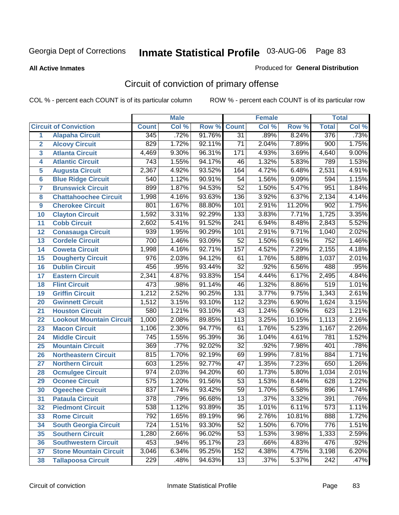**All Active Inmates**

#### Produced for **General Distribution**

# Circuit of conviction of primary offense

|                         |                                 |                  | <b>Male</b> |        |                  | <b>Female</b> |        |                  | <b>Total</b> |
|-------------------------|---------------------------------|------------------|-------------|--------|------------------|---------------|--------|------------------|--------------|
|                         | <b>Circuit of Conviction</b>    | <b>Count</b>     | Col %       | Row %  | <b>Count</b>     | Col %         | Row %  | <b>Total</b>     | Col %        |
| 1                       | <b>Alapaha Circuit</b>          | $\overline{345}$ | .72%        | 91.76% | $\overline{31}$  | .89%          | 8.24%  | 376              | .73%         |
| $\overline{2}$          | <b>Alcovy Circuit</b>           | 829              | 1.72%       | 92.11% | $\overline{71}$  | 2.04%         | 7.89%  | 900              | 1.75%        |
| $\overline{\mathbf{3}}$ | <b>Atlanta Circuit</b>          | 4,469            | 9.30%       | 96.31% | $\overline{171}$ | 4.93%         | 3.69%  | 4,640            | 9.00%        |
| 4                       | <b>Atlantic Circuit</b>         | 743              | 1.55%       | 94.17% | 46               | 1.32%         | 5.83%  | 789              | 1.53%        |
| 5                       | <b>Augusta Circuit</b>          | 2,367            | 4.92%       | 93.52% | 164              | 4.72%         | 6.48%  | 2,531            | 4.91%        |
| $6\phantom{a}$          | <b>Blue Ridge Circuit</b>       | 540              | 1.12%       | 90.91% | $\overline{54}$  | 1.56%         | 9.09%  | 594              | 1.15%        |
| $\overline{7}$          | <b>Brunswick Circuit</b>        | 899              | 1.87%       | 94.53% | $\overline{52}$  | 1.50%         | 5.47%  | 951              | 1.84%        |
| 8                       | <b>Chattahoochee Circuit</b>    | 1,998            | 4.16%       | 93.63% | 136              | 3.92%         | 6.37%  | 2,134            | 4.14%        |
| 9                       | <b>Cherokee Circuit</b>         | 801              | 1.67%       | 88.80% | 101              | 2.91%         | 11.20% | $\overline{902}$ | 1.75%        |
| 10                      | <b>Clayton Circuit</b>          | 1,592            | 3.31%       | 92.29% | $\overline{133}$ | 3.83%         | 7.71%  | 1,725            | 3.35%        |
| 11                      | <b>Cobb Circuit</b>             | 2,602            | 5.41%       | 91.52% | $\overline{241}$ | 6.94%         | 8.48%  | 2,843            | 5.52%        |
| 12                      | <b>Conasauga Circuit</b>        | 939              | 1.95%       | 90.29% | 101              | 2.91%         | 9.71%  | 1,040            | 2.02%        |
| 13                      | <b>Cordele Circuit</b>          | 700              | 1.46%       | 93.09% | $\overline{52}$  | 1.50%         | 6.91%  | 752              | 1.46%        |
| 14                      | <b>Coweta Circuit</b>           | 1,998            | 4.16%       | 92.71% | 157              | 4.52%         | 7.29%  | 2,155            | 4.18%        |
| 15                      | <b>Dougherty Circuit</b>        | 976              | 2.03%       | 94.12% | 61               | 1.76%         | 5.88%  | 1,037            | 2.01%        |
| 16                      | <b>Dublin Circuit</b>           | 456              | .95%        | 93.44% | $\overline{32}$  | .92%          | 6.56%  | 488              | .95%         |
| 17                      | <b>Eastern Circuit</b>          | 2,341            | 4.87%       | 93.83% | 154              | 4.44%         | 6.17%  | 2,495            | 4.84%        |
| 18                      | <b>Flint Circuit</b>            | 473              | .98%        | 91.14% | 46               | 1.32%         | 8.86%  | 519              | 1.01%        |
| 19                      | <b>Griffin Circuit</b>          | 1,212            | 2.52%       | 90.25% | $\overline{131}$ | 3.77%         | 9.75%  | 1,343            | 2.61%        |
| 20                      | <b>Gwinnett Circuit</b>         | 1,512            | 3.15%       | 93.10% | $\overline{112}$ | 3.23%         | 6.90%  | 1,624            | 3.15%        |
| 21                      | <b>Houston Circuit</b>          | 580              | 1.21%       | 93.10% | $\overline{43}$  | 1.24%         | 6.90%  | 623              | 1.21%        |
| $\overline{22}$         | <b>Lookout Mountain Circuit</b> | 1,000            | 2.08%       | 89.85% | $\overline{113}$ | 3.25%         | 10.15% | 1,113            | 2.16%        |
| 23                      | <b>Macon Circuit</b>            | 1,106            | 2.30%       | 94.77% | 61               | 1.76%         | 5.23%  | 1,167            | 2.26%        |
| 24                      | <b>Middle Circuit</b>           | $\overline{745}$ | 1.55%       | 95.39% | 36               | 1.04%         | 4.61%  | 781              | 1.52%        |
| 25                      | <b>Mountain Circuit</b>         | 369              | .77%        | 92.02% | $\overline{32}$  | .92%          | 7.98%  | 401              | .78%         |
| 26                      | <b>Northeastern Circuit</b>     | 815              | 1.70%       | 92.19% | 69               | 1.99%         | 7.81%  | 884              | 1.71%        |
| 27                      | <b>Northern Circuit</b>         | 603              | 1.25%       | 92.77% | $\overline{47}$  | 1.35%         | 7.23%  | 650              | 1.26%        |
| 28                      | <b>Ocmulgee Circuit</b>         | 974              | 2.03%       | 94.20% | 60               | 1.73%         | 5.80%  | 1,034            | 2.01%        |
| 29                      | <b>Oconee Circuit</b>           | $\overline{575}$ | 1.20%       | 91.56% | $\overline{53}$  | 1.53%         | 8.44%  | 628              | 1.22%        |
| 30                      | <b>Ogeechee Circuit</b>         | 837              | 1.74%       | 93.42% | $\overline{59}$  | 1.70%         | 6.58%  | 896              | 1.74%        |
| $\overline{31}$         | <b>Pataula Circuit</b>          | $\overline{378}$ | .79%        | 96.68% | $\overline{13}$  | .37%          | 3.32%  | 391              | .76%         |
| 32                      | <b>Piedmont Circuit</b>         | 538              | 1.12%       | 93.89% | 35               | 1.01%         | 6.11%  | 573              | 1.11%        |
| 33                      | <b>Rome Circuit</b>             | 792              | 1.65%       | 89.19% | 96               | 2.76%         | 10.81% | 888              | 1.72%        |
| 34                      | <b>South Georgia Circuit</b>    | $\overline{724}$ | 1.51%       | 93.30% | $\overline{52}$  | 1.50%         | 6.70%  | 776              | 1.51%        |
| 35                      | <b>Southern Circuit</b>         | 1,280            | 2.66%       | 96.02% | 53               | 1.53%         | 3.98%  | 1,333            | 2.59%        |
| 36                      | <b>Southwestern Circuit</b>     | 453              | .94%        | 95.17% | 23               | .66%          | 4.83%  | 476              | .92%         |
| 37                      | <b>Stone Mountain Circuit</b>   | 3,046            | 6.34%       | 95.25% | 152              | 4.38%         | 4.75%  | 3,198            | 6.20%        |
| 38                      | <b>Tallapoosa Circuit</b>       | $\overline{229}$ | .48%        | 94.63% | $\overline{13}$  | .37%          | 5.37%  | 242              | .47%         |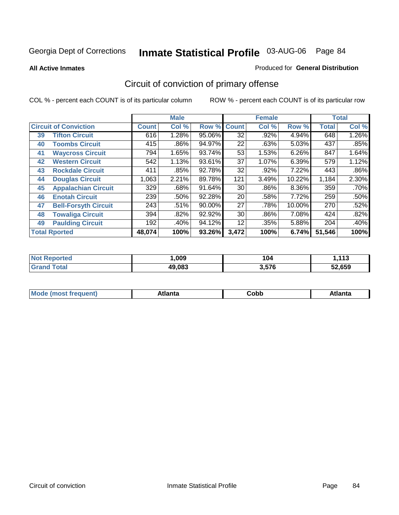**All Active Inmates**

#### Produced for **General Distribution**

# Circuit of conviction of primary offense

|    |                              |              | <b>Male</b> |        |              | <b>Female</b> |          |              | <b>Total</b> |
|----|------------------------------|--------------|-------------|--------|--------------|---------------|----------|--------------|--------------|
|    | <b>Circuit of Conviction</b> | <b>Count</b> | Col %       | Row %  | <b>Count</b> | Col %         | Row %    | <b>Total</b> | Col %        |
| 39 | <b>Tifton Circuit</b>        | 616          | 1.28%       | 95.06% | 32           | .92%          | 4.94%    | 648          | 1.26%        |
| 40 | <b>Toombs Circuit</b>        | 415          | .86%        | 94.97% | 22           | .63%          | 5.03%    | 437          | .85%         |
| 41 | <b>Waycross Circuit</b>      | 794          | 1.65%       | 93.74% | 53           | 1.53%         | 6.26%    | 847          | 1.64%        |
| 42 | <b>Western Circuit</b>       | 542          | 1.13%       | 93.61% | 37           | 1.07%         | 6.39%    | 579          | 1.12%        |
| 43 | <b>Rockdale Circuit</b>      | 411          | .85%        | 92.78% | 32           | .92%          | 7.22%    | 443          | $.86\%$      |
| 44 | <b>Douglas Circuit</b>       | 1,063        | 2.21%       | 89.78% | 121          | 3.49%         | 10.22%   | 1,184        | 2.30%        |
| 45 | <b>Appalachian Circuit</b>   | 329          | .68%        | 91.64% | 30           | .86%          | $8.36\%$ | 359          | .70%         |
| 46 | <b>Enotah Circuit</b>        | 239          | .50%        | 92.28% | 20           | .58%          | 7.72%    | 259          | .50%         |
| 47 | <b>Bell-Forsyth Circuit</b>  | 243          | .51%        | 90.00% | 27           | .78%          | 10.00%   | 270          | .52%         |
| 48 | <b>Towaliga Circuit</b>      | 394          | .82%        | 92.92% | 30           | .86%          | 7.08%    | 424          | .82%         |
| 49 | <b>Paulding Circuit</b>      | 192          | .40%        | 94.12% | 12           | .35%          | 5.88%    | 204          | .40%         |
|    | <b>Total Rported</b>         | 48,074       | 100%        | 93.26% | 3,472        | 100%          | 6.74%    | 51,546       | 100%         |

| τeα | .009   | 104   | 442<br>יי |
|-----|--------|-------|-----------|
|     | 49.083 | 3,576 | 52.659    |

| M, | $+1 - - + -$<br>annu -<br>uu | ∶obb<br>- - - - - | .<br>чна<br>- --------- |
|----|------------------------------|-------------------|-------------------------|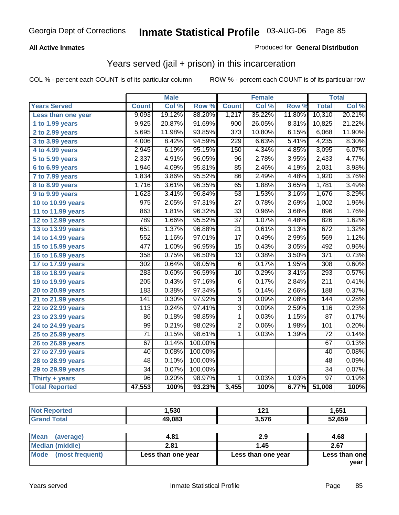### **All Active Inmates**

### Produced for **General Distribution**

### Years served (jail + prison) in this incarceration

|                              |                    | <b>Male</b> |         |                  | <b>Female</b> |        |                  | <b>Total</b> |
|------------------------------|--------------------|-------------|---------|------------------|---------------|--------|------------------|--------------|
| <b>Years Served</b>          | <b>Count</b>       | Col %       | Row %   | <b>Count</b>     | Col %         | Row %  | <b>Total</b>     | Col %        |
| Less than one year           | 9,093              | 19.12%      | 88.20%  | 1,217            | 35.22%        | 11.80% | 10,310           | 20.21%       |
| 1 to 1.99 years              | 9,925              | 20.87%      | 91.69%  | $\overline{900}$ | 26.05%        | 8.31%  | 10,825           | 21.22%       |
| 2 to 2.99 years              | 5,695              | 11.98%      | 93.85%  | $\overline{373}$ | 10.80%        | 6.15%  | 6,068            | 11.90%       |
| 3 to 3.99 years              | $\overline{4,}006$ | 8.42%       | 94.59%  | $\overline{229}$ | 6.63%         | 5.41%  | 4,235            | 8.30%        |
| 4 to 4.99 years              | 2,945              | 6.19%       | 95.15%  | 150              | 4.34%         | 4.85%  | 3,095            | 6.07%        |
| $\overline{5}$ to 5.99 years | 2,337              | 4.91%       | 96.05%  | 96               | 2.78%         | 3.95%  | 2,433            | 4.77%        |
| 6 to 6.99 years              | 1,946              | 4.09%       | 95.81%  | 85               | 2.46%         | 4.19%  | 2,031            | 3.98%        |
| $\overline{7}$ to 7.99 years | 1,834              | 3.86%       | 95.52%  | $\overline{86}$  | 2.49%         | 4.48%  | 1,920            | 3.76%        |
| <b>8 to 8.99 years</b>       | 1,716              | 3.61%       | 96.35%  | 65               | 1.88%         | 3.65%  | 1,781            | 3.49%        |
| 9 to 9.99 years              | 1,623              | 3.41%       | 96.84%  | $\overline{53}$  | 1.53%         | 3.16%  | 1,676            | 3.29%        |
| 10 to 10.99 years            | $\overline{975}$   | 2.05%       | 97.31%  | $\overline{27}$  | 0.78%         | 2.69%  | 1,002            | 1.96%        |
| 11 to 11.99 years            | 863                | 1.81%       | 96.32%  | $\overline{33}$  | 0.96%         | 3.68%  | 896              | 1.76%        |
| 12 to 12.99 years            | 789                | 1.66%       | 95.52%  | $\overline{37}$  | 1.07%         | 4.48%  | 826              | 1.62%        |
| 13 to 13.99 years            | 651                | 1.37%       | 96.88%  | 21               | 0.61%         | 3.13%  | 672              | 1.32%        |
| 14 to 14.99 years            | 552                | 1.16%       | 97.01%  | $\overline{17}$  | 0.49%         | 2.99%  | 569              | 1.12%        |
| 15 to 15.99 years            | 477                | 1.00%       | 96.95%  | $\overline{15}$  | 0.43%         | 3.05%  | 492              | 0.96%        |
| 16 to 16.99 years            | 358                | 0.75%       | 96.50%  | $\overline{13}$  | 0.38%         | 3.50%  | $\overline{371}$ | 0.73%        |
| 17 to 17.99 years            | $\overline{302}$   | 0.64%       | 98.05%  | $\overline{6}$   | 0.17%         | 1.95%  | 308              | 0.60%        |
| 18 to 18.99 years            | 283                | 0.60%       | 96.59%  | $\overline{10}$  | 0.29%         | 3.41%  | 293              | 0.57%        |
| 19 to 19.99 years            | 205                | 0.43%       | 97.16%  | 6                | 0.17%         | 2.84%  | $\overline{211}$ | 0.41%        |
| 20 to 20.99 years            | 183                | 0.38%       | 97.34%  | $\overline{5}$   | 0.14%         | 2.66%  | 188              | 0.37%        |
| 21 to 21.99 years            | $\overline{141}$   | 0.30%       | 97.92%  | $\overline{3}$   | 0.09%         | 2.08%  | 144              | 0.28%        |
| 22 to 22.99 years            | $\overline{113}$   | 0.24%       | 97.41%  | $\overline{3}$   | 0.09%         | 2.59%  | 116              | 0.23%        |
| 23 to 23.99 years            | $\overline{86}$    | 0.18%       | 98.85%  | $\mathbf 1$      | 0.03%         | 1.15%  | $\overline{87}$  | 0.17%        |
| 24 to 24.99 years            | 99                 | 0.21%       | 98.02%  | $\overline{2}$   | 0.06%         | 1.98%  | 101              | 0.20%        |
| 25 to 25.99 years            | $\overline{71}$    | 0.15%       | 98.61%  | $\overline{1}$   | 0.03%         | 1.39%  | $\overline{72}$  | 0.14%        |
| 26 to 26.99 years            | $\overline{67}$    | 0.14%       | 100.00% |                  |               |        | 67               | 0.13%        |
| 27 to 27.99 years            | 40                 | 0.08%       | 100.00% |                  |               |        | 40               | 0.08%        |
| 28 to 28.99 years            | 48                 | 0.10%       | 100.00% |                  |               |        | 48               | 0.09%        |
| 29 to 29.99 years            | $\overline{34}$    | 0.07%       | 100.00% |                  |               |        | $\overline{34}$  | 0.07%        |
| Thirty + years               | $\overline{96}$    | 0.20%       | 98.97%  | 1                | 0.03%         | 1.03%  | $\overline{97}$  | 0.19%        |
| <b>Total Reported</b>        | 47,553             | 100%        | 93.23%  | 3,455            | 100%          | 6.77%  | 51,008           | 100%         |

| <b>Not Reported</b>      | 1,530      | 121   | 1,651  |
|--------------------------|------------|-------|--------|
| <b>Grand Total</b>       | 49,083     | 3,576 | 52,659 |
|                          |            |       |        |
| <b>Mean</b><br>(average) | 4.81       | 2.9   | 4.68   |
| Modian (middle)          | <b>224</b> | 1 A 5 | 267    |

| 2.81               | .45                | 2.67                  |
|--------------------|--------------------|-----------------------|
| Less than one year | Less than one year | Less than one<br>vear |
|                    |                    |                       |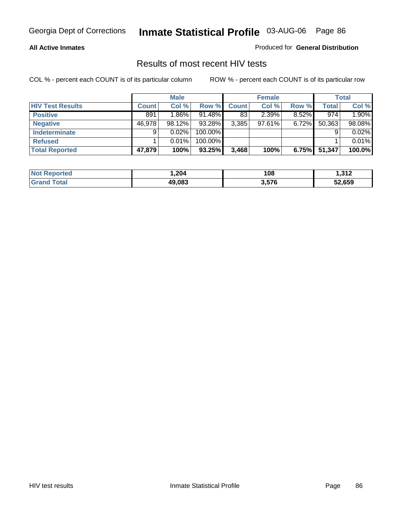#### **All Active Inmates**

Produced for **General Distribution**

### Results of most recent HIV tests

|                         |              | <b>Male</b> |           |              | <b>Female</b> |          |        | <b>Total</b> |
|-------------------------|--------------|-------------|-----------|--------------|---------------|----------|--------|--------------|
| <b>HIV Test Results</b> | <b>Count</b> | Col %       | Row %     | <b>Count</b> | Col %         | Row %    | Total  | Col %        |
| <b>Positive</b>         | 891          | 1.86%       | $91.48\%$ | 83           | 2.39%         | $8.52\%$ | 974    | 1.90%        |
| <b>Negative</b>         | 46,978       | 98.12%      | 93.28%    | 3,385        | 97.61%        | $6.72\%$ | 50,363 | 98.08%       |
| Indeterminate           | 9            | 0.02%       | 100.00%   |              |               |          |        | 0.02%        |
| <b>Refused</b>          |              | 0.01%       | 100.00%   |              |               |          |        | 0.01%        |
| <b>Total Reported</b>   | 47,879       | 100%        | 93.25%    | 3,468        | 100%          | 6.75%    | 51,347 | 100.0%       |

| <b>Not</b><br><b>rted</b>  | ,204   | 108   | -212<br>I .J I Z |
|----------------------------|--------|-------|------------------|
| <b>otal</b><br><b>Grar</b> | 49.083 | 3,576 | 52,659           |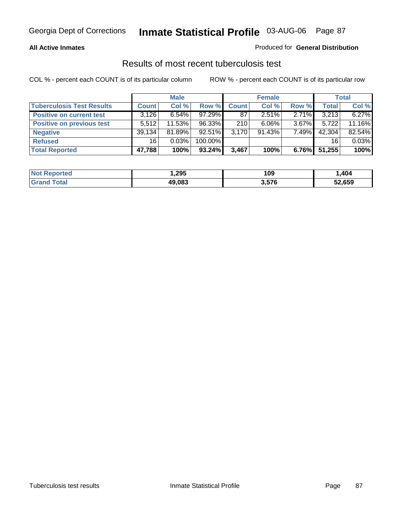### **All Active Inmates**

### Produced for **General Distribution**

### Results of most recent tuberculosis test

|                                  |              | <b>Male</b> |         |              | <b>Female</b> |          |              | Total  |
|----------------------------------|--------------|-------------|---------|--------------|---------------|----------|--------------|--------|
| <b>Tuberculosis Test Results</b> | <b>Count</b> | Col %       | Row %   | <b>Count</b> | Col %         | Row %    | <b>Total</b> | Col %  |
| <b>Positive on current test</b>  | 3,126        | $6.54\%$    | 97.29%  | 87           | $2.51\%$      | 2.71%    | 3,213        | 6.27%  |
| <b>Positive on previous test</b> | 5.512        | 11.53%      | 96.33%  | 210          | 6.06%         | $3.67\%$ | 5.722        | 11.16% |
| <b>Negative</b>                  | 39,134       | 81.89%      | 92.51%  | 3.170        | $91.43\%$     | 7.49%    | 42,304       | 82.54% |
| <b>Refused</b>                   | 16           | 0.03%       | 100.00% |              |               |          | 16           | 0.03%  |
| <b>Total Reported</b>            | 47,788       | 100%        | 93.24%  | 3,467        | 100%          | 6.76%    | 51,255       | 100%   |

| <b>Not</b><br><b>Reported</b> | 295. ا | 109   | ,404   |
|-------------------------------|--------|-------|--------|
| <b>Grand</b><br>™otal         | 49.083 | 3,576 | 52,659 |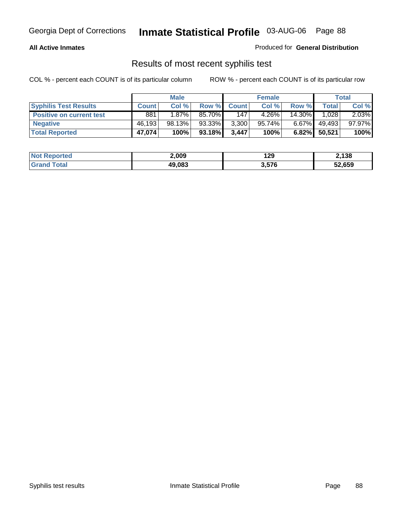### **All Active Inmates**

Produced for **General Distribution**

### Results of most recent syphilis test

|                                 | <b>Male</b>  |          |           |              | <b>Female</b> |           | Total        |        |
|---------------------------------|--------------|----------|-----------|--------------|---------------|-----------|--------------|--------|
| <b>Syphilis Test Results</b>    | <b>Count</b> | Col %    | Row %     | <b>Count</b> | Col %         | Row %     | <b>Total</b> | Col %  |
| <b>Positive on current test</b> | 881          | $1.87\%$ | 85.70%I   | 147          | $4.26\%$      | $14.30\%$ | 1,028        | 2.03%  |
| <b>Negative</b>                 | 46,193       | 98.13%   | 93.33%    | 3,300        | 95.74%        | $6.67\%$  | 49,493       | 97.97% |
| <b>Total Reported</b>           | 47,074       | 100%     | $93.18\%$ | 3,447        | 100%          |           | 6.82% 50,521 | 100%   |

| <b>Not Reported</b> | 2,009  | 129   | 2,138  |
|---------------------|--------|-------|--------|
| <b>Grand Total</b>  | 49,083 | 3,576 | 52,659 |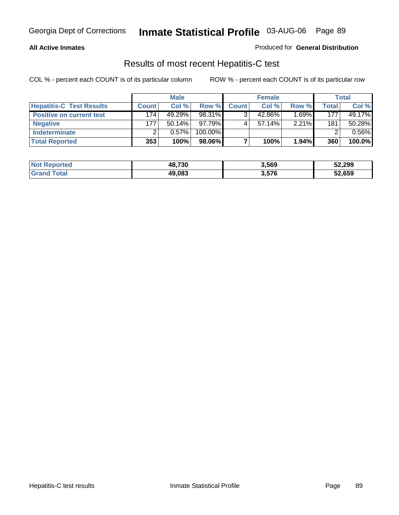#### **All Active Inmates**

### Produced for **General Distribution**

### Results of most recent Hepatitis-C test

|                                 | <b>Male</b>  |           | <b>Female</b> |              |           | Total    |       |        |
|---------------------------------|--------------|-----------|---------------|--------------|-----------|----------|-------|--------|
| <b>Hepatitis-C Test Results</b> | <b>Count</b> | Col %     | Row %I        | <b>Count</b> | Col %     | Row %    | Total | Col %  |
| <b>Positive on current test</b> | 174          | 49.29%    | 98.31%        |              | 42.86%    | $1.69\%$ | 177   | 49.17% |
| <b>Negative</b>                 | 177          | $50.14\%$ | 97.79%        |              | $57.14\%$ | 2.21%    | 181   | 50.28% |
| <b>Indeterminate</b>            |              | 0.57%     | 100.00%       |              |           |          |       | 0.56%  |
| <b>Total Reported</b>           | 353          | 100%      | 98.06%        |              | 100%      | 1.94%    | 360   | 100.0% |

| <b>Not Reported</b> | 48,730 | 3,569 | 52,299 |
|---------------------|--------|-------|--------|
| <b>Grand Total</b>  | 49,083 | 3,576 | 52,659 |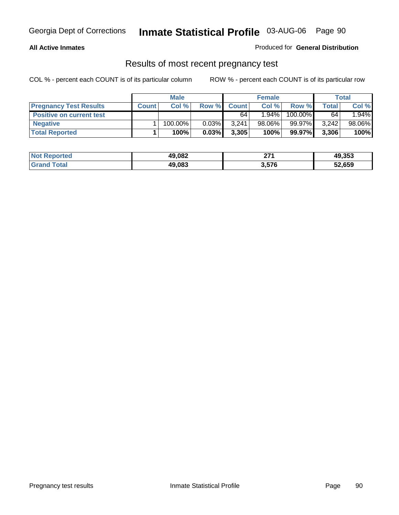### **All Active Inmates**

### Produced for **General Distribution**

### Results of most recent pregnancy test

|                                 | <b>Male</b>  |         | <b>Female</b> |              |           | Total   |       |        |
|---------------------------------|--------------|---------|---------------|--------------|-----------|---------|-------|--------|
| <b>Pregnancy Test Results</b>   | <b>Count</b> | Col %   | Row %         | <b>Count</b> | Col %     | Row %   | Total | Col %  |
| <b>Positive on current test</b> |              |         |               | 64           | $1.94\%$  | 100.00% | 64    | 1.94%  |
| <b>Negative</b>                 |              | 100.00% | $0.03\%$      | 3.241        | $98.06\%$ | 99.97%  | 3,242 | 98.06% |
| <b>Total Reported</b>           |              | 100%    | 0.03%         | 3,305        | 100%      | 99.97%  | 3,306 | 100%   |

| <b>Not Reported</b> | 49,082 | 274<br>-- | 49,353 |
|---------------------|--------|-----------|--------|
| <b>Grand Total</b>  | 49,083 | 3,576     | 52,659 |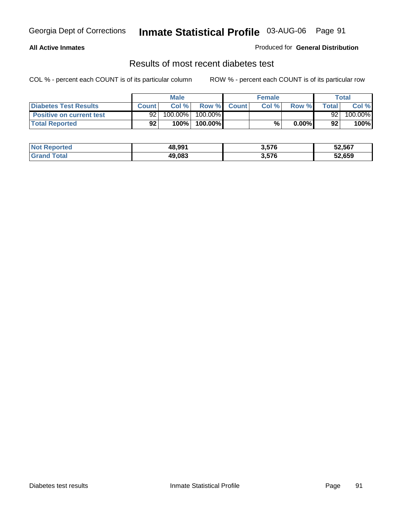### **All Active Inmates**

### Produced for **General Distribution**

### Results of most recent diabetes test

|                                 | <b>Male</b>  |                       | <b>Female</b> |  |       | Total    |        |         |
|---------------------------------|--------------|-----------------------|---------------|--|-------|----------|--------|---------|
| <b>Diabetes Test Results</b>    | <b>Count</b> | Col %                 | Row % Count   |  | Col % | Row %    | Totall | Col %   |
| <b>Positive on current test</b> | 92           | $100.\overline{00\%}$ | 100.00%       |  |       |          | 92     | 100.00% |
| <b>Total Reported</b>           | 92           | 100%                  | 100.00%       |  | %     | $0.00\%$ | 92     | 100%    |

| <b>Not Reported</b> | 48,991 | 3,576 | 52,567 |
|---------------------|--------|-------|--------|
| <b>Sand Total</b>   | 49,083 | 3,576 | 52,659 |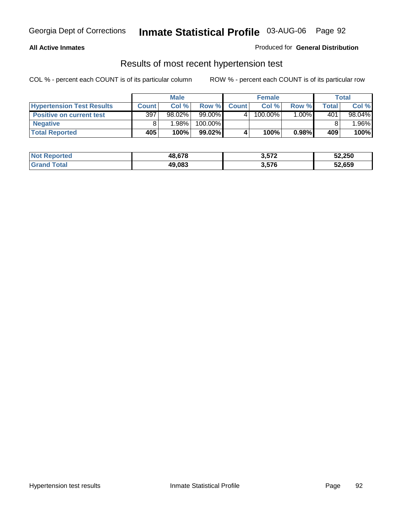### **All Active Inmates**

### Produced for **General Distribution**

### Results of most recent hypertension test

|                                  | <b>Male</b>  |        |           |              | <b>Female</b> |       | <b>Total</b> |           |
|----------------------------------|--------------|--------|-----------|--------------|---------------|-------|--------------|-----------|
| <b>Hypertension Test Results</b> | <b>Count</b> | Col %  | Row %     | <b>Count</b> | Col%          | Row % | Total        | Col %     |
| <b>Positive on current test</b>  | 397          | 98.02% | $99.00\%$ |              | 100.00%       | 1.00% | 401          | $98.04\%$ |
| <b>Negative</b>                  |              | 1.98%  | 100.00%   |              |               |       |              | $.96\%$   |
| <b>Total Reported</b>            | 405          | 100%   | 99.02%    |              | 100%          | 0.98% | 409          | 100%      |

| <b>Not Reported</b> | 48,678 | 3,572 | 52,250 |
|---------------------|--------|-------|--------|
| <b>Grand Total</b>  | 49,083 | 3,576 | 52,659 |